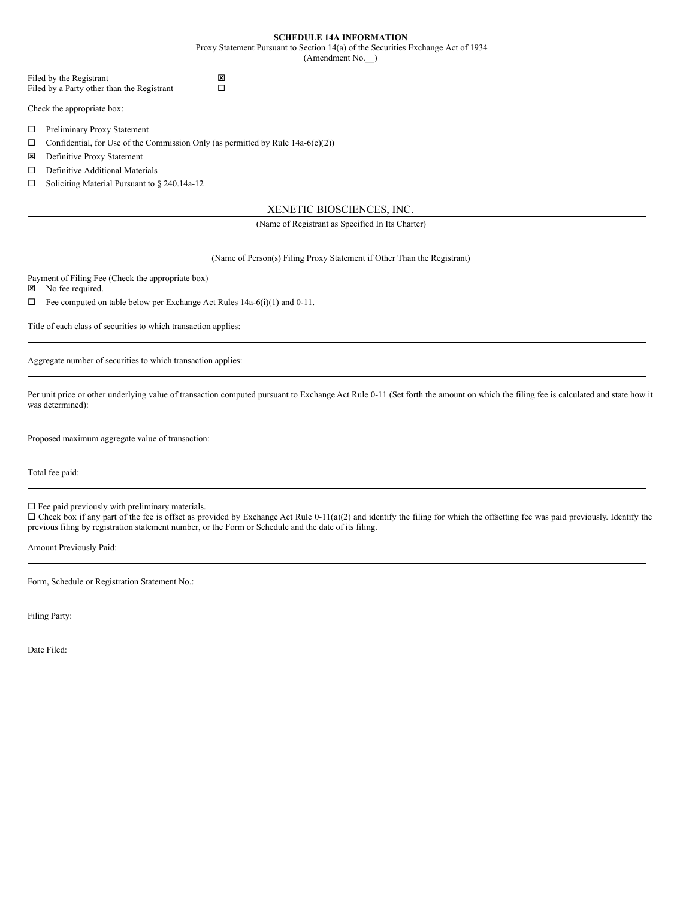| <b>SCHEDULE 14A INFORMATION</b> |  |
|---------------------------------|--|
|---------------------------------|--|

Proxy Statement Pursuant to Section 14(a) of the Securities Exchange Act of 1934

(Amendment No.\_\_)

| Filed by the Registrant                    | 図 |
|--------------------------------------------|---|
| Filed by a Party other than the Registrant |   |

Check the appropriate box:

- □ Preliminary Proxy Statement
- $\Box$  Confidential, for Use of the Commission Only (as permitted by Rule 14a-6(e)(2))
- **E** Definitive Proxy Statement
- $\square$  Definitive Additional Materials
- $\Box$  Soliciting Material Pursuant to § 240.14a-12

# XENETIC BIOSCIENCES, INC.

# (Name of Registrant as Specified In Its Charter)

(Name of Person(s) Filing Proxy Statement if Other Than the Registrant)

Payment of Filing Fee (Check the appropriate box)

**E** No fee required.

 $\Box$  Fee computed on table below per Exchange Act Rules 14a-6(i)(1) and 0-11.

Title of each class of securities to which transaction applies:

Aggregate number of securities to which transaction applies:

Per unit price or other underlying value of transaction computed pursuant to Exchange Act Rule 0-11 (Set forth the amount on which the filing fee is calculated and state how it was determined):

Proposed maximum aggregate value of transaction:

Total fee paid:

 $\square$  Fee paid previously with preliminary materials.

 $\Box$  Check box if any part of the fee is offset as provided by Exchange Act Rule 0-11(a)(2) and identify the filing for which the offsetting fee was paid previously. Identify the previous filing by registration statement number, or the Form or Schedule and the date of its filing.

Amount Previously Paid:

Form, Schedule or Registration Statement No.:

Filing Party:

Date Filed: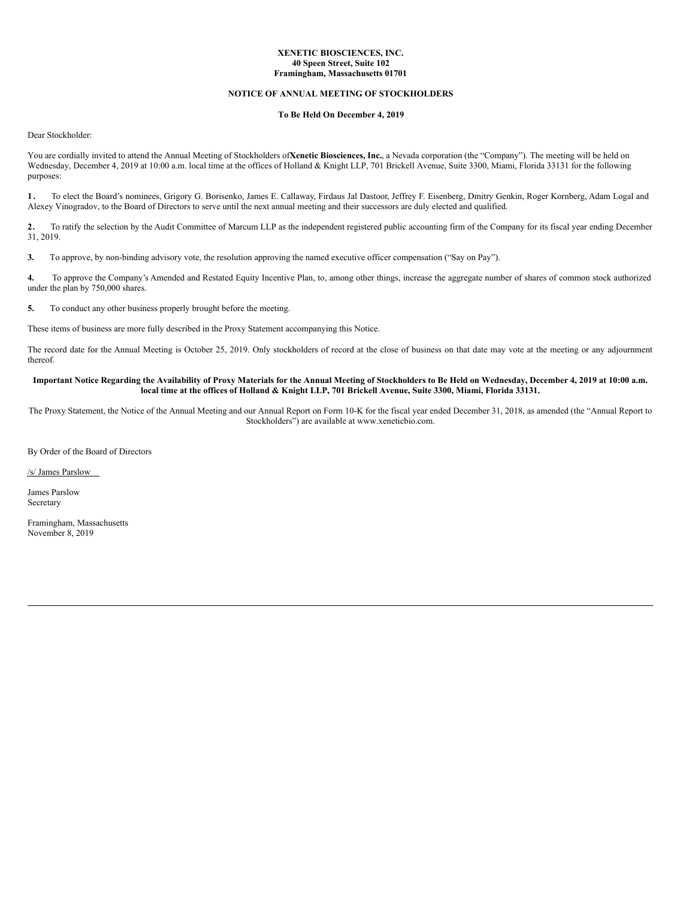## **XENETIC BIOSCIENCES, INC. 40 Speen Street, Suite 102 Framingham, Massachusetts 01701**

# **NOTICE OF ANNUAL MEETING OF STOCKHOLDERS**

### **To Be Held On December 4, 2019**

Dear Stockholder:

You are cordially invited to attend the Annual Meeting of Stockholders of**Xenetic Biosciences, Inc.**, a Nevada corporation (the "Company"). The meeting will be held on Wednesday, December 4, 2019 at 10:00 a.m. local time at the offices of Holland & Knight LLP, 701 Brickell Avenue, Suite 3300, Miami, Florida 33131 for the following purposes:

**1 .** To elect the Board's nominees, Grigory G. Borisenko, James E. Callaway, Firdaus Jal Dastoor, Jeffrey F. Eisenberg, Dmitry Genkin, Roger Kornberg, Adam Logal and Alexey Vinogradov, to the Board of Directors to serve until the next annual meeting and their successors are duly elected and qualified.

**2.** To ratify the selection by the Audit Committee of Marcum LLP as the independent registered public accounting firm of the Company for its fiscal year ending December 31, 2019.

**3.** To approve, by non-binding advisory vote, the resolution approving the named executive officer compensation ("Say on Pay").

**4.** To approve the Company's Amended and Restated Equity Incentive Plan, to, among other things, increase the aggregate number of shares of common stock authorized under the plan by 750,000 shares.

**5.** To conduct any other business properly brought before the meeting.

These items of business are more fully described in the Proxy Statement accompanying this Notice.

The record date for the Annual Meeting is October 25, 2019. Only stockholders of record at the close of business on that date may vote at the meeting or any adjournment thereof.

## Important Notice Regarding the Availability of Proxy Materials for the Annual Meeting of Stockholders to Be Held on Wednesday, December 4, 2019 at 10:00 a.m. local time at the offices of Holland & Knight LLP, 701 Brickell Avenue, Suite 3300, Miami, Florida 33131.

The Proxy Statement, the Notice of the Annual Meeting and our Annual Report on Form 10-K for the fiscal year ended December 31, 2018, as amended (the "Annual Report to Stockholders") are available at www.xeneticbio.com.

By Order of the Board of Directors

/s/ James Parslow

James Parslow Secretary

Framingham, Massachusetts November 8, 2019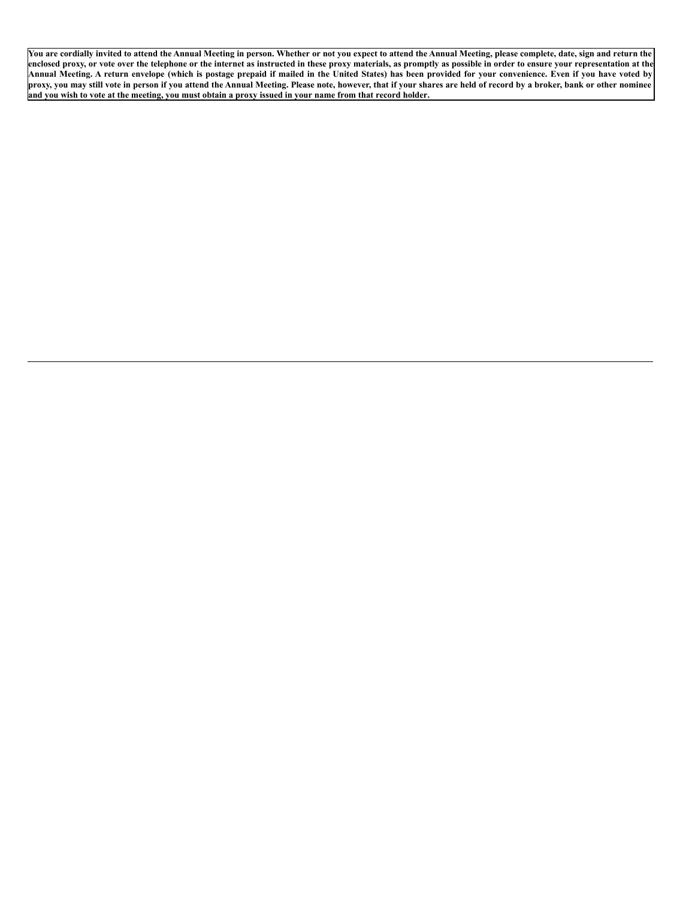You are cordially invited to attend the Annual Meeting in person. Whether or not you expect to attend the Annual Meeting, please complete, date, sign and return the enclosed proxy, or vote over the telephone or the internet as instructed in these proxy materials, as promptly as possible in order to ensure your representation at the Annual Meeting. A return envelope (which is postage prepaid if mailed in the United States) has been provided for your convenience. Even if you have voted by proxy, you may still vote in person if you attend the Annual Meeting. Please note, however, that if your shares are held of record by a broker, bank or other nominee and you wish to vote at the meeting, you must obtain a proxy issued in your name from that record holder.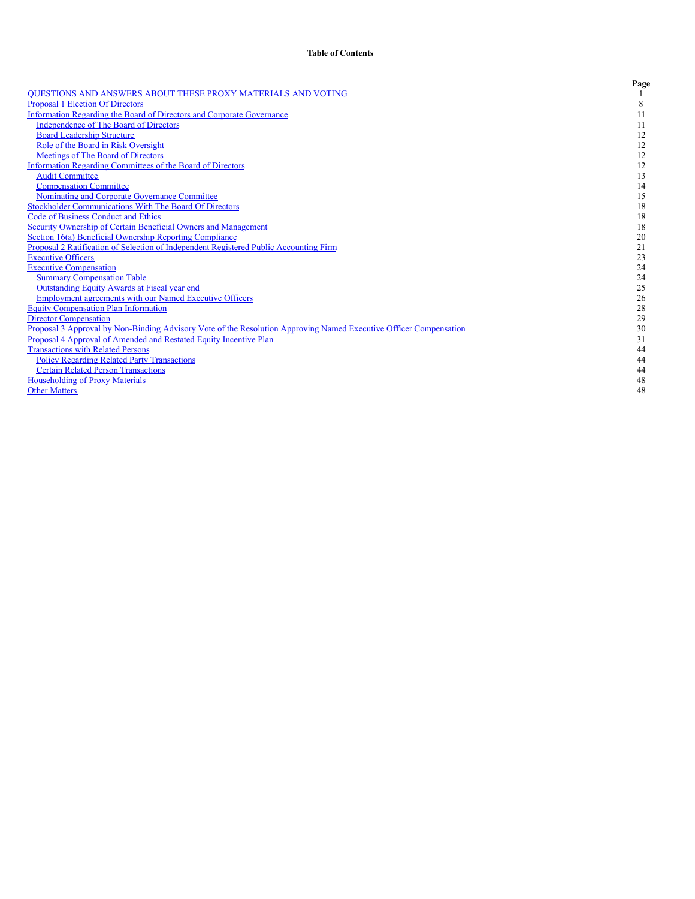|                                                                                                                   | Page |
|-------------------------------------------------------------------------------------------------------------------|------|
| <b>OUESTIONS AND ANSWERS ABOUT THESE PROXY MATERIALS AND VOTING</b>                                               |      |
| <b>Proposal 1 Election Of Directors</b>                                                                           | 8    |
| <b>Information Regarding the Board of Directors and Corporate Governance</b>                                      | 11   |
| <b>Independence of The Board of Directors</b>                                                                     | 11   |
| <b>Board Leadership Structure</b>                                                                                 | 12   |
| Role of the Board in Risk Oversight                                                                               | 12   |
| Meetings of The Board of Directors                                                                                | 12   |
| Information Regarding Committees of the Board of Directors                                                        | 12   |
| <b>Audit Committee</b>                                                                                            | 13   |
| <b>Compensation Committee</b>                                                                                     | 14   |
| Nominating and Corporate Governance Committee                                                                     | 15   |
| <b>Stockholder Communications With The Board Of Directors</b>                                                     | 18   |
| <b>Code of Business Conduct and Ethics</b>                                                                        | 18   |
| Security Ownership of Certain Beneficial Owners and Management                                                    | 18   |
| Section 16(a) Beneficial Ownership Reporting Compliance                                                           | 20   |
| Proposal 2 Ratification of Selection of Independent Registered Public Accounting Firm                             | 21   |
| <b>Executive Officers</b>                                                                                         | 23   |
| <b>Executive Compensation</b>                                                                                     | 24   |
| <b>Summary Compensation Table</b>                                                                                 | 24   |
| <b>Outstanding Equity Awards at Fiscal year end</b>                                                               | 25   |
| <b>Employment agreements with our Named Executive Officers</b>                                                    | 26   |
| <b>Equity Compensation Plan Information</b>                                                                       | 28   |
| <b>Director Compensation</b>                                                                                      | 29   |
| Proposal 3 Approval by Non-Binding Advisory Vote of the Resolution Approving Named Executive Officer Compensation | 30   |
| Proposal 4 Approval of Amended and Restated Equity Incentive Plan                                                 | 31   |
| <b>Transactions with Related Persons</b>                                                                          | 44   |
| <b>Policy Regarding Related Party Transactions</b>                                                                | 44   |
| <b>Certain Related Person Transactions</b>                                                                        | 44   |
| <b>Householding of Proxy Materials</b>                                                                            | 48   |
| <b>Other Matters</b>                                                                                              | 48   |
|                                                                                                                   |      |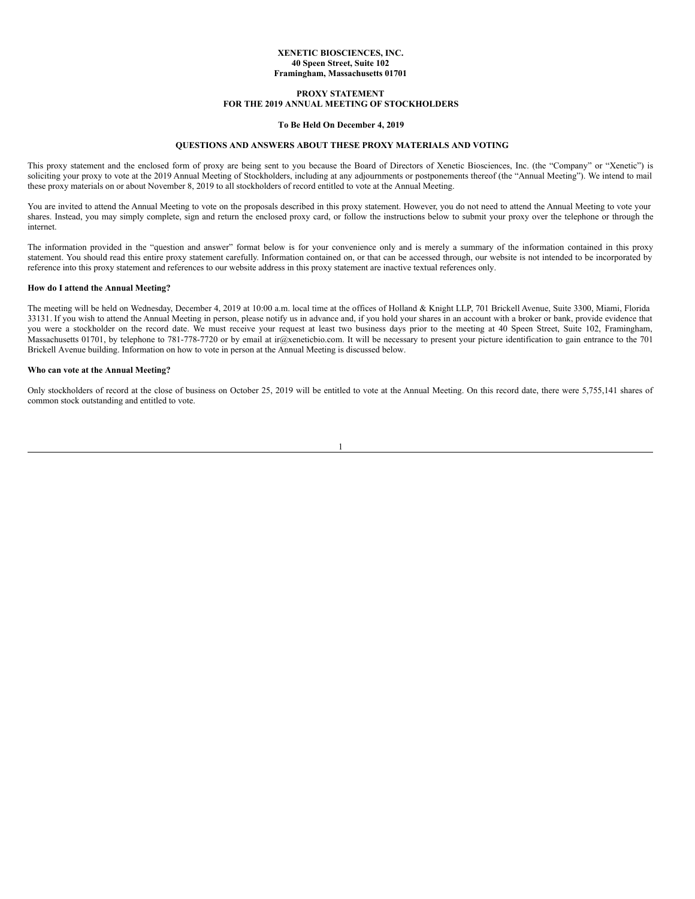### **XENETIC BIOSCIENCES, INC. 40 Speen Street, Suite 102 Framingham, Massachusetts 01701**

# **PROXY STATEMENT FOR THE 2019 ANNUAL MEETING OF STOCKHOLDERS**

# **To Be Held On December 4, 2019**

# <span id="page-4-0"></span>**QUESTIONS AND ANSWERS ABOUT THESE PROXY MATERIALS AND VOTING**

This proxy statement and the enclosed form of proxy are being sent to you because the Board of Directors of Xenetic Biosciences, Inc. (the "Company" or "Xenetic") is soliciting your proxy to vote at the 2019 Annual Meeting of Stockholders, including at any adjournments or postponements thereof (the "Annual Meeting"). We intend to mail these proxy materials on or about November 8, 2019 to all stockholders of record entitled to vote at the Annual Meeting.

You are invited to attend the Annual Meeting to vote on the proposals described in this proxy statement. However, you do not need to attend the Annual Meeting to vote your shares. Instead, you may simply complete, sign and return the enclosed proxy card, or follow the instructions below to submit your proxy over the telephone or through the internet.

The information provided in the "question and answer" format below is for your convenience only and is merely a summary of the information contained in this proxy statement. You should read this entire proxy statement carefully. Information contained on, or that can be accessed through, our website is not intended to be incorporated by reference into this proxy statement and references to our website address in this proxy statement are inactive textual references only.

### **How do I attend the Annual Meeting?**

The meeting will be held on Wednesday, December 4, 2019 at 10:00 a.m. local time at the offices of Holland & Knight LLP, 701 Brickell Avenue, Suite 3300, Miami, Florida 33131. If you wish to attend the Annual Meeting in person, please notify us in advance and, if you hold your shares in an account with a broker or bank, provide evidence that you were a stockholder on the record date. We must receive your request at least two business days prior to the meeting at 40 Speen Street, Suite 102, Framingham, Massachusetts 01701, by telephone to 781-778-7720 or by email at ir@xeneticbio.com. It will be necessary to present your picture identification to gain entrance to the 701 Brickell Avenue building. Information on how to vote in person at the Annual Meeting is discussed below.

## **Who can vote at the Annual Meeting?**

Only stockholders of record at the close of business on October 25, 2019 will be entitled to vote at the Annual Meeting. On this record date, there were 5,755,141 shares of common stock outstanding and entitled to vote.

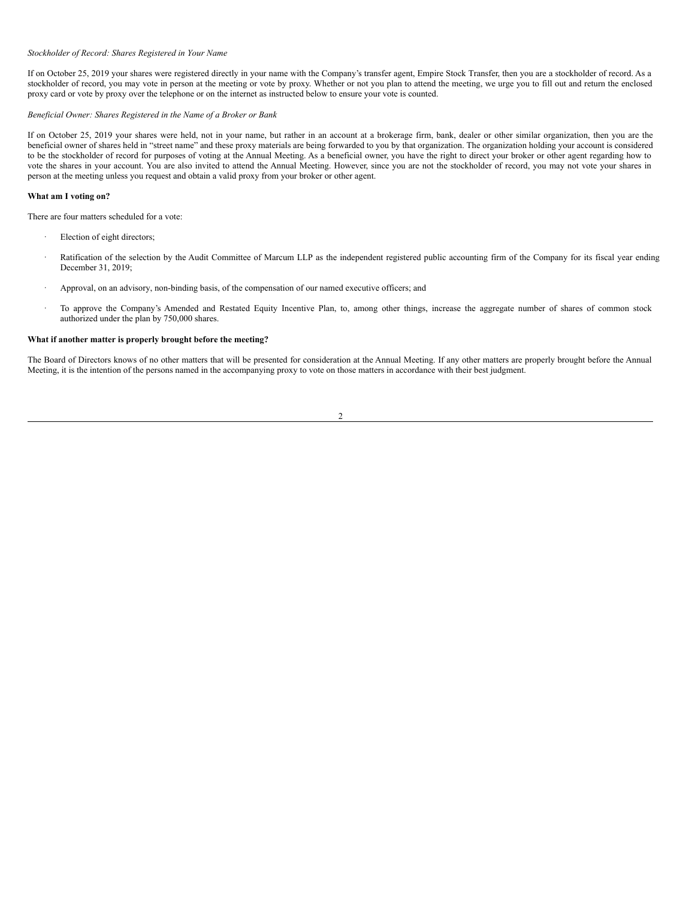#### *Stockholder of Record: Shares Registered in Your Name*

If on October 25, 2019 your shares were registered directly in your name with the Company's transfer agent, Empire Stock Transfer, then you are a stockholder of record. As a stockholder of record, you may vote in person at the meeting or vote by proxy. Whether or not you plan to attend the meeting, we urge you to fill out and return the enclosed proxy card or vote by proxy over the telephone or on the internet as instructed below to ensure your vote is counted.

# *Beneficial Owner: Shares Registered in the Name of a Broker or Bank*

If on October 25, 2019 your shares were held, not in your name, but rather in an account at a brokerage firm, bank, dealer or other similar organization, then you are the beneficial owner of shares held in "street name" and these proxy materials are being forwarded to you by that organization. The organization holding your account is considered to be the stockholder of record for purposes of voting at the Annual Meeting. As a beneficial owner, you have the right to direct your broker or other agent regarding how to vote the shares in your account. You are also invited to attend the Annual Meeting. However, since you are not the stockholder of record, you may not vote your shares in person at the meeting unless you request and obtain a valid proxy from your broker or other agent.

#### **What am I voting on?**

There are four matters scheduled for a vote:

- Election of eight directors;
- Ratification of the selection by the Audit Committee of Marcum LLP as the independent registered public accounting firm of the Company for its fiscal year ending December 31, 2019;
- · Approval, on an advisory, non-binding basis, of the compensation of our named executive officers; and
- · To approve the Company's Amended and Restated Equity Incentive Plan, to, among other things, increase the aggregate number of shares of common stock authorized under the plan by 750,000 shares.

# **What if another matter is properly brought before the meeting?**

The Board of Directors knows of no other matters that will be presented for consideration at the Annual Meeting. If any other matters are properly brought before the Annual Meeting, it is the intention of the persons named in the accompanying proxy to vote on those matters in accordance with their best judgment.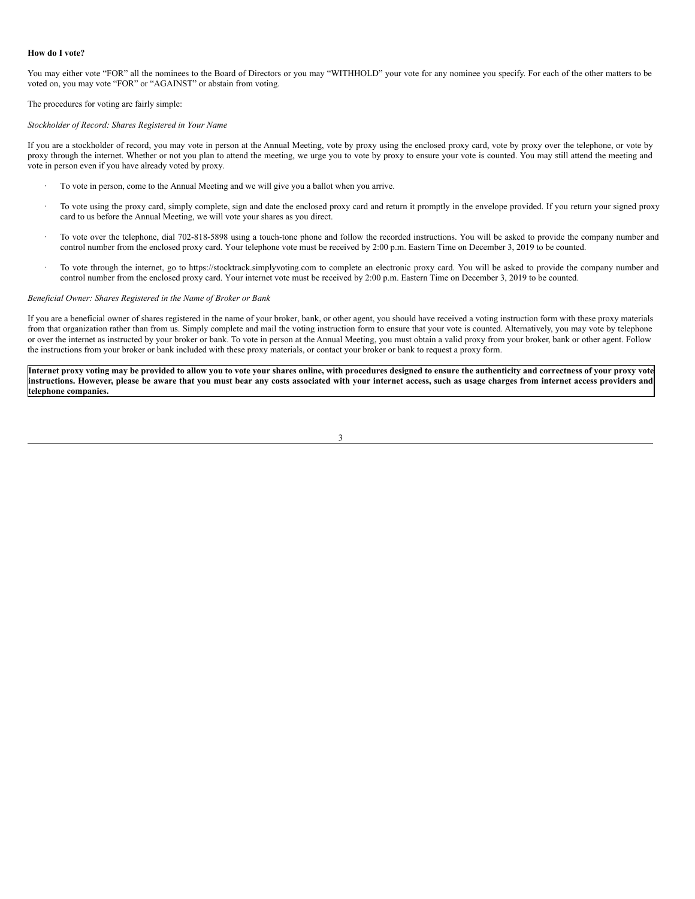#### **How do I vote?**

You may either vote "FOR" all the nominees to the Board of Directors or you may "WITHHOLD" your vote for any nominee you specify. For each of the other matters to be voted on, you may vote "FOR" or "AGAINST" or abstain from voting.

The procedures for voting are fairly simple:

#### *Stockholder of Record: Shares Registered in Your Name*

If you are a stockholder of record, you may vote in person at the Annual Meeting, vote by proxy using the enclosed proxy card, vote by proxy over the telephone, or vote by proxy through the internet. Whether or not you plan to attend the meeting, we urge you to vote by proxy to ensure your vote is counted. You may still attend the meeting and vote in person even if you have already voted by proxy.

- · To vote in person, come to the Annual Meeting and we will give you a ballot when you arrive.
- To vote using the proxy card, simply complete, sign and date the enclosed proxy card and return it promptly in the envelope provided. If you return your signed proxy card to us before the Annual Meeting, we will vote your shares as you direct.
- · To vote over the telephone, dial 702-818-5898 using a touch-tone phone and follow the recorded instructions. You will be asked to provide the company number and control number from the enclosed proxy card. Your telephone vote must be received by 2:00 p.m. Eastern Time on December 3, 2019 to be counted.
- · To vote through the internet, go to https://stocktrack.simplyvoting.com to complete an electronic proxy card. You will be asked to provide the company number and control number from the enclosed proxy card. Your internet vote must be received by 2:00 p.m. Eastern Time on December 3, 2019 to be counted.

#### *Beneficial Owner: Shares Registered in the Name of Broker or Bank*

If you are a beneficial owner of shares registered in the name of your broker, bank, or other agent, you should have received a voting instruction form with these proxy materials from that organization rather than from us. Simply complete and mail the voting instruction form to ensure that your vote is counted. Alternatively, you may vote by telephone or over the internet as instructed by your broker or bank. To vote in person at the Annual Meeting, you must obtain a valid proxy from your broker, bank or other agent. Follow the instructions from your broker or bank included with these proxy materials, or contact your broker or bank to request a proxy form.

Internet proxy voting may be provided to allow you to vote your shares online, with procedures designed to ensure the authenticity and correctness of your proxy vote instructions. However, please be aware that you must bear any costs associated with your internet access, such as usage charges from internet access providers and **telephone companies.**

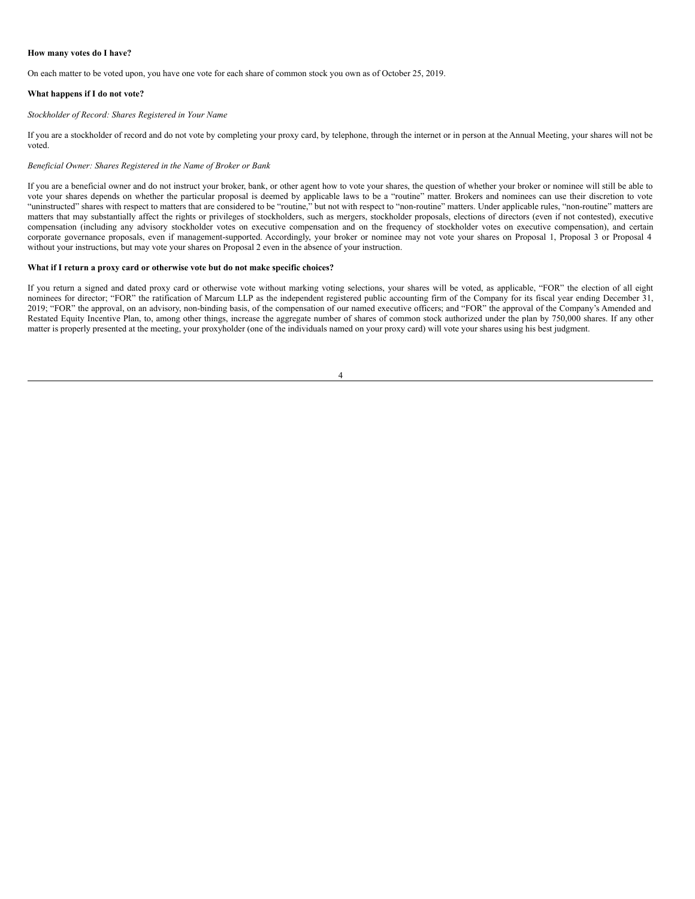#### **How many votes do I have?**

On each matter to be voted upon, you have one vote for each share of common stock you own as of October 25, 2019.

#### **What happens if I do not vote?**

### *Stockholder of Record: Shares Registered in Your Name*

If you are a stockholder of record and do not vote by completing your proxy card, by telephone, through the internet or in person at the Annual Meeting, your shares will not be voted.

### *Beneficial Owner: Shares Registered in the Name of Broker or Bank*

If you are a beneficial owner and do not instruct your broker, bank, or other agent how to vote your shares, the question of whether your broker or nominee will still be able to vote your shares depends on whether the particular proposal is deemed by applicable laws to be a "routine" matter. Brokers and nominees can use their discretion to vote "uninstructed" shares with respect to matters that are considered to be "routine," but not with respect to "non-routine" matters. Under applicable rules, "non-routine" matters are matters that may substantially affect the rights or privileges of stockholders, such as mergers, stockholder proposals, elections of directors (even if not contested), executive compensation (including any advisory stockholder votes on executive compensation and on the frequency of stockholder votes on executive compensation), and certain corporate governance proposals, even if management-supported. Accordingly, your broker or nominee may not vote your shares on Proposal 1, Proposal 3 or Proposal 4 without your instructions, but may vote your shares on Proposal 2 even in the absence of your instruction.

# **What if I return a proxy card or otherwise vote but do not make specific choices?**

If you return a signed and dated proxy card or otherwise vote without marking voting selections, your shares will be voted, as applicable, "FOR" the election of all eight nominees for director; "FOR" the ratification of Marcum LLP as the independent registered public accounting firm of the Company for its fiscal year ending December 31, 2019; "FOR" the approval, on an advisory, non-binding basis, of the compensation of our named executive officers; and "FOR" the approval of the Company's Amended and Restated Equity Incentive Plan, to, among other things, increase the aggregate number of shares of common stock authorized under the plan by 750,000 shares. If any other matter is properly presented at the meeting, your proxyholder (one of the individuals named on your proxy card) will vote your shares using his best judgment.

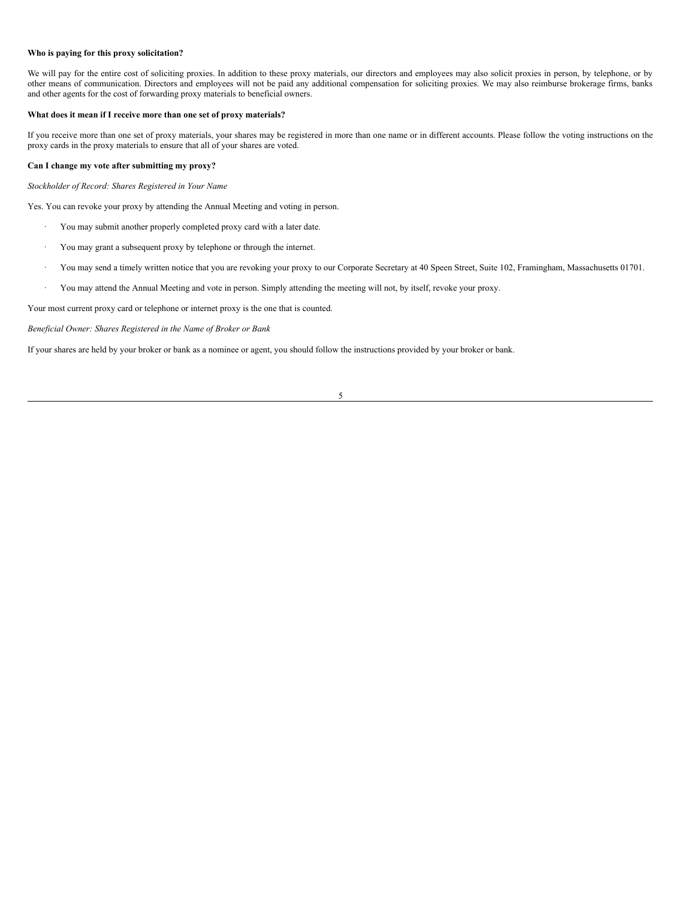### **Who is paying for this proxy solicitation?**

We will pay for the entire cost of soliciting proxies. In addition to these proxy materials, our directors and employees may also solicit proxies in person, by telephone, or by other means of communication. Directors and employees will not be paid any additional compensation for soliciting proxies. We may also reimburse brokerage firms, banks and other agents for the cost of forwarding proxy materials to beneficial owners.

# **What does it mean if I receive more than one set of proxy materials?**

If you receive more than one set of proxy materials, your shares may be registered in more than one name or in different accounts. Please follow the voting instructions on the proxy cards in the proxy materials to ensure that all of your shares are voted.

# **Can I change my vote after submitting my proxy?**

*Stockholder of Record: Shares Registered in Your Name*

Yes. You can revoke your proxy by attending the Annual Meeting and voting in person.

- · You may submit another properly completed proxy card with a later date.
- · You may grant a subsequent proxy by telephone or through the internet.
- · You may send a timely written notice that you are revoking your proxy to our Corporate Secretary at 40 Speen Street, Suite 102, Framingham, Massachusetts 01701.
- · You may attend the Annual Meeting and vote in person. Simply attending the meeting will not, by itself, revoke your proxy.

Your most current proxy card or telephone or internet proxy is the one that is counted.

*Beneficial Owner: Shares Registered in the Name of Broker or Bank*

If your shares are held by your broker or bank as a nominee or agent, you should follow the instructions provided by your broker or bank.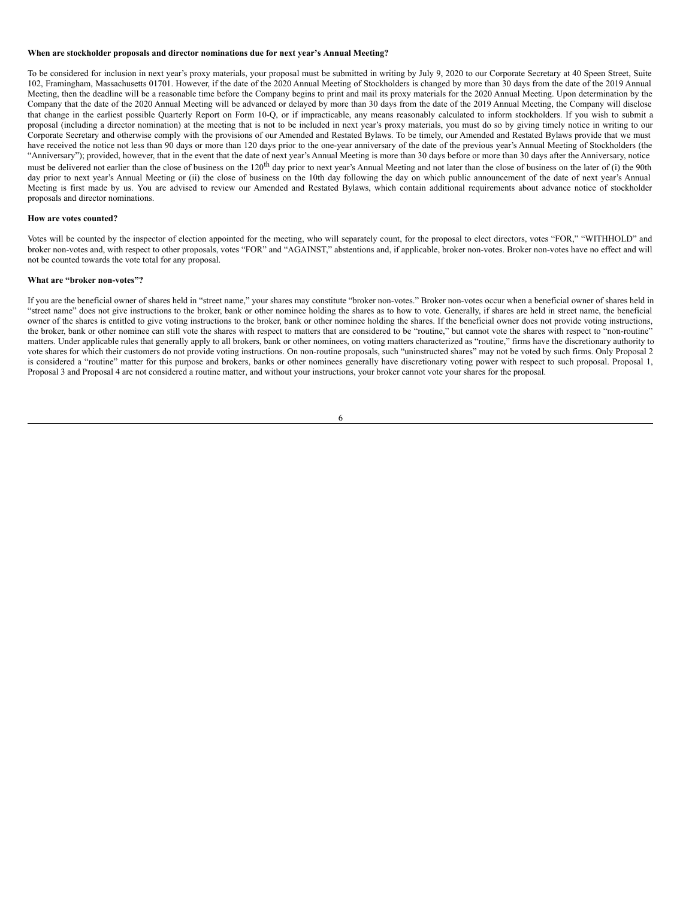#### **When are stockholder proposals and director nominations due for next year's Annual Meeting?**

To be considered for inclusion in next year's proxy materials, your proposal must be submitted in writing by July 9, 2020 to our Corporate Secretary at 40 Speen Street, Suite 102, Framingham, Massachusetts 01701. However, if the date of the 2020 Annual Meeting of Stockholders is changed by more than 30 days from the date of the 2019 Annual Meeting, then the deadline will be a reasonable time before the Company begins to print and mail its proxy materials for the 2020 Annual Meeting. Upon determination by the Company that the date of the 2020 Annual Meeting will be advanced or delayed by more than 30 days from the date of the 2019 Annual Meeting, the Company will disclose that change in the earliest possible Quarterly Report on Form 10-Q, or if impracticable, any means reasonably calculated to inform stockholders. If you wish to submit a proposal (including a director nomination) at the meeting that is not to be included in next year's proxy materials, you must do so by giving timely notice in writing to our Corporate Secretary and otherwise comply with the provisions of our Amended and Restated Bylaws. To be timely, our Amended and Restated Bylaws provide that we must have received the notice not less than 90 days or more than 120 days prior to the one-year anniversary of the date of the previous year's Annual Meeting of Stockholders (the "Anniversary"); provided, however, that in the event that the date of next year's Annual Meeting is more than 30 days before or more than 30 days after the Anniversary, notice must be delivered not earlier than the close of business on the 120<sup>th</sup> day prior to next year's Annual Meeting and not later than the close of business on the later of (i) the 90th day prior to next year's Annual Meeting or (ii) the close of business on the 10th day following the day on which public announcement of the date of next year's Annual Meeting is first made by us. You are advised to review our Amended and Restated Bylaws, which contain additional requirements about advance notice of stockholder proposals and director nominations.

# **How are votes counted?**

Votes will be counted by the inspector of election appointed for the meeting, who will separately count, for the proposal to elect directors, votes "FOR," "WITHHOLD" and broker non-votes and, with respect to other proposals, votes "FOR" and "AGAINST," abstentions and, if applicable, broker non-votes. Broker non-votes have no effect and will not be counted towards the vote total for any proposal.

#### **What are "broker non-votes"?**

If you are the beneficial owner of shares held in "street name," your shares may constitute "broker non-votes." Broker non-votes occur when a beneficial owner of shares held in "street name" does not give instructions to the broker, bank or other nominee holding the shares as to how to vote. Generally, if shares are held in street name, the beneficial owner of the shares is entitled to give voting instructions to the broker, bank or other nominee holding the shares. If the beneficial owner does not provide voting instructions, the broker, bank or other nominee can still vote the shares with respect to matters that are considered to be "routine," but cannot vote the shares with respect to "non-routine" matters. Under applicable rules that generally apply to all brokers, bank or other nominees, on voting matters characterized as "routine," firms have the discretionary authority to vote shares for which their customers do not provide voting instructions. On non-routine proposals, such "uninstructed shares" may not be voted by such firms. Only Proposal 2 is considered a "routine" matter for this purpose and brokers, banks or other nominees generally have discretionary voting power with respect to such proposal. Proposal 1, Proposal 3 and Proposal 4 are not considered a routine matter, and without your instructions, your broker cannot vote your shares for the proposal.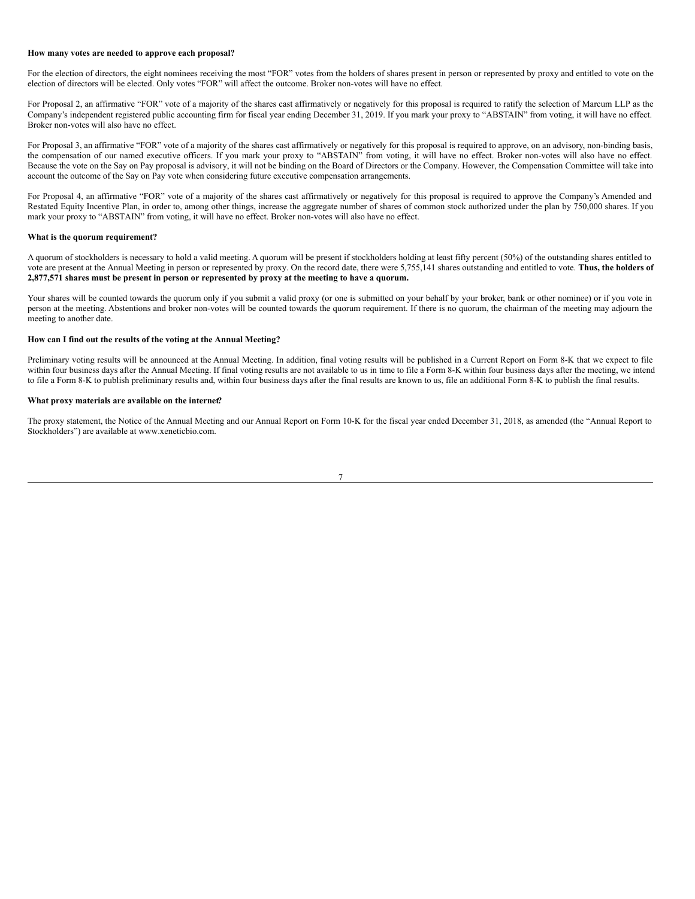### **How many votes are needed to approve each proposal?**

For the election of directors, the eight nominees receiving the most "FOR" votes from the holders of shares present in person or represented by proxy and entitled to vote on the election of directors will be elected. Only votes "FOR" will affect the outcome. Broker non-votes will have no effect.

For Proposal 2, an affirmative "FOR" vote of a majority of the shares cast affirmatively or negatively for this proposal is required to ratify the selection of Marcum LLP as the Company's independent registered public accounting firm for fiscal year ending December 31, 2019. If you mark your proxy to "ABSTAIN" from voting, it will have no effect. Broker non-votes will also have no effect.

For Proposal 3, an affirmative "FOR" vote of a majority of the shares cast affirmatively or negatively for this proposal is required to approve, on an advisory, non-binding basis, the compensation of our named executive officers. If you mark your proxy to "ABSTAIN" from voting, it will have no effect. Broker non-votes will also have no effect. Because the vote on the Say on Pay proposal is advisory, it will not be binding on the Board of Directors or the Company. However, the Compensation Committee will take into account the outcome of the Say on Pay vote when considering future executive compensation arrangements.

For Proposal 4, an affirmative "FOR" vote of a majority of the shares cast affirmatively or negatively for this proposal is required to approve the Company's Amended and Restated Equity Incentive Plan, in order to, among other things, increase the aggregate number of shares of common stock authorized under the plan by 750,000 shares. If you mark your proxy to "ABSTAIN" from voting, it will have no effect. Broker non-votes will also have no effect.

## **What is the quorum requirement?**

A quorum of stockholders is necessary to hold a valid meeting. A quorum will be present if stockholders holding at least fifty percent (50%) of the outstanding shares entitled to vote are present at the Annual Meeting in person or represented by proxy. On the record date, there were 5,755,141 shares outstanding and entitled to vote. **Thus, the holders of** 2,877,571 shares must be present in person or represented by proxy at the meeting to have a quorum.

Your shares will be counted towards the quorum only if you submit a valid proxy (or one is submitted on your behalf by your broker, bank or other nominee) or if you vote in person at the meeting. Abstentions and broker non-votes will be counted towards the quorum requirement. If there is no quorum, the chairman of the meeting may adjourn the meeting to another date.

# **How can I find out the results of the voting at the Annual Meeting?**

Preliminary voting results will be announced at the Annual Meeting. In addition, final voting results will be published in a Current Report on Form 8-K that we expect to file within four business days after the Annual Meeting. If final voting results are not available to us in time to file a Form 8-K within four business days after the meeting, we intend to file a Form 8-K to publish preliminary results and, within four business days after the final results are known to us, file an additional Form 8-K to publish the final results.

#### **What proxy materials are available on the internet?**

The proxy statement, the Notice of the Annual Meeting and our Annual Report on Form 10-K for the fiscal year ended December 31, 2018, as amended (the "Annual Report to Stockholders") are available at www.xeneticbio.com.

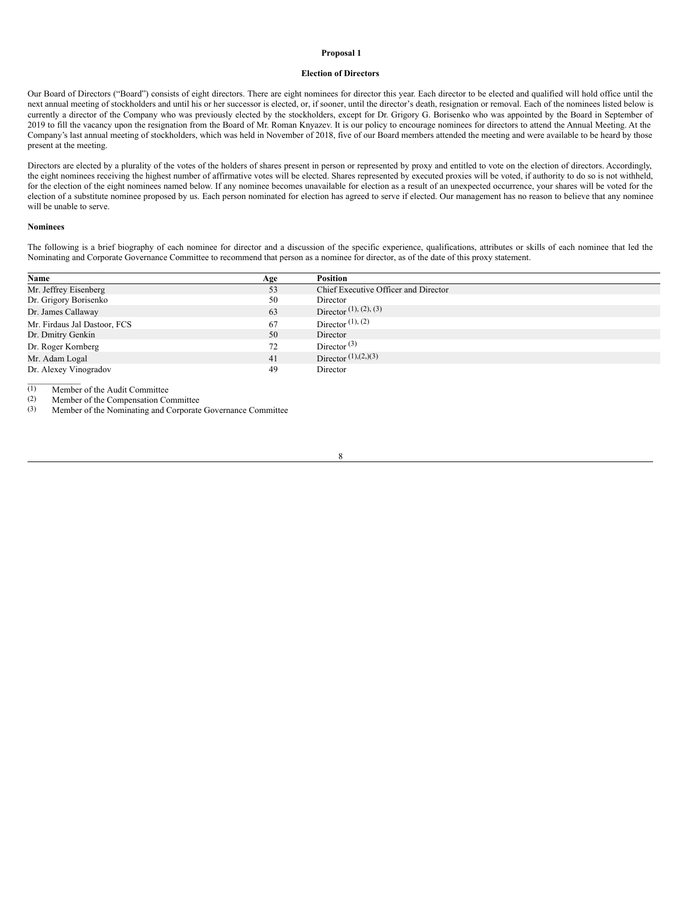### <span id="page-11-0"></span>**Proposal 1**

#### **Election of Directors**

Our Board of Directors ("Board") consists of eight directors. There are eight nominees for director this year. Each director to be elected and qualified will hold office until the next annual meeting of stockholders and until his or her successor is elected, or, if sooner, until the director's death, resignation or removal. Each of the nominees listed below is currently a director of the Company who was previously elected by the stockholders, except for Dr. Grigory G. Borisenko who was appointed by the Board in September of 2019 to fill the vacancy upon the resignation from the Board of Mr. Roman Knyazev. It is our policy to encourage nominees for directors to attend the Annual Meeting. At the Company's last annual meeting of stockholders, which was held in November of 2018, five of our Board members attended the meeting and were available to be heard by those present at the meeting.

Directors are elected by a plurality of the votes of the holders of shares present in person or represented by proxy and entitled to vote on the election of directors. Accordingly, the eight nominees receiving the highest number of affirmative votes will be elected. Shares represented by executed proxies will be voted, if authority to do so is not withheld, for the election of the eight nominees named below. If any nominee becomes unavailable for election as a result of an unexpected occurrence, your shares will be voted for the election of a substitute nominee proposed by us. Each person nominated for election has agreed to serve if elected. Our management has no reason to believe that any nominee will be unable to serve.

#### **Nominees**

The following is a brief biography of each nominee for director and a discussion of the specific experience, qualifications, attributes or skills of each nominee that led the Nominating and Corporate Governance Committee to recommend that person as a nominee for director, as of the date of this proxy statement.

| Name                         | Age | Position                             |
|------------------------------|-----|--------------------------------------|
| Mr. Jeffrey Eisenberg        | 53  | Chief Executive Officer and Director |
| Dr. Grigory Borisenko        | 50  | Director                             |
| Dr. James Callaway           | 63  | Director $(1)$ , $(2)$ , $(3)$       |
| Mr. Firdaus Jal Dastoor, FCS | 67  | Director $(1)$ , $(2)$               |
| Dr. Dmitry Genkin            | 50  | Director                             |
| Dr. Roger Kornberg           | 72  | Director <sup>(3)</sup>              |
| Mr. Adam Logal               | 41  | Director $(1),(2,)(3)$               |
| Dr. Alexey Vinogradov        | 49  | Director                             |
|                              |     |                                      |

 $\overline{(1)}$  Member of the Audit Committee<br>
(2) Member of the Compensation Co

(2) Member of the Compensation Committee<br>(3) Member of the Nominating and Corporate

Member of the Nominating and Corporate Governance Committee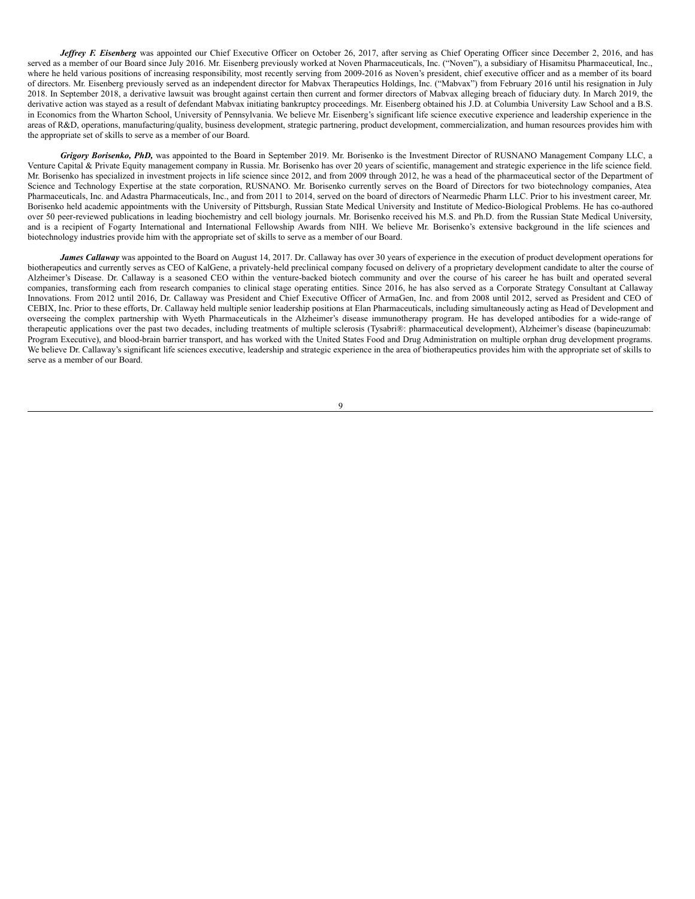*Jeffrey F. Eisenberg* was appointed our Chief Executive Officer on October 26, 2017, after serving as Chief Operating Officer since December 2, 2016, and has served as a member of our Board since July 2016. Mr. Eisenberg previously worked at Noven Pharmaceuticals, Inc. ("Noven"), a subsidiary of Hisamitsu Pharmaceutical, Inc., where he held various positions of increasing responsibility, most recently serving from 2009-2016 as Noven's president, chief executive officer and as a member of its board of directors. Mr. Eisenberg previously served as an independent director for Mabvax Therapeutics Holdings, Inc. ("Mabvax") from February 2016 until his resignation in July 2018. In September 2018, a derivative lawsuit was brought against certain then current and former directors of Mabvax alleging breach of fiduciary duty. In March 2019, the derivative action was stayed as a result of defendant Mabvax initiating bankruptcy proceedings. Mr. Eisenberg obtained his J.D. at Columbia University Law School and a B.S. in Economics from the Wharton School, University of Pennsylvania. We believe Mr. Eisenberg's significant life science executive experience and leadership experience in the areas of R&D, operations, manufacturing/quality, business development, strategic partnering, product development, commercialization, and human resources provides him with the appropriate set of skills to serve as a member of our Board.

*Grigory Borisenko, PhD,* was appointed to the Board in September 2019. Mr. Borisenko is the Investment Director of RUSNANO Management Company LLC, a Venture Capital & Private Equity management company in Russia. Mr. Borisenko has over 20 years of scientific, management and strategic experience in the life science field. Mr. Borisenko has specialized in investment projects in life science since 2012, and from 2009 through 2012, he was a head of the pharmaceutical sector of the Department of Science and Technology Expertise at the state corporation, RUSNANO. Mr. Borisenko currently serves on the Board of Directors for two biotechnology companies, Atea Pharmaceuticals, Inc. and Adastra Pharmaceuticals, Inc., and from 2011 to 2014, served on the board of directors of Nearmedic Pharm LLC. Prior to his investment career, Mr. Borisenko held academic appointments with the University of Pittsburgh, Russian State Medical University and Institute of Medico-Biological Problems. He has co-authored over 50 peer-reviewed publications in leading biochemistry and cell biology journals. Mr. Borisenko received his M.S. and Ph.D. from the Russian State Medical University, and is a recipient of Fogarty International and International Fellowship Awards from NIH. We believe Mr. Borisenko's extensive background in the life sciences and biotechnology industries provide him with the appropriate set of skills to serve as a member of our Board.

*James Callaway* was appointed to the Board on August 14, 2017. Dr. Callaway has over 30 years of experience in the execution of product development operations for biotherapeutics and currently serves as CEO of KalGene, a privately-held preclinical company focused on delivery of a proprietary development candidate to alter the course of Alzheimer's Disease. Dr. Callaway is a seasoned CEO within the venture-backed biotech community and over the course of his career he has built and operated several companies, transforming each from research companies to clinical stage operating entities. Since 2016, he has also served as a Corporate Strategy Consultant at Callaway Innovations. From 2012 until 2016, Dr. Callaway was President and Chief Executive Officer of ArmaGen, Inc. and from 2008 until 2012, served as President and CEO of CEBIX, Inc. Prior to these efforts, Dr. Callaway held multiple senior leadership positions at Elan Pharmaceuticals, including simultaneously acting as Head of Development and overseeing the complex partnership with Wyeth Pharmaceuticals in the Alzheimer's disease immunotherapy program. He has developed antibodies for a wide-range of therapeutic applications over the past two decades, including treatments of multiple sclerosis (Tysabri®: pharmaceutical development), Alzheimer's disease (bapineuzumab: Program Executive), and blood-brain barrier transport, and has worked with the United States Food and Drug Administration on multiple orphan drug development programs. We believe Dr. Callaway's significant life sciences executive, leadership and strategic experience in the area of biotherapeutics provides him with the appropriate set of skills to serve as a member of our Board.

 $\alpha$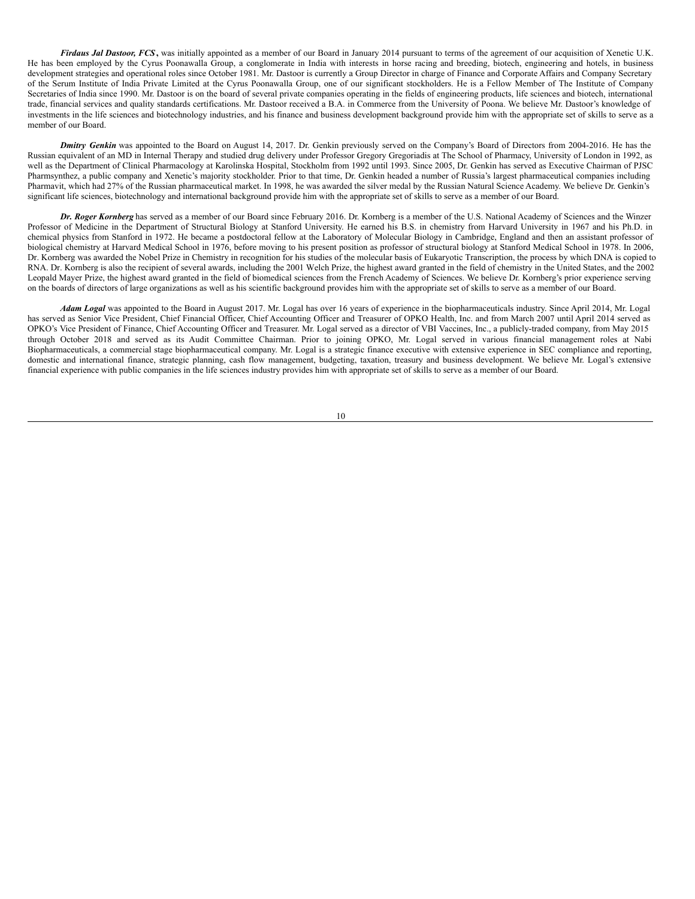*Firdaus Jal Dastoor, FCS***,** was initially appointed as a member of our Board in January 2014 pursuant to terms of the agreement of our acquisition of Xenetic U.K. He has been employed by the Cyrus Poonawalla Group, a conglomerate in India with interests in horse racing and breeding, biotech, engineering and hotels, in business development strategies and operational roles since October 1981. Mr. Dastoor is currently a Group Director in charge of Finance and Corporate Affairs and Company Secretary of the Serum Institute of India Private Limited at the Cyrus Poonawalla Group, one of our significant stockholders. He is a Fellow Member of The Institute of Company Secretaries of India since 1990. Mr. Dastoor is on the board of several private companies operating in the fields of engineering products, life sciences and biotech, international trade, financial services and quality standards certifications. Mr. Dastoor received a B.A. in Commerce from the University of Poona. We believe Mr. Dastoor's knowledge of investments in the life sciences and biotechnology industries, and his finance and business development background provide him with the appropriate set of skills to serve as a member of our Board.

**Dmitry Genkin** was appointed to the Board on August 14, 2017. Dr. Genkin previously served on the Company's Board of Directors from 2004-2016. He has the Russian equivalent of an MD in Internal Therapy and studied drug delivery under Professor Gregory Gregoriadis at The School of Pharmacy, University of London in 1992, as well as the Department of Clinical Pharmacology at Karolinska Hospital, Stockholm from 1992 until 1993. Since 2005, Dr. Genkin has served as Executive Chairman of PJSC Pharmsynthez, a public company and Xenetic's majority stockholder. Prior to that time, Dr. Genkin headed a number of Russia's largest pharmaceutical companies including Pharmavit, which had 27% of the Russian pharmaceutical market. In 1998, he was awarded the silver medal by the Russian Natural Science Academy. We believe Dr. Genkin's significant life sciences, biotechnology and international background provide him with the appropriate set of skills to serve as a member of our Board.

*Dr. Roger Kornberg* has served as a member of our Board since February 2016. Dr. Kornberg is a member of the U.S. National Academy of Sciences and the Winzer Professor of Medicine in the Department of Structural Biology at Stanford University. He earned his B.S. in chemistry from Harvard University in 1967 and his Ph.D. in chemical physics from Stanford in 1972. He became a postdoctoral fellow at the Laboratory of Molecular Biology in Cambridge, England and then an assistant professor of biological chemistry at Harvard Medical School in 1976, before moving to his present position as professor of structural biology at Stanford Medical School in 1978. In 2006, Dr. Kornberg was awarded the Nobel Prize in Chemistry in recognition for his studies of the molecular basis of Eukaryotic Transcription, the process by which DNA is copied to RNA. Dr. Kornberg is also the recipient of several awards, including the 2001 Welch Prize, the highest award granted in the field of chemistry in the United States, and the 2002 Leopald Mayer Prize, the highest award granted in the field of biomedical sciences from the French Academy of Sciences. We believe Dr. Kornberg's prior experience serving on the boards of directors of large organizations as well as his scientific background provides him with the appropriate set of skills to serve as a member of our Board.

*Adam Logal* was appointed to the Board in August 2017. Mr. Logal has over 16 years of experience in the biopharmaceuticals industry. Since April 2014, Mr. Logal has served as Senior Vice President, Chief Financial Officer, Chief Accounting Officer and Treasurer of OPKO Health, Inc. and from March 2007 until April 2014 served as OPKO's Vice President of Finance, Chief Accounting Officer and Treasurer. Mr. Logal served as a director of VBI Vaccines, Inc., a publicly-traded company, from May 2015 through October 2018 and served as its Audit Committee Chairman. Prior to joining OPKO, Mr. Logal served in various financial management roles at Nabi Biopharmaceuticals, a commercial stage biopharmaceutical company. Mr. Logal is a strategic finance executive with extensive experience in SEC compliance and reporting, domestic and international finance, strategic planning, cash flow management, budgeting, taxation, treasury and business development. We believe Mr. Logal's extensive financial experience with public companies in the life sciences industry provides him with appropriate set of skills to serve as a member of our Board.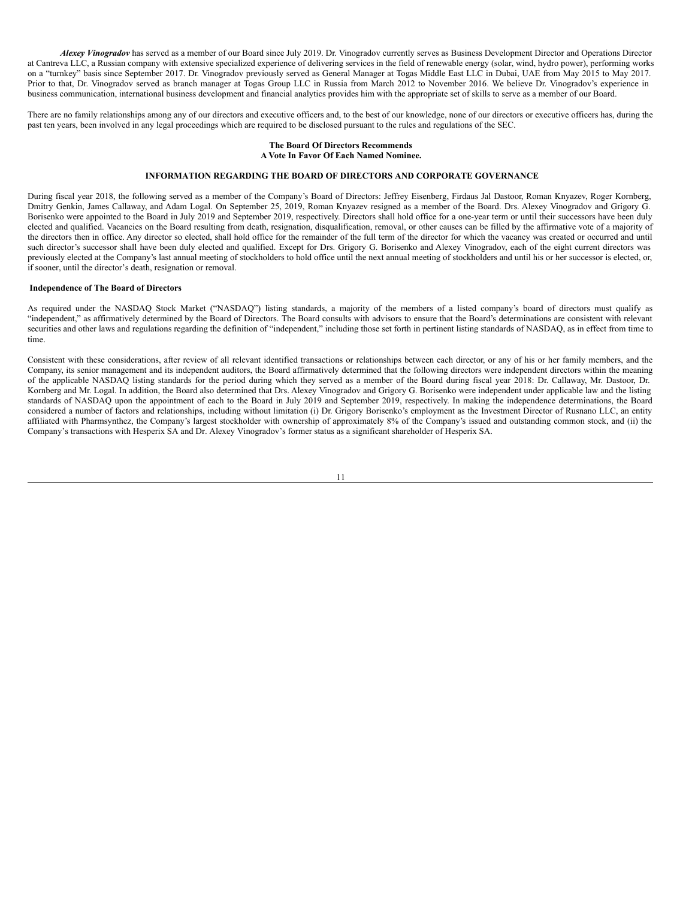*Alexey Vinogradov* has served as a member of our Board since July 2019. Dr. Vinogradov currently serves as Business Development Director and Operations Director at Cantreva LLC, a Russian company with extensive specialized experience of delivering services in the field of renewable energy (solar, wind, hydro power), performing works on a "turnkey" basis since September 2017. Dr. Vinogradov previously served as General Manager at Togas Middle East LLC in Dubai, UAE from May 2015 to May 2017. Prior to that, Dr. Vinogradov served as branch manager at Togas Group LLC in Russia from March 2012 to November 2016. We believe Dr. Vinogradov's experience in business communication, international business development and financial analytics provides him with the appropriate set of skills to serve as a member of our Board.

There are no family relationships among any of our directors and executive officers and, to the best of our knowledge, none of our directors or executive officers has, during the past ten years, been involved in any legal proceedings which are required to be disclosed pursuant to the rules and regulations of the SEC.

# **The Board Of Directors Recommends A Vote In Favor Of Each Named Nominee.**

# <span id="page-14-0"></span>**INFORMATION REGARDING THE BOARD OF DIRECTORS AND CORPORATE GOVERNANCE**

During fiscal year 2018, the following served as a member of the Company's Board of Directors: Jeffrey Eisenberg, Firdaus Jal Dastoor, Roman Knyazev, Roger Kornberg, Dmitry Genkin, James Callaway, and Adam Logal. On September 25, 2019, Roman Knyazev resigned as a member of the Board. Drs. Alexey Vinogradov and Grigory G. Borisenko were appointed to the Board in July 2019 and September 2019, respectively. Directors shall hold office for a one-year term or until their successors have been duly elected and qualified. Vacancies on the Board resulting from death, resignation, disqualification, removal, or other causes can be filled by the affirmative vote of a majority of the directors then in office. Any director so elected, shall hold office for the remainder of the full term of the director for which the vacancy was created or occurred and until such director's successor shall have been duly elected and qualified. Except for Drs. Grigory G. Borisenko and Alexey Vinogradov, each of the eight current directors was previously elected at the Company's last annual meeting of stockholders to hold office until the next annual meeting of stockholders and until his or her successor is elected, or, if sooner, until the director's death, resignation or removal.

### <span id="page-14-1"></span>**Independence of The Board of Directors**

As required under the NASDAQ Stock Market ("NASDAQ") listing standards, a majority of the members of a listed company's board of directors must qualify as "independent," as affirmatively determined by the Board of Directors. The Board consults with advisors to ensure that the Board's determinations are consistent with relevant securities and other laws and regulations regarding the definition of "independent," including those set forth in pertinent listing standards of NASDAQ, as in effect from time to time.

Consistent with these considerations, after review of all relevant identified transactions or relationships between each director, or any of his or her family members, and the Company, its senior management and its independent auditors, the Board affirmatively determined that the following directors were independent directors within the meaning of the applicable NASDAQ listing standards for the period during which they served as a member of the Board during fiscal year 2018: Dr. Callaway, Mr. Dastoor, Dr. Kornberg and Mr. Logal. In addition, the Board also determined that Drs. Alexey Vinogradov and Grigory G. Borisenko were independent under applicable law and the listing standards of NASDAQ upon the appointment of each to the Board in July 2019 and September 2019, respectively. In making the independence determinations, the Board considered a number of factors and relationships, including without limitation (i) Dr. Grigory Borisenko's employment as the Investment Director of Rusnano LLC, an entity affiliated with Pharmsynthez, the Company's largest stockholder with ownership of approximately 8% of the Company's issued and outstanding common stock, and (ii) the Company's transactions with Hesperix SA and Dr. Alexey Vinogradov's former status as a significant shareholder of Hesperix SA.

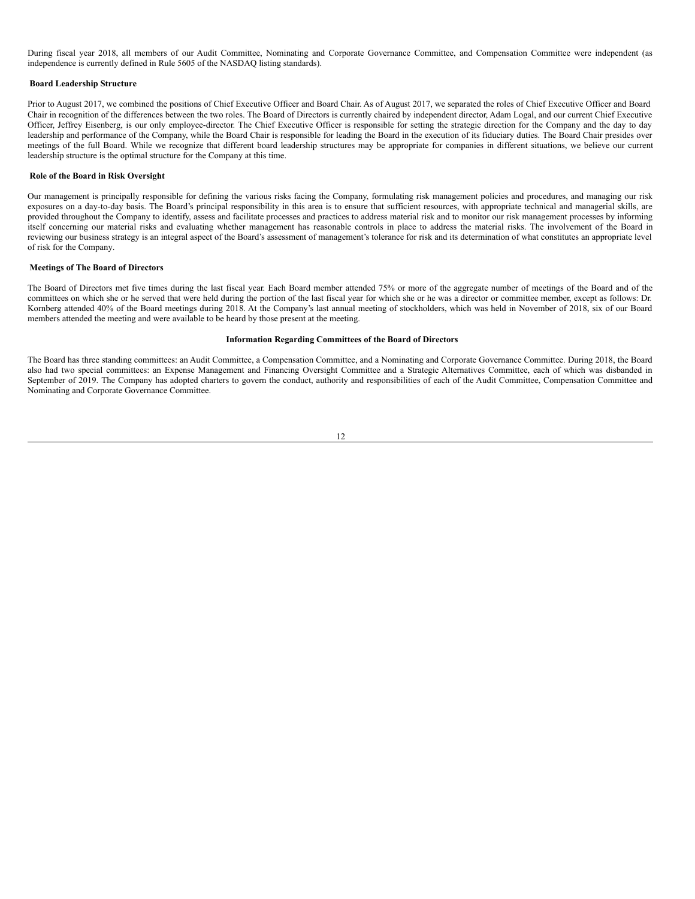During fiscal year 2018, all members of our Audit Committee, Nominating and Corporate Governance Committee, and Compensation Committee were independent (as independence is currently defined in Rule 5605 of the NASDAQ listing standards).

#### <span id="page-15-0"></span>**Board Leadership Structure**

Prior to August 2017, we combined the positions of Chief Executive Officer and Board Chair. As of August 2017, we separated the roles of Chief Executive Officer and Board Chair in recognition of the differences between the two roles. The Board of Directors is currently chaired by independent director, Adam Logal, and our current Chief Executive Officer, Jeffrey Eisenberg, is our only employee-director. The Chief Executive Officer is responsible for setting the strategic direction for the Company and the day to day leadership and performance of the Company, while the Board Chair is responsible for leading the Board in the execution of its fiduciary duties. The Board Chair presides over meetings of the full Board. While we recognize that different board leadership structures may be appropriate for companies in different situations, we believe our current leadership structure is the optimal structure for the Company at this time.

#### <span id="page-15-1"></span>**Role of the Board in Risk Oversight**

Our management is principally responsible for defining the various risks facing the Company, formulating risk management policies and procedures, and managing our risk exposures on a day-to-day basis. The Board's principal responsibility in this area is to ensure that sufficient resources, with appropriate technical and managerial skills, are provided throughout the Company to identify, assess and facilitate processes and practices to address material risk and to monitor our risk management processes by informing itself concerning our material risks and evaluating whether management has reasonable controls in place to address the material risks. The involvement of the Board in reviewing our business strategy is an integral aspect of the Board's assessment of management's tolerance for risk and its determination of what constitutes an appropriate level of risk for the Company.

## <span id="page-15-2"></span>**Meetings of The Board of Directors**

The Board of Directors met five times during the last fiscal year. Each Board member attended 75% or more of the aggregate number of meetings of the Board and of the committees on which she or he served that were held during the portion of the last fiscal year for which she or he was a director or committee member, except as follows: Dr. Kornberg attended 40% of the Board meetings during 2018. At the Company's last annual meeting of stockholders, which was held in November of 2018, six of our Board members attended the meeting and were available to be heard by those present at the meeting.

# <span id="page-15-3"></span>**Information Regarding Committees of the Board of Directors**

The Board has three standing committees: an Audit Committee, a Compensation Committee, and a Nominating and Corporate Governance Committee. During 2018, the Board also had two special committees: an Expense Management and Financing Oversight Committee and a Strategic Alternatives Committee, each of which was disbanded in September of 2019. The Company has adopted charters to govern the conduct, authority and responsibilities of each of the Audit Committee, Compensation Committee and Nominating and Corporate Governance Committee.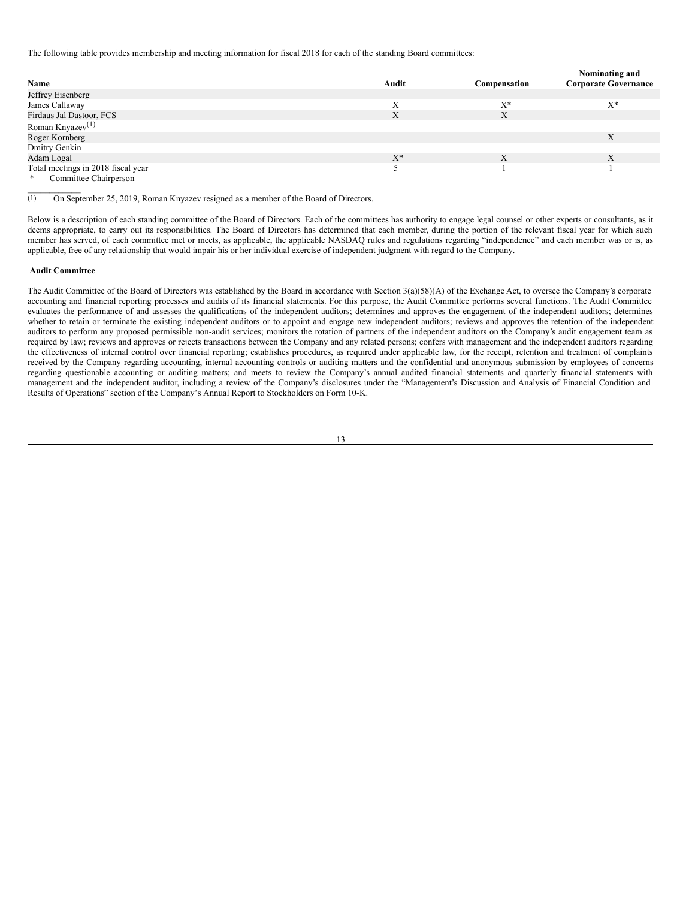The following table provides membership and meeting information for fiscal 2018 for each of the standing Board committees:

|                                    |       |              | Nominating and              |
|------------------------------------|-------|--------------|-----------------------------|
| Name                               | Audit | Compensation | <b>Corporate Governance</b> |
| Jeffrey Eisenberg                  |       |              |                             |
| James Callaway                     |       | $X^*$        | $X^*$                       |
| Firdaus Jal Dastoor, FCS           | Х     | X            |                             |
| Roman Knyazev <sup>(1)</sup>       |       |              |                             |
| Roger Kornberg                     |       |              | X                           |
| Dmitry Genkin                      |       |              |                             |
| Adam Logal                         | $X^*$ | Χ            |                             |
| Total meetings in 2018 fiscal year |       |              |                             |
| Committee Chairperson<br>*         |       |              |                             |

(1) On September 25, 2019, Roman Knyazev resigned as a member of the Board of Directors.

Below is a description of each standing committee of the Board of Directors. Each of the committees has authority to engage legal counsel or other experts or consultants, as it deems appropriate, to carry out its responsibilities. The Board of Directors has determined that each member, during the portion of the relevant fiscal year for which such member has served, of each committee met or meets, as applicable, the applicable NASDAQ rules and regulations regarding "independence" and each member was or is, as applicable, free of any relationship that would impair his or her individual exercise of independent judgment with regard to the Company.

# <span id="page-16-0"></span>**Audit Committee**

 $\mathcal{L}=\mathcal{L}^{\mathcal{L}}$ 

The Audit Committee of the Board of Directors was established by the Board in accordance with Section 3(a)(58)(A) of the Exchange Act, to oversee the Company's corporate accounting and financial reporting processes and audits of its financial statements. For this purpose, the Audit Committee performs several functions. The Audit Committee evaluates the performance of and assesses the qualifications of the independent auditors; determines and approves the engagement of the independent auditors; determines whether to retain or terminate the existing independent auditors or to appoint and engage new independent auditors; reviews and approves the retention of the independent auditors to perform any proposed permissible non-audit services; monitors the rotation of partners of the independent auditors on the Company's audit engagement team as required by law; reviews and approves or rejects transactions between the Company and any related persons; confers with management and the independent auditors regarding the effectiveness of internal control over financial reporting; establishes procedures, as required under applicable law, for the receipt, retention and treatment of complaints received by the Company regarding accounting, internal accounting controls or auditing matters and the confidential and anonymous submission by employees of concerns regarding questionable accounting or auditing matters; and meets to review the Company's annual audited financial statements and quarterly financial statements with management and the independent auditor, including a review of the Company's disclosures under the "Management's Discussion and Analysis of Financial Condition and Results of Operations" section of the Company's Annual Report to Stockholders on Form 10-K.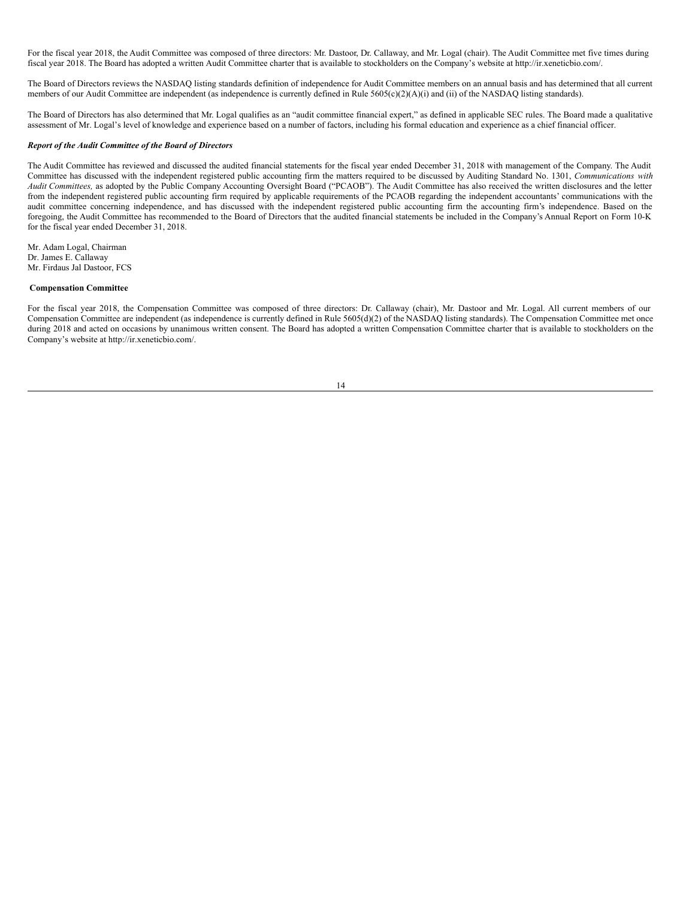For the fiscal year 2018, the Audit Committee was composed of three directors: Mr. Dastoor, Dr. Callaway, and Mr. Logal (chair). The Audit Committee met five times during fiscal year 2018. The Board has adopted a written Audit Committee charter that is available to stockholders on the Company's website at http://ir.xeneticbio.com/.

The Board of Directors reviews the NASDAQ listing standards definition of independence for Audit Committee members on an annual basis and has determined that all current members of our Audit Committee are independent (as independence is currently defined in Rule 5605(c)(2)(A)(i) and (ii) of the NASDAQ listing standards).

The Board of Directors has also determined that Mr. Logal qualifies as an "audit committee financial expert," as defined in applicable SEC rules. The Board made a qualitative assessment of Mr. Logal's level of knowledge and experience based on a number of factors, including his formal education and experience as a chief financial officer.

## *Report of the Audit Committee of the Board of Directors*

The Audit Committee has reviewed and discussed the audited financial statements for the fiscal year ended December 31, 2018 with management of the Company. The Audit Committee has discussed with the independent registered public accounting firm the matters required to be discussed by Auditing Standard No. 1301, *Communications with Audit Committees,* as adopted by the Public Company Accounting Oversight Board ("PCAOB"). The Audit Committee has also received the written disclosures and the letter from the independent registered public accounting firm required by applicable requirements of the PCAOB regarding the independent accountants' communications with the audit committee concerning independence, and has discussed with the independent registered public accounting firm the accounting firm's independence. Based on the foregoing, the Audit Committee has recommended to the Board of Directors that the audited financial statements be included in the Company's Annual Report on Form 10-K for the fiscal year ended December 31, 2018.

Mr. Adam Logal, Chairman Dr. James E. Callaway Mr. Firdaus Jal Dastoor, FCS

### <span id="page-17-0"></span>**Compensation Committee**

For the fiscal year 2018, the Compensation Committee was composed of three directors: Dr. Callaway (chair), Mr. Dastoor and Mr. Logal. All current members of our Compensation Committee are independent (as independence is currently defined in Rule 5605(d)(2) of the NASDAQ listing standards). The Compensation Committee met once during 2018 and acted on occasions by unanimous written consent. The Board has adopted a written Compensation Committee charter that is available to stockholders on the Company's website at http://ir.xeneticbio.com/.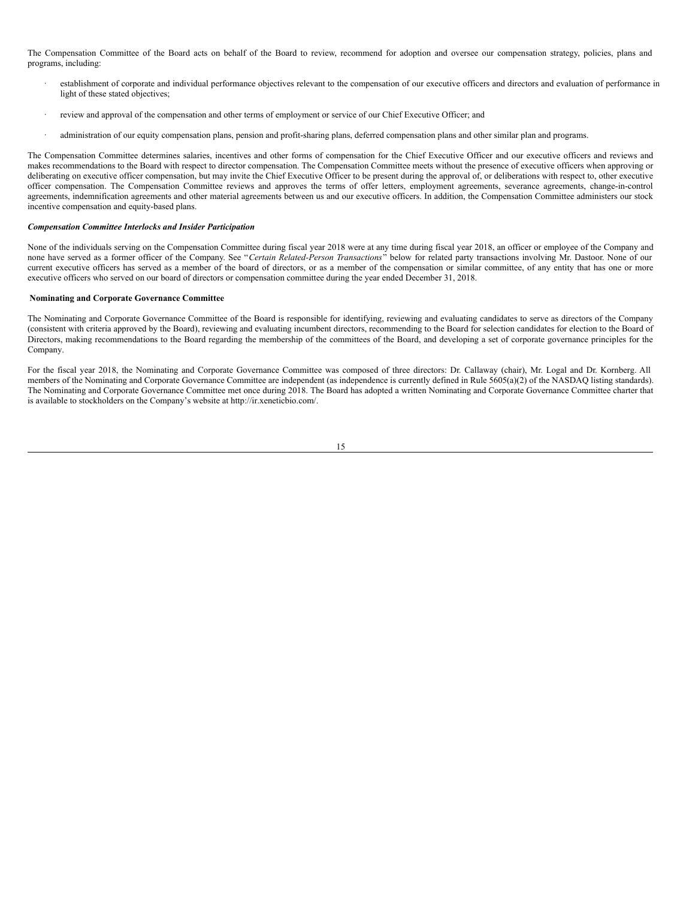The Compensation Committee of the Board acts on behalf of the Board to review, recommend for adoption and oversee our compensation strategy, policies, plans and programs, including:

- establishment of corporate and individual performance objectives relevant to the compensation of our executive officers and directors and evaluation of performance in light of these stated objectives;
- review and approval of the compensation and other terms of employment or service of our Chief Executive Officer; and
- administration of our equity compensation plans, pension and profit-sharing plans, deferred compensation plans and other similar plan and programs.

The Compensation Committee determines salaries, incentives and other forms of compensation for the Chief Executive Officer and our executive officers and reviews and makes recommendations to the Board with respect to director compensation. The Compensation Committee meets without the presence of executive officers when approving or deliberating on executive officer compensation, but may invite the Chief Executive Officer to be present during the approval of, or deliberations with respect to, other executive officer compensation. The Compensation Committee reviews and approves the terms of offer letters, employment agreements, severance agreements, change-in-control agreements, indemnification agreements and other material agreements between us and our executive officers. In addition, the Compensation Committee administers our stock incentive compensation and equity-based plans.

#### *Compensation Committee Interlocks and Insider Participation*

None of the individuals serving on the Compensation Committee during fiscal year 2018 were at any time during fiscal year 2018, an officer or employee of the Company and none have served as a former officer of the Company. See "*Certain Related-Person Transactions*" below for related party transactions involving Mr. Dastoor. None of our current executive officers has served as a member of the board of directors, or as a member of the compensation or similar committee, of any entity that has one or more executive officers who served on our board of directors or compensation committee during the year ended December 31, 2018.

#### <span id="page-18-0"></span>**Nominating and Corporate Governance Committee**

The Nominating and Corporate Governance Committee of the Board is responsible for identifying, reviewing and evaluating candidates to serve as directors of the Company (consistent with criteria approved by the Board), reviewing and evaluating incumbent directors, recommending to the Board for selection candidates for election to the Board of Directors, making recommendations to the Board regarding the membership of the committees of the Board, and developing a set of corporate governance principles for the Company.

For the fiscal year 2018, the Nominating and Corporate Governance Committee was composed of three directors: Dr. Callaway (chair), Mr. Logal and Dr. Kornberg. All members of the Nominating and Corporate Governance Committee are independent (as independence is currently defined in Rule 5605(a)(2) of the NASDAQ listing standards). The Nominating and Corporate Governance Committee met once during 2018. The Board has adopted a written Nominating and Corporate Governance Committee charter that is available to stockholders on the Company's website at http://ir.xeneticbio.com/.

| - 1         |
|-------------|
|             |
| I<br>$\sim$ |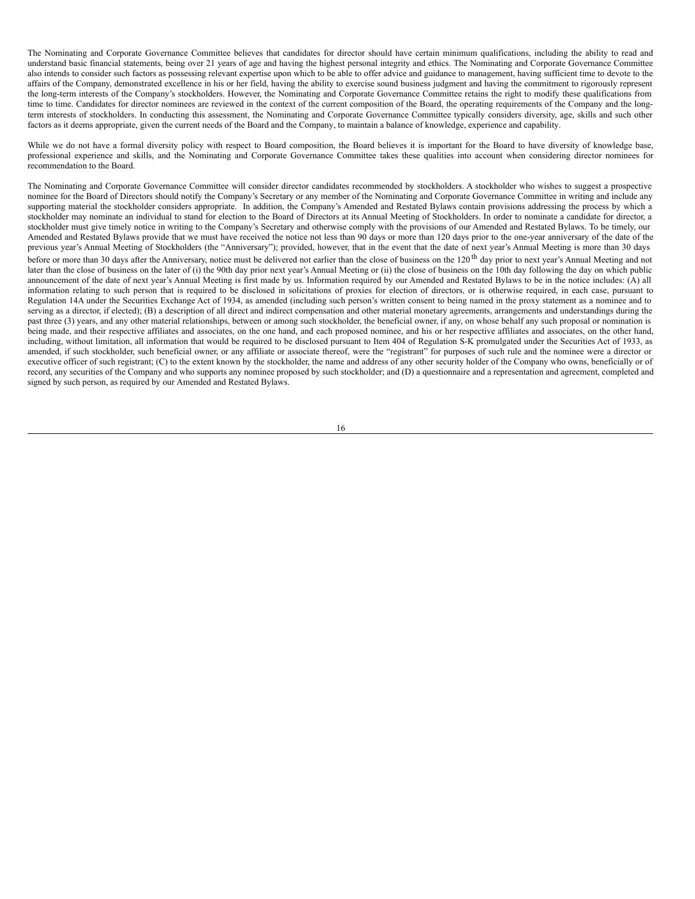The Nominating and Corporate Governance Committee believes that candidates for director should have certain minimum qualifications, including the ability to read and understand basic financial statements, being over 21 years of age and having the highest personal integrity and ethics. The Nominating and Corporate Governance Committee also intends to consider such factors as possessing relevant expertise upon which to be able to offer advice and guidance to management, having sufficient time to devote to the affairs of the Company, demonstrated excellence in his or her field, having the ability to exercise sound business judgment and having the commitment to rigorously represent the long-term interests of the Company's stockholders. However, the Nominating and Corporate Governance Committee retains the right to modify these qualifications from time to time. Candidates for director nominees are reviewed in the context of the current composition of the Board, the operating requirements of the Company and the longterm interests of stockholders. In conducting this assessment, the Nominating and Corporate Governance Committee typically considers diversity, age, skills and such other factors as it deems appropriate, given the current needs of the Board and the Company, to maintain a balance of knowledge, experience and capability.

While we do not have a formal diversity policy with respect to Board composition, the Board believes it is important for the Board to have diversity of knowledge base, professional experience and skills, and the Nominating and Corporate Governance Committee takes these qualities into account when considering director nominees for recommendation to the Board.

The Nominating and Corporate Governance Committee will consider director candidates recommended by stockholders. A stockholder who wishes to suggest a prospective nominee for the Board of Directors should notify the Company's Secretary or any member of the Nominating and Corporate Governance Committee in writing and include any supporting material the stockholder considers appropriate. In addition, the Company's Amended and Restated Bylaws contain provisions addressing the process by which a stockholder may nominate an individual to stand for election to the Board of Directors at its Annual Meeting of Stockholders. In order to nominate a candidate for director, a stockholder must give timely notice in writing to the Company's Secretary and otherwise comply with the provisions of our Amended and Restated Bylaws. To be timely, our Amended and Restated Bylaws provide that we must have received the notice not less than 90 days or more than 120 days prior to the one-year anniversary of the date of the previous year's Annual Meeting of Stockholders (the "Anniversary"); provided, however, that in the event that the date of next year's Annual Meeting is more than 30 days before or more than 30 days after the Anniversary, notice must be delivered not earlier than the close of business on the  $120<sup>th</sup>$  day prior to next year's Annual Meeting and not later than the close of business on the later of (i) the 90th day prior next year's Annual Meeting or (ii) the close of business on the 10th day following the day on which public announcement of the date of next year's Annual Meeting is first made by us. Information required by our Amended and Restated Bylaws to be in the notice includes: (A) all information relating to such person that is required to be disclosed in solicitations of proxies for election of directors, or is otherwise required, in each case, pursuant to Regulation 14A under the Securities Exchange Act of 1934, as amended (including such person's written consent to being named in the proxy statement as a nominee and to serving as a director, if elected); (B) a description of all direct and indirect compensation and other material monetary agreements, arrangements and understandings during the past three (3) years, and any other material relationships, between or among such stockholder, the beneficial owner, if any, on whose behalf any such proposal or nomination is being made, and their respective affiliates and associates, on the one hand, and each proposed nominee, and his or her respective affiliates and associates, on the other hand, including, without limitation, all information that would be required to be disclosed pursuant to Item 404 of Regulation S-K promulgated under the Securities Act of 1933, as amended, if such stockholder, such beneficial owner, or any affiliate or associate thereof, were the "registrant" for purposes of such rule and the nominee were a director or executive officer of such registrant; (C) to the extent known by the stockholder, the name and address of any other security holder of the Company who owns, beneficially or of record, any securities of the Company and who supports any nominee proposed by such stockholder; and (D) a questionnaire and a representation and agreement, completed and signed by such person, as required by our Amended and Restated Bylaws.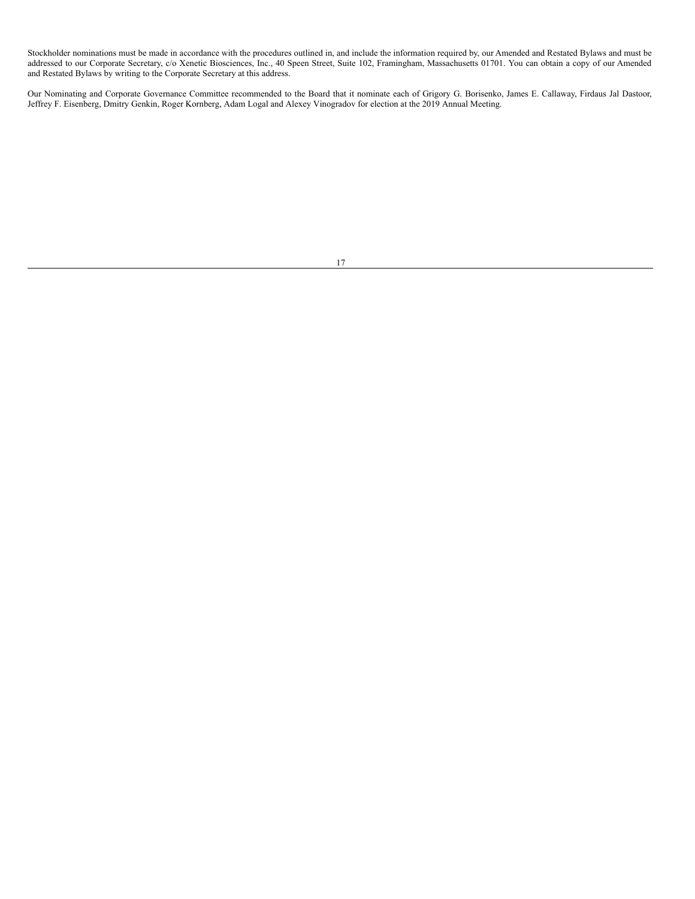Stockholder nominations must be made in accordance with the procedures outlined in, and include the information required by, our Amended and Restated Bylaws and must be addressed to our Corporate Secretary, c/o Xenetic Biosciences, Inc., 40 Speen Street, Suite 102, Framingham, Massachusetts 01701. You can obtain a copy of our Amended and Restated Bylaws by writing to the Corporate Secretary at this address.

Our Nominating and Corporate Governance Committee recommended to the Board that it nominate each of Grigory G. Borisenko, James E. Callaway, Firdaus Jal Dastoor, Jeffrey F. Eisenberg, Dmitry Genkin, Roger Kornberg, Adam Logal and Alexey Vinogradov for election at the 2019 Annual Meeting.

|  | I |
|--|---|
|  |   |
|  |   |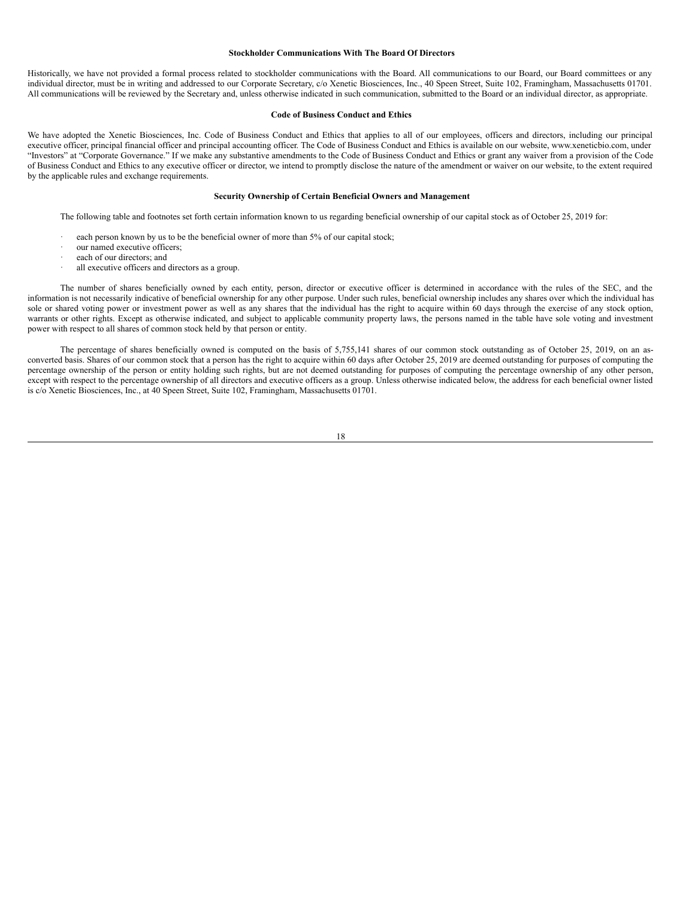#### <span id="page-21-0"></span>**Stockholder Communications With The Board Of Directors**

Historically, we have not provided a formal process related to stockholder communications with the Board. All communications to our Board, our Board committees or any individual director, must be in writing and addressed to our Corporate Secretary, c/o Xenetic Biosciences, Inc., 40 Speen Street, Suite 102, Framingham, Massachusetts 01701. All communications will be reviewed by the Secretary and, unless otherwise indicated in such communication, submitted to the Board or an individual director, as appropriate.

## <span id="page-21-1"></span>**Code of Business Conduct and Ethics**

We have adopted the Xenetic Biosciences, Inc. Code of Business Conduct and Ethics that applies to all of our employees, officers and directors, including our principal executive officer, principal financial officer and principal accounting officer. The Code of Business Conduct and Ethics is available on our website, www.xeneticbio.com, under "Investors" at "Corporate Governance." If we make any substantive amendments to the Code of Business Conduct and Ethics or grant any waiver from a provision of the Code of Business Conduct and Ethics to any executive officer or director, we intend to promptly disclose the nature of the amendment or waiver on our website, to the extent required by the applicable rules and exchange requirements.

#### <span id="page-21-2"></span>**Security Ownership of Certain Beneficial Owners and Management**

The following table and footnotes set forth certain information known to us regarding beneficial ownership of our capital stock as of October 25, 2019 for:

- each person known by us to be the beneficial owner of more than 5% of our capital stock;
- our named executive officers;
- each of our directors; and
- all executive officers and directors as a group.

The number of shares beneficially owned by each entity, person, director or executive officer is determined in accordance with the rules of the SEC, and the information is not necessarily indicative of beneficial ownership for any other purpose. Under such rules, beneficial ownership includes any shares over which the individual has sole or shared voting power or investment power as well as any shares that the individual has the right to acquire within 60 days through the exercise of any stock option, warrants or other rights. Except as otherwise indicated, and subject to applicable community property laws, the persons named in the table have sole voting and investment power with respect to all shares of common stock held by that person or entity.

The percentage of shares beneficially owned is computed on the basis of 5,755,141 shares of our common stock outstanding as of October 25, 2019, on an asconverted basis. Shares of our common stock that a person has the right to acquire within 60 days after October 25, 2019 are deemed outstanding for purposes of computing the percentage ownership of the person or entity holding such rights, but are not deemed outstanding for purposes of computing the percentage ownership of any other person, except with respect to the percentage ownership of all directors and executive officers as a group. Unless otherwise indicated below, the address for each beneficial owner listed is c/o Xenetic Biosciences, Inc., at 40 Speen Street, Suite 102, Framingham, Massachusetts 01701.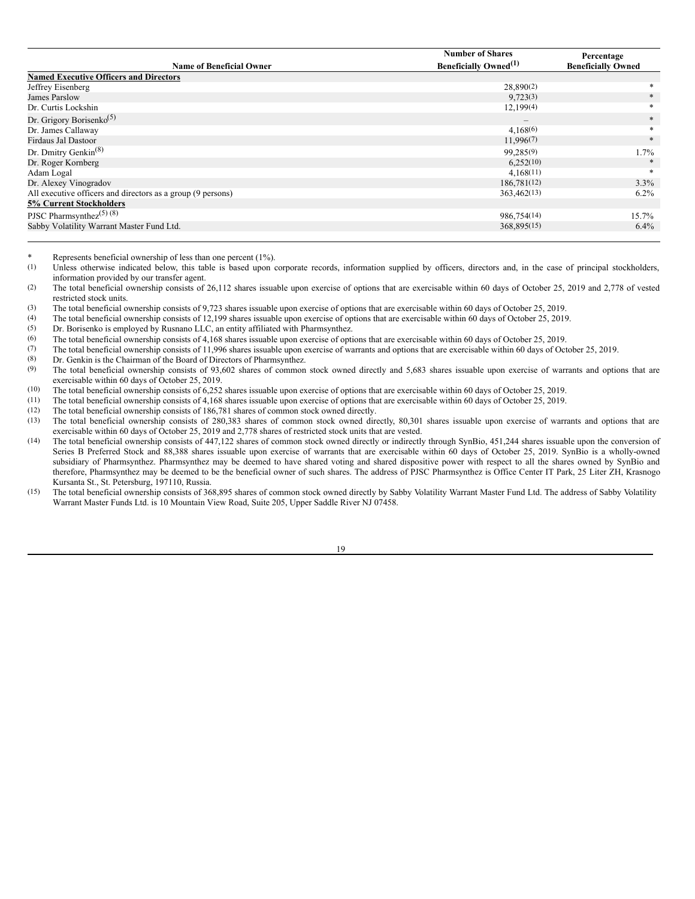|                                                             | <b>Number of Shares</b>                  | Percentage                |
|-------------------------------------------------------------|------------------------------------------|---------------------------|
| <b>Name of Beneficial Owner</b>                             | <b>Beneficially Owned</b> <sup>(1)</sup> | <b>Beneficially Owned</b> |
| <b>Named Executive Officers and Directors</b>               |                                          |                           |
| Jeffrey Eisenberg                                           | 28,890(2)                                | *                         |
| James Parslow                                               | 9,723(3)                                 | $\ast$                    |
| Dr. Curtis Lockshin                                         | 12,199(4)                                | $*$                       |
| Dr. Grigory Borisenko <sup>(5)</sup>                        | $\qquad \qquad$                          | $\ast$                    |
| Dr. James Callaway                                          | 4.168(6)                                 | *                         |
| <b>Firdaus Jal Dastoor</b>                                  | 11,996(7)                                | $*$                       |
| Dr. Dmitry Genkin <sup><math>(8)</math></sup>               | 99,285(9)                                | $1.7\%$                   |
| Dr. Roger Kornberg                                          | 6.252(10)                                |                           |
| Adam Logal                                                  | 4.168(11)                                | $\ast$                    |
| Dr. Alexey Vinogradov                                       | 186,781(12)                              | $3.3\%$                   |
| All executive officers and directors as a group (9 persons) | 363,462(13)                              | $6.2\%$                   |
| <b>5% Current Stockholders</b>                              |                                          |                           |
| PJSC Pharmsynthez <sup><math>(5)</math></sup> $(8)$         | 986,754(14)                              | 15.7%                     |
| Sabby Volatility Warrant Master Fund Ltd.                   | 368,895(15)                              | $6.4\%$                   |
|                                                             |                                          |                           |

\* Represents beneficial ownership of less than one percent (1%).<br>(1) Unless otherwise indicated below this table is based upon  $\alpha$ 

Unless otherwise indicated below, this table is based upon corporate records, information supplied by officers, directors and, in the case of principal stockholders, information provided by our transfer agent.

(2) The total beneficial ownership consists of 26,112 shares issuable upon exercise of options that are exercisable within 60 days of October 25, 2019 and 2,778 of vested restricted stock units.

(3) The total beneficial ownership consists of 9,723 shares issuable upon exercise of options that are exercisable within 60 days of October 25, 2019.<br>The total beneficial ownership consists of 12,199 shares issuable upon

(4) The total beneficial ownership consists of 12,199 shares issuable upon exercise of options that are exercisable within 60 days of October 25, 2019.<br>
Or Borisenko is employed by Busnano LLC an entity affiliated with Pha

(5) Dr. Borisenko is employed by Rusnano LLC, an entity affiliated with Pharmsynthez.<br>
(6) The total beneficial ownership consists of 4.168 shares issuable upon exercise of onti

(6) The total beneficial ownership consists of 4,168 shares issuable upon exercise of options that are exercisable within 60 days of October 25, 2019.<br>(7) The total beneficial ownership consists of 11.996 shares issuable u

(7) The total beneficial ownership consists of 11,996 shares issuable upon exercise of warrants and options that are exercisable within 60 days of October 25, 2019.<br>(8) Dr Genkin is the Chairman of the Board of Directors o

(8) Dr. Genkin is the Chairman of the Board of Directors of Pharmsynthez.<br>
(9) The total beneficial ownership consists of 93.602 shares of common

The total beneficial ownership consists of 93,602 shares of common stock owned directly and 5,683 shares issuable upon exercise of warrants and options that are exercisable within 60 days of October 25, 2019.

(10) The total beneficial ownership consists of 6,252 shares issuable upon exercise of options that are exercisable within 60 days of October 25, 2019.<br>(11) The total beneficial ownership consists of 4.168 shares issuable

(11) The total beneficial ownership consists of 4,168 shares issuable upon exercise of options that are exercisable within 60 days of October 25, 2019.<br>(12) The total beneficial ownership consists of 186.781 shares of com

(12) The total beneficial ownership consists of 186,781 shares of common stock owned directly.

The total beneficial ownership consists of 280,383 shares of common stock owned directly, 80,301 shares issuable upon exercise of warrants and options that are exercisable within 60 days of October 25, 2019 and 2,778 shares of restricted stock units that are vested.

- (14) The total beneficial ownership consists of 447,122 shares of common stock owned directly or indirectly through SynBio, 451,244 shares issuable upon the conversion of Series B Preferred Stock and 88,388 shares issuable upon exercise of warrants that are exercisable within 60 days of October 25, 2019. SynBio is a wholly-owned subsidiary of Pharmsynthez. Pharmsynthez may be deemed to have shared voting and shared dispositive power with respect to all the shares owned by SynBio and therefore, Pharmsynthez may be deemed to be the beneficial owner of such shares. The address of PJSC Pharmsynthez is Office Center IT Park, 25 Liter ZH, Krasnogo Kursanta St., St. Petersburg, 197110, Russia.
- (15) The total beneficial ownership consists of 368,895 shares of common stock owned directly by Sabby Volatility Warrant Master Fund Ltd. The address of Sabby Volatility Warrant Master Funds Ltd. is 10 Mountain View Road, Suite 205, Upper Saddle River NJ 07458.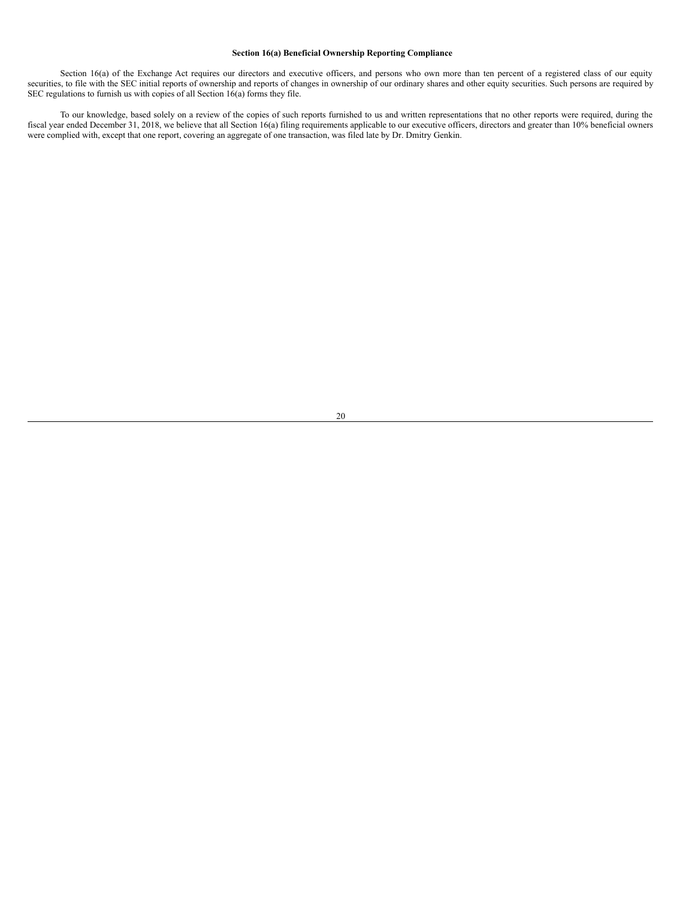## <span id="page-23-0"></span>**Section 16(a) Beneficial Ownership Reporting Compliance**

Section 16(a) of the Exchange Act requires our directors and executive officers, and persons who own more than ten percent of a registered class of our equity securities, to file with the SEC initial reports of ownership and reports of changes in ownership of our ordinary shares and other equity securities. Such persons are required by SEC regulations to furnish us with copies of all Section  $16(a)$  forms they file.

To our knowledge, based solely on a review of the copies of such reports furnished to us and written representations that no other reports were required, during the fiscal year ended December 31, 2018, we believe that all Section 16(a) filing requirements applicable to our executive officers, directors and greater than 10% beneficial owners were complied with, except that one report, covering an aggregate of one transaction, was filed late by Dr. Dmitry Genkin.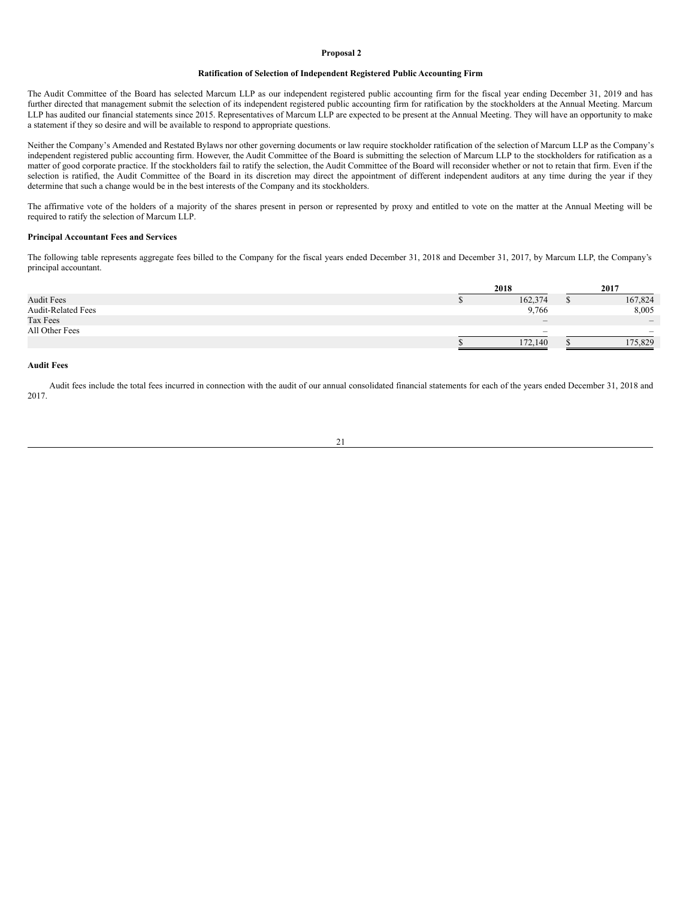#### <span id="page-24-0"></span>**Proposal 2**

## **Ratification of Selection of Independent Registered Public Accounting Firm**

The Audit Committee of the Board has selected Marcum LLP as our independent registered public accounting firm for the fiscal year ending December 31, 2019 and has further directed that management submit the selection of its independent registered public accounting firm for ratification by the stockholders at the Annual Meeting. Marcum LLP has audited our financial statements since 2015. Representatives of Marcum LLP are expected to be present at the Annual Meeting. They will have an opportunity to make a statement if they so desire and will be available to respond to appropriate questions.

Neither the Company's Amended and Restated Bylaws nor other governing documents or law require stockholder ratification of the selection of Marcum LLP as the Company's independent registered public accounting firm. However, the Audit Committee of the Board is submitting the selection of Marcum LLP to the stockholders for ratification as a matter of good corporate practice. If the stockholders fail to ratify the selection, the Audit Committee of the Board will reconsider whether or not to retain that firm. Even if the selection is ratified, the Audit Committee of the Board in its discretion may direct the appointment of different independent auditors at any time during the year if they determine that such a change would be in the best interests of the Company and its stockholders.

The affirmative vote of the holders of a majority of the shares present in person or represented by proxy and entitled to vote on the matter at the Annual Meeting will be required to ratify the selection of Marcum LLP.

# **Principal Accountant Fees and Services**

The following table represents aggregate fees billed to the Company for the fiscal years ended December 31, 2018 and December 31, 2017, by Marcum LLP, the Company's principal accountant.

|                           | 2018                            | 2017                         |  |  |
|---------------------------|---------------------------------|------------------------------|--|--|
| <b>Audit Fees</b>         | 162,374                         | 167,824                      |  |  |
| <b>Audit-Related Fees</b> | 9,766                           | 8,005                        |  |  |
| Tax Fees                  | $\hspace{0.1mm}-\hspace{0.1mm}$ | $\qquad \qquad \blacksquare$ |  |  |
| All Other Fees            | $\sim$                          |                              |  |  |
|                           | 172,140                         | 175,829                      |  |  |

#### **Audit Fees**

Audit fees include the total fees incurred in connection with the audit of our annual consolidated financial statements for each of the years ended December 31, 2018 and 2017.

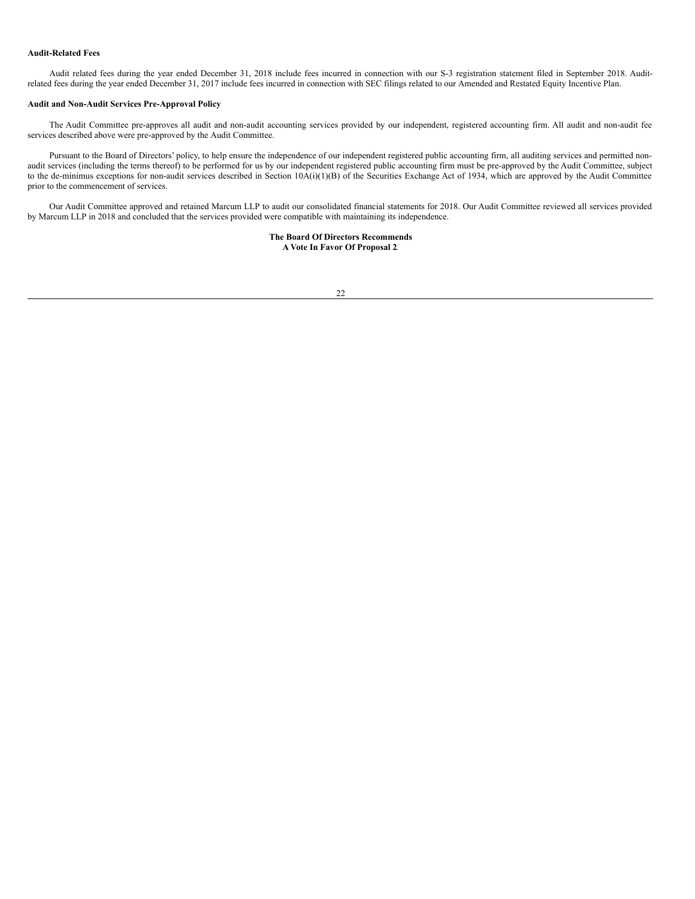#### **Audit-Related Fees**

Audit related fees during the year ended December 31, 2018 include fees incurred in connection with our S-3 registration statement filed in September 2018. Auditrelated fees during the year ended December 31, 2017 include fees incurred in connection with SEC filings related to our Amended and Restated Equity Incentive Plan.

# **Audit and Non-Audit Services Pre-Approval Policy**

The Audit Committee pre-approves all audit and non-audit accounting services provided by our independent, registered accounting firm. All audit and non-audit fee services described above were pre-approved by the Audit Committee.

Pursuant to the Board of Directors' policy, to help ensure the independence of our independent registered public accounting firm, all auditing services and permitted nonaudit services (including the terms thereof) to be performed for us by our independent registered public accounting firm must be pre-approved by the Audit Committee, subject to the de-minimus exceptions for non-audit services described in Section 10A(i)(1)(B) of the Securities Exchange Act of 1934, which are approved by the Audit Committee prior to the commencement of services.

Our Audit Committee approved and retained Marcum LLP to audit our consolidated financial statements for 2018. Our Audit Committee reviewed all services provided by Marcum LLP in 2018 and concluded that the services provided were compatible with maintaining its independence.

> **The Board Of Directors Recommends A Vote In Favor Of Proposal 2**.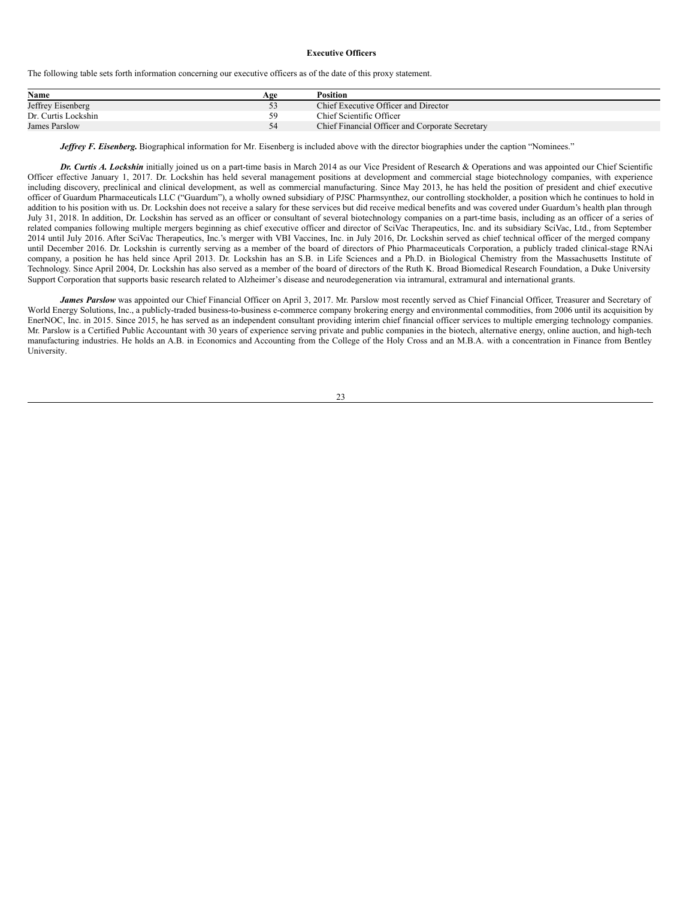#### <span id="page-26-0"></span>**Executive Officers**

The following table sets forth information concerning our executive officers as of the date of this proxy statement.

| Name                | Age | <b>Position</b>                                 |
|---------------------|-----|-------------------------------------------------|
| Jeffrey Eisenberg   |     | Chief Executive Officer and Director            |
| Dr. Curtis Lockshin | 50  | Chief Scientific Officer                        |
| James Parslow       |     | Chief Financial Officer and Corporate Secretary |

*Jeffrey F. Eisenberg.* Biographical information for Mr. Eisenberg is included above with the director biographies under the caption "Nominees."

*Dr. Curtis A. Lockshin* initially joined us on a part-time basis in March 2014 as our Vice President of Research & Operations and was appointed our Chief Scientific Officer effective January 1, 2017. Dr. Lockshin has held several management positions at development and commercial stage biotechnology companies, with experience including discovery, preclinical and clinical development, as well as commercial manufacturing. Since May 2013, he has held the position of president and chief executive officer of Guardum Pharmaceuticals LLC ("Guardum"), a wholly owned subsidiary of PJSC Pharmsynthez, our controlling stockholder, a position which he continues to hold in addition to his position with us. Dr. Lockshin does not receive a salary for these services but did receive medical benefits and was covered under Guardum's health plan through July 31, 2018. In addition, Dr. Lockshin has served as an officer or consultant of several biotechnology companies on a part-time basis, including as an officer of a series of related companies following multiple mergers beginning as chief executive officer and director of SciVac Therapeutics, Inc. and its subsidiary SciVac, Ltd., from September 2014 until July 2016. After SciVac Therapeutics, Inc.'s merger with VBI Vaccines, Inc. in July 2016, Dr. Lockshin served as chief technical officer of the merged company until December 2016. Dr. Lockshin is currently serving as a member of the board of directors of Phio Pharmaceuticals Corporation, a publicly traded clinical-stage RNAi company, a position he has held since April 2013. Dr. Lockshin has an S.B. in Life Sciences and a Ph.D. in Biological Chemistry from the Massachusetts Institute of Technology. Since April 2004, Dr. Lockshin has also served as a member of the board of directors of the Ruth K. Broad Biomedical Research Foundation, a Duke University Support Corporation that supports basic research related to Alzheimer's disease and neurodegeneration via intramural, extramural and international grants.

*James Parslow* was appointed our Chief Financial Officer on April 3, 2017. Mr. Parslow most recently served as Chief Financial Officer, Treasurer and Secretary of World Energy Solutions, Inc., a publicly-traded business-to-business e-commerce company brokering energy and environmental commodities, from 2006 until its acquisition by EnerNOC, Inc. in 2015. Since 2015, he has served as an independent consultant providing interim chief financial officer services to multiple emerging technology companies. Mr. Parslow is a Certified Public Accountant with 30 years of experience serving private and public companies in the biotech, alternative energy, online auction, and high-tech manufacturing industries. He holds an A.B. in Economics and Accounting from the College of the Holy Cross and an M.B.A. with a concentration in Finance from Bentley University.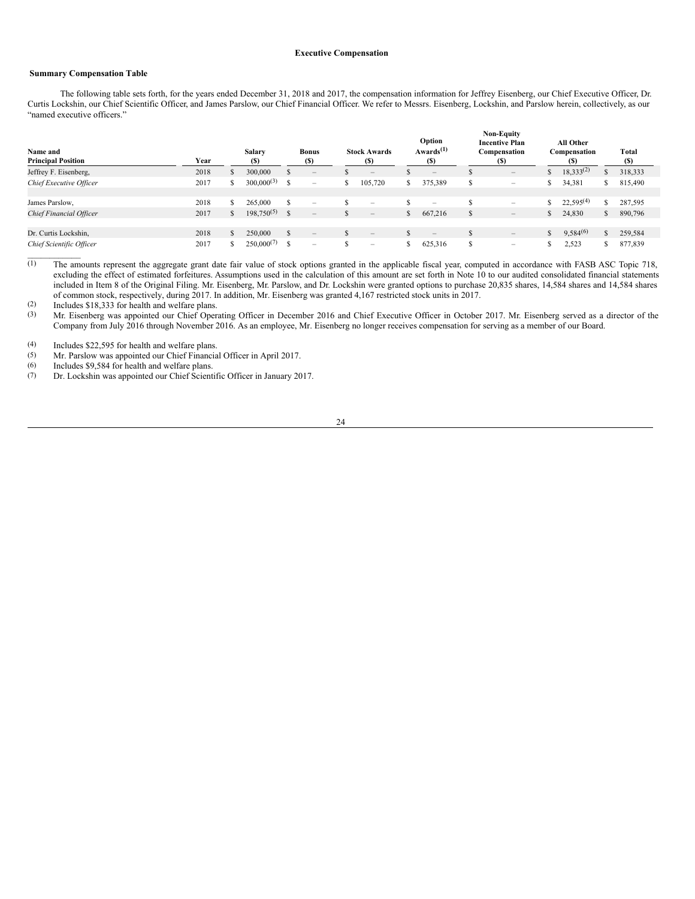#### <span id="page-27-0"></span>**Executive Compensation**

# <span id="page-27-1"></span>**Summary Compensation Table**

 $\mathcal{L}=\mathcal{L}^{\mathcal{L}}$ 

The following table sets forth, for the years ended December 31, 2018 and 2017, the compensation information for Jeffrey Eisenberg, our Chief Executive Officer, Dr. Curtis Lockshin, our Chief Scientific Officer, and James Parslow, our Chief Financial Officer. We refer to Messrs. Eisenberg, Lockshin, and Parslow herein, collectively, as our "named executive officers."

| Name and<br><b>Principal Position</b> | Year |               | Salary<br>(S)      | <b>Bonus</b><br><b>(S)</b>                |   | <b>Stock Awards</b><br>(S)        |    | Option<br>Awards $(1)$<br>(S)   |     | <b>Non-Equity</b><br><b>Incentive Plan</b><br>Compensation<br>(S) |              | All Other<br>Compensation<br>(S) |    | Total<br>(S) |
|---------------------------------------|------|---------------|--------------------|-------------------------------------------|---|-----------------------------------|----|---------------------------------|-----|-------------------------------------------------------------------|--------------|----------------------------------|----|--------------|
| Jeffrey F. Eisenberg,                 | 2018 | $\mathcal{L}$ | 300,000            | $\qquad \qquad -$                         |   | $\hspace{1.0cm} - \hspace{1.0cm}$ |    | $\hspace{0.1mm}-\hspace{0.1mm}$ |     | $\qquad \qquad -$                                                 | <sup>S</sup> | $18,333^{(2)}$                   |    | 318,333      |
| Chief Executive Officer               | 2017 | S             | $300,000^{(3)}$ \$ | -                                         | S | 105,720                           | S. | 375,389                         | S   | $\overline{\phantom{0}}$                                          | S.           | 34,381                           |    | 815,490      |
| James Parslow,                        | 2018 |               | 265,000            | -                                         |   | $\overline{\phantom{m}}$          |    | $\overline{\phantom{a}}$        |     | $\overline{\phantom{0}}$                                          | S            | $22,595^{(4)}$                   |    | 287,595      |
| Chief Financial Officer               | 2017 | \$            | $198,750^{(5)}$ \$ | $\qquad \qquad \overline{\qquad \qquad }$ |   | $\hspace{0.1mm}-\hspace{0.1mm}$   | S. | 667,216                         | \$. | $\qquad \qquad -$                                                 | S.           | 24,830                           | S  | 890,796      |
| Dr. Curtis Lockshin,                  | 2018 | 2P            | 250,000            | $\qquad \qquad \blacksquare$              |   | $\qquad \qquad -$                 |    | $\hspace{0.1mm}-\hspace{0.1mm}$ |     | $\qquad \qquad -$                                                 | $\mathbb{S}$ | $9,584^{(6)}$                    | \$ | 259,584      |
| Chief Scientific Officer              | 2017 |               | $250,000^{(7)}$    | $\overline{\phantom{0}}$                  |   | $\overline{\phantom{a}}$          |    | 625,316                         |     | $\overline{\phantom{0}}$                                          | ъ            | 2,523                            | S  | 877,839      |

 $\overline{(1)}$  The amounts represent the aggregate grant date fair value of stock options granted in the applicable fiscal year, computed in accordance with FASB ASC Topic 718, excluding the effect of estimated forfeitures. Assumptions used in the calculation of this amount are set forth in Note 10 to our audited consolidated financial statements included in Item 8 of the Original Filing. Mr. Eisenberg, Mr. Parslow, and Dr. Lockshin were granted options to purchase 20,835 shares, 14,584 shares and 14,584 shares of common stock, respectively, during 2017. In addition, Mr. Eisenberg was granted 4,167 restricted stock units in 2017.

(2) Includes \$18,333 for health and welfare plans.<br>(3) Mr. Eisenberg was appointed our Chief Opera

Mr. Eisenberg was appointed our Chief Operating Officer in December 2016 and Chief Executive Officer in October 2017. Mr. Eisenberg served as a director of the Company from July 2016 through November 2016. As an employee, Mr. Eisenberg no longer receives compensation for serving as a member of our Board.

(4) Includes \$22,595 for health and welfare plans.

(5) Mr. Parslow was appointed our Chief Financial Officer in April 2017.<br>
(6) Includes \$9,584 for health and welfare plans.

(6) Includes \$9,584 for health and welfare plans.<br>(7) Dr. Lockshin was appointed our Chief Scient

Dr. Lockshin was appointed our Chief Scientific Officer in January 2017.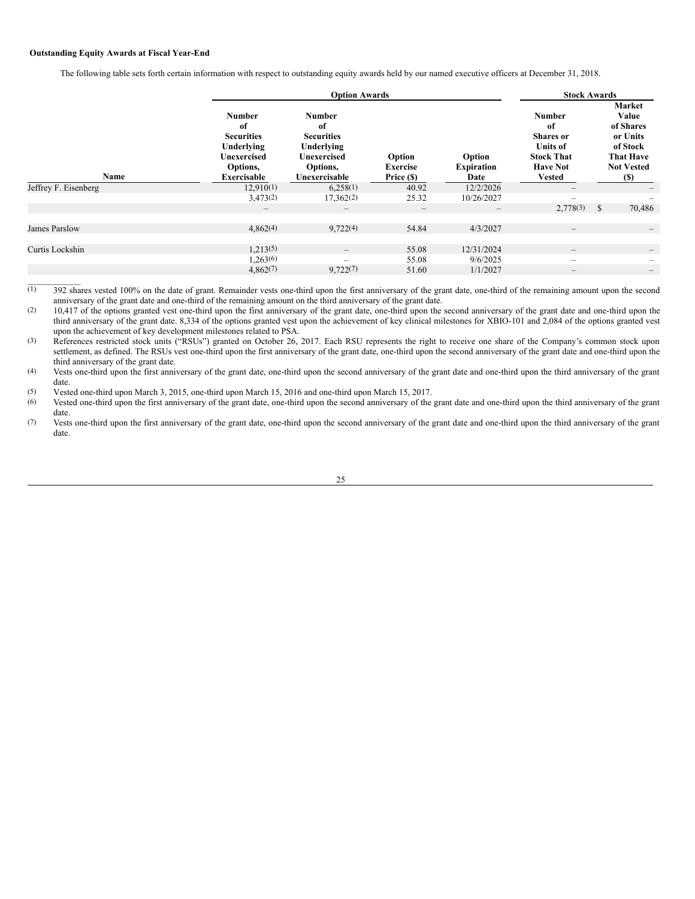### <span id="page-28-0"></span>**Outstanding Equity Awards at Fiscal Year-End**

The following table sets forth certain information with respect to outstanding equity awards held by our named executive officers at December 31, 2018.

|                              |                                                                                                         | <b>Option Awards</b>                                                                               | <b>Stock Awards</b>                     |                                     |                                                                                                                     |                                                                                                                     |  |
|------------------------------|---------------------------------------------------------------------------------------------------------|----------------------------------------------------------------------------------------------------|-----------------------------------------|-------------------------------------|---------------------------------------------------------------------------------------------------------------------|---------------------------------------------------------------------------------------------------------------------|--|
| Name<br>Jeffrey F. Eisenberg | <b>Number</b><br>of<br><b>Securities</b><br>Underlying<br>Unexercised<br>Options,<br><b>Exercisable</b> | <b>Number</b><br>of<br><b>Securities</b><br>Underlying<br>Unexercised<br>Options,<br>Unexercisable | Option<br><b>Exercise</b><br>Price (\$) | Option<br><b>Expiration</b><br>Date | <b>Number</b><br>of<br><b>Shares</b> or<br><b>Units of</b><br><b>Stock That</b><br><b>Have Not</b><br><b>Vested</b> | <b>Market</b><br>Value<br>of Shares<br>or Units<br>of Stock<br><b>That Have</b><br><b>Not Vested</b><br><b>(\$)</b> |  |
|                              | 12,910(1)                                                                                               | 6,258(1)                                                                                           | 40.92                                   | 12/2/2026                           |                                                                                                                     |                                                                                                                     |  |
|                              | 3,473(2)                                                                                                | 17,362(2)                                                                                          | 25.32                                   | 10/26/2027                          | -                                                                                                                   |                                                                                                                     |  |
|                              | $\qquad \qquad -$                                                                                       | $\qquad \qquad \overline{\qquad \qquad }$                                                          | $\qquad \qquad$                         | $\hspace{0.1mm}-\hspace{0.1mm}$     | 2,778(3)                                                                                                            | \$<br>70,486                                                                                                        |  |
|                              |                                                                                                         |                                                                                                    |                                         |                                     |                                                                                                                     |                                                                                                                     |  |
| James Parslow                | 4,862(4)                                                                                                | 9,722(4)                                                                                           | 54.84                                   | 4/3/2027                            | $\hspace{0.1mm}-\hspace{0.1mm}$                                                                                     | —                                                                                                                   |  |
| Curtis Lockshin              | 1,213(5)                                                                                                |                                                                                                    | 55.08                                   | 12/31/2024                          | $\qquad \qquad$                                                                                                     |                                                                                                                     |  |
|                              | 1,263(6)                                                                                                | $\overline{\phantom{a}}$                                                                           | 55.08                                   | 9/6/2025                            | -                                                                                                                   |                                                                                                                     |  |
|                              | 4,862(7)                                                                                                | 9,722(7)                                                                                           | 51.60                                   | 1/1/2027                            | $\qquad \qquad -$                                                                                                   | $-$                                                                                                                 |  |
|                              |                                                                                                         |                                                                                                    |                                         |                                     |                                                                                                                     |                                                                                                                     |  |

 $(1)$  392 shares vested 100% on the date of grant. Remainder vests one-third upon the first anniversary of the grant date, one-third of the remaining amount upon the second anniversary of the grant date and one-third of the remaining amount on the third anniversary of the grant date.

(2) 10,417 of the options granted vest one-third upon the first anniversary of the grant date, one-third upon the second anniversary of the grant date and one-third upon the third anniversary of the grant date. 8,334 of the options granted vest upon the achievement of key clinical milestones for XBIO-101 and 2,084 of the options granted vest upon the achievement of key development milestones related to PSA.

(3) References restricted stock units ("RSUs") granted on October 26, 2017. Each RSU represents the right to receive one share of the Company's common stock upon settlement, as defined. The RSUs vest one-third upon the first anniversary of the grant date, one-third upon the second anniversary of the grant date and one-third upon the third anniversary of the grant date.

(4) Vests one-third upon the first anniversary of the grant date, one-third upon the second anniversary of the grant date and one-third upon the third anniversary of the grant date.

(5) Vested one-third upon March 3, 2015, one-third upon March 15, 2016 and one-third upon March 15, 2017.

(6) Vested one-third upon the first anniversary of the grant date, one-third upon the second anniversary of the grant date and one-third upon the third anniversary of the grant date.

(7) Vests one-third upon the first anniversary of the grant date, one-third upon the second anniversary of the grant date and one-third upon the third anniversary of the grant date.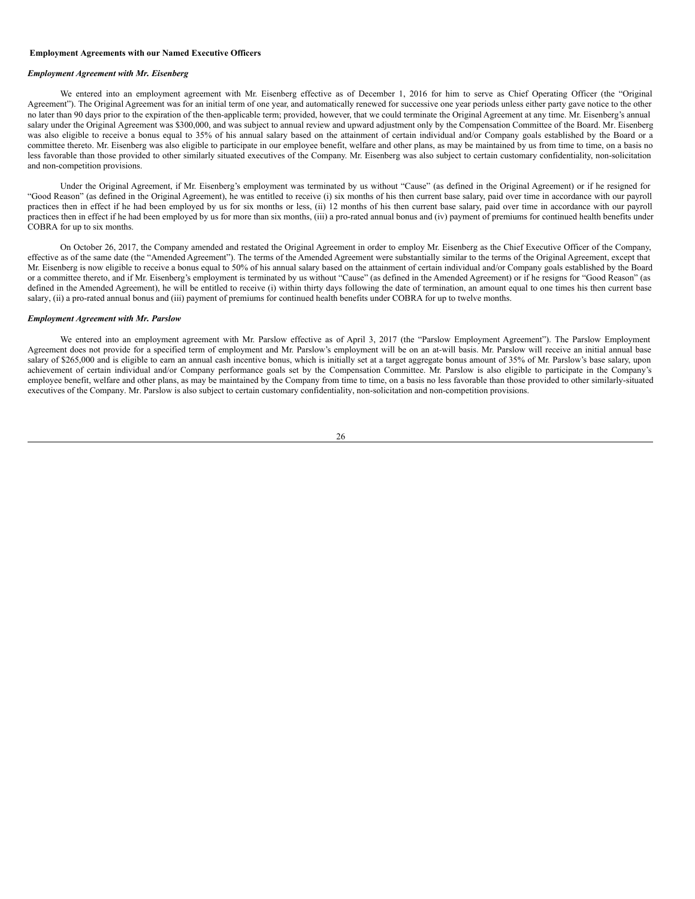#### <span id="page-29-0"></span>**Employment Agreements with our Named Executive Officers**

#### *Employment Agreement with Mr. Eisenberg*

We entered into an employment agreement with Mr. Eisenberg effective as of December 1, 2016 for him to serve as Chief Operating Officer (the "Original Agreement"). The Original Agreement was for an initial term of one year, and automatically renewed for successive one year periods unless either party gave notice to the other no later than 90 days prior to the expiration of the then-applicable term; provided, however, that we could terminate the Original Agreement at any time. Mr. Eisenberg's annual salary under the Original Agreement was \$300,000, and was subject to annual review and upward adjustment only by the Compensation Committee of the Board. Mr. Eisenberg was also eligible to receive a bonus equal to 35% of his annual salary based on the attainment of certain individual and/or Company goals established by the Board or a committee thereto. Mr. Eisenberg was also eligible to participate in our employee benefit, welfare and other plans, as may be maintained by us from time to time, on a basis no less favorable than those provided to other similarly situated executives of the Company. Mr. Eisenberg was also subject to certain customary confidentiality, non-solicitation and non-competition provisions.

Under the Original Agreement, if Mr. Eisenberg's employment was terminated by us without "Cause" (as defined in the Original Agreement) or if he resigned for "Good Reason" (as defined in the Original Agreement), he was entitled to receive (i) six months of his then current base salary, paid over time in accordance with our payroll practices then in effect if he had been employed by us for six months or less, (ii) 12 months of his then current base salary, paid over time in accordance with our payroll practices then in effect if he had been employed by us for more than six months, (iii) a pro-rated annual bonus and (iv) payment of premiums for continued health benefits under COBRA for up to six months.

On October 26, 2017, the Company amended and restated the Original Agreement in order to employ Mr. Eisenberg as the Chief Executive Officer of the Company, effective as of the same date (the "Amended Agreement"). The terms of the Amended Agreement were substantially similar to the terms of the Original Agreement, except that Mr. Eisenberg is now eligible to receive a bonus equal to 50% of his annual salary based on the attainment of certain individual and/or Company goals established by the Board or a committee thereto, and if Mr. Eisenberg's employment is terminated by us without "Cause" (as defined in the Amended Agreement) or if he resigns for "Good Reason" (as defined in the Amended Agreement), he will be entitled to receive (i) within thirty days following the date of termination, an amount equal to one times his then current base salary, (ii) a pro-rated annual bonus and (iii) payment of premiums for continued health benefits under COBRA for up to twelve months.

# *Employment Agreement with Mr. Parslow*

We entered into an employment agreement with Mr. Parslow effective as of April 3, 2017 (the "Parslow Employment Agreement"). The Parslow Employment Agreement does not provide for a specified term of employment and Mr. Parslow's employment will be on an at-will basis. Mr. Parslow will receive an initial annual base salary of \$265,000 and is eligible to earn an annual cash incentive bonus, which is initially set at a target aggregate bonus amount of 35% of Mr. Parslow's base salary, upon achievement of certain individual and/or Company performance goals set by the Compensation Committee. Mr. Parslow is also eligible to participate in the Company's employee benefit, welfare and other plans, as may be maintained by the Company from time to time, on a basis no less favorable than those provided to other similarly-situated executives of the Company. Mr. Parslow is also subject to certain customary confidentiality, non-solicitation and non-competition provisions.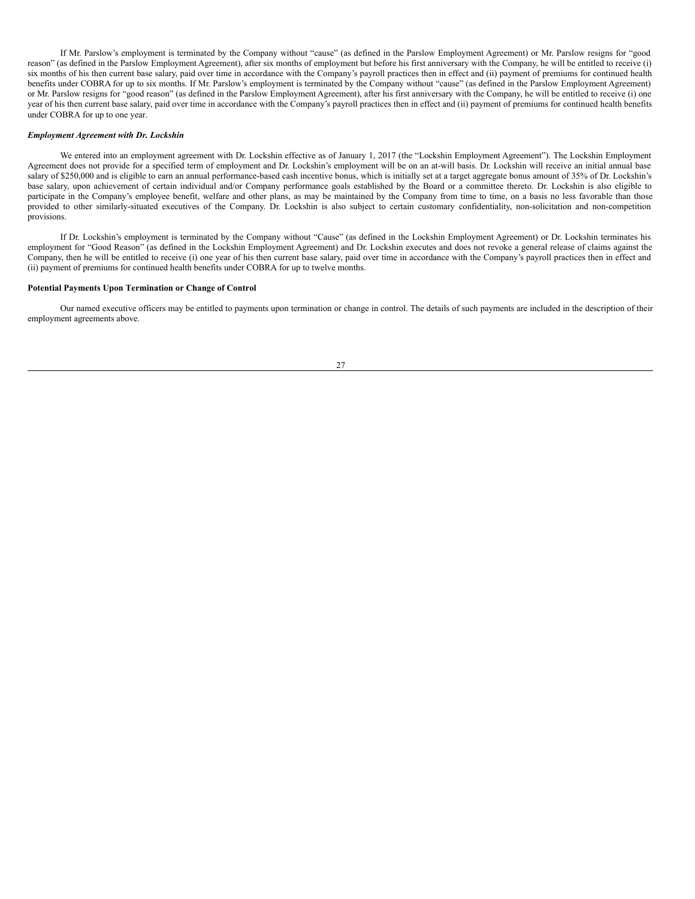If Mr. Parslow's employment is terminated by the Company without "cause" (as defined in the Parslow Employment Agreement) or Mr. Parslow resigns for "good reason" (as defined in the Parslow Employment Agreement), after six months of employment but before his first anniversary with the Company, he will be entitled to receive (i) six months of his then current base salary, paid over time in accordance with the Company's payroll practices then in effect and (ii) payment of premiums for continued health benefits under COBRA for up to six months. If Mr. Parslow's employment is terminated by the Company without "cause" (as defined in the Parslow Employment Agreement) or Mr. Parslow resigns for "good reason" (as defined in the Parslow Employment Agreement), after his first anniversary with the Company, he will be entitled to receive (i) one year of his then current base salary, paid over time in accordance with the Company's payroll practices then in effect and (ii) payment of premiums for continued health benefits under COBRA for up to one year.

#### *Employment Agreement with Dr. Lockshin*

We entered into an employment agreement with Dr. Lockshin effective as of January 1, 2017 (the "Lockshin Employment Agreement"). The Lockshin Employment Agreement does not provide for a specified term of employment and Dr. Lockshin's employment will be on an at-will basis. Dr. Lockshin will receive an initial annual base salary of \$250,000 and is eligible to earn an annual performance-based cash incentive bonus, which is initially set at a target aggregate bonus amount of 35% of Dr. Lockshin's base salary, upon achievement of certain individual and/or Company performance goals established by the Board or a committee thereto. Dr. Lockshin is also eligible to participate in the Company's employee benefit, welfare and other plans, as may be maintained by the Company from time to time, on a basis no less favorable than those provided to other similarly-situated executives of the Company. Dr. Lockshin is also subject to certain customary confidentiality, non-solicitation and non-competition provisions.

If Dr. Lockshin's employment is terminated by the Company without "Cause" (as defined in the Lockshin Employment Agreement) or Dr. Lockshin terminates his employment for "Good Reason" (as defined in the Lockshin Employment Agreement) and Dr. Lockshin executes and does not revoke a general release of claims against the Company, then he will be entitled to receive (i) one year of his then current base salary, paid over time in accordance with the Company's payroll practices then in effect and (ii) payment of premiums for continued health benefits under COBRA for up to twelve months.

# **Potential Payments Upon Termination or Change of Control**

Our named executive officers may be entitled to payments upon termination or change in control. The details of such payments are included in the description of their employment agreements above.

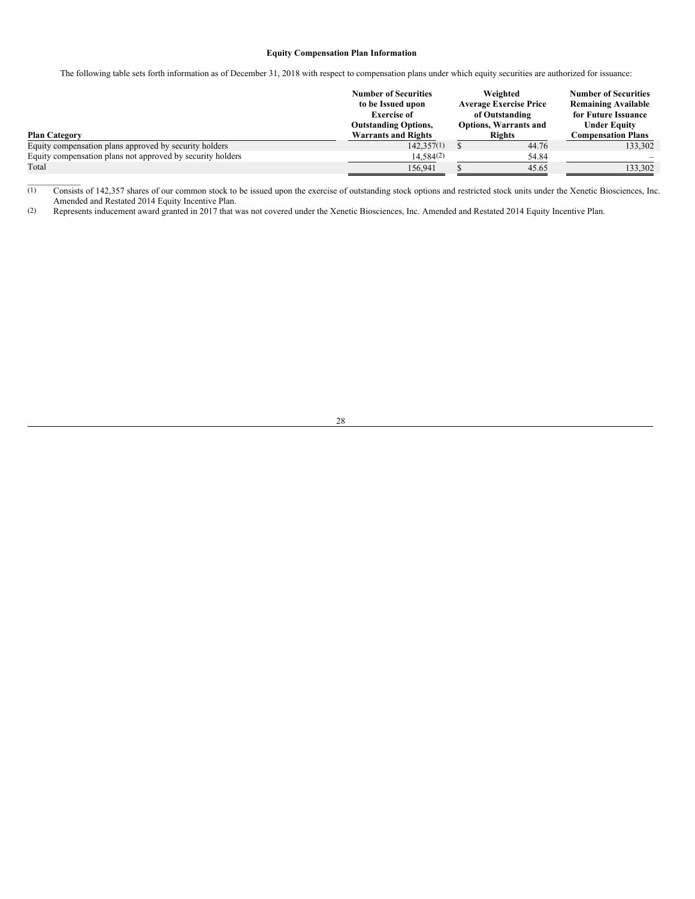# <span id="page-31-0"></span>**Equity Compensation Plan Information**

The following table sets forth information as of December 31, 2018 with respect to compensation plans under which equity securities are authorized for issuance:

| <b>Plan Category</b>                                       | <b>Number of Securities</b><br>to be Issued upon<br><b>Exercise of</b><br><b>Outstanding Options,</b><br><b>Warrants and Rights</b> | Weighted<br><b>Average Exercise Price</b><br>of Outstanding<br><b>Options, Warrants and</b><br><b>Rights</b> |       | <b>Number of Securities</b><br><b>Remaining Available</b><br>for Future Issuance<br><b>Under Equity</b><br><b>Compensation Plans</b> |  |
|------------------------------------------------------------|-------------------------------------------------------------------------------------------------------------------------------------|--------------------------------------------------------------------------------------------------------------|-------|--------------------------------------------------------------------------------------------------------------------------------------|--|
| Equity compensation plans approved by security holders     | 142.357(1)                                                                                                                          |                                                                                                              | 44.76 | 133,302                                                                                                                              |  |
| Equity compensation plans not approved by security holders | $14,584^{(2)}$                                                                                                                      |                                                                                                              | 54.84 |                                                                                                                                      |  |
| Total                                                      | 156.941                                                                                                                             |                                                                                                              | 45.65 | 133,302                                                                                                                              |  |

 $\overline{(1)}$  Consists of 142,357 shares of our common stock to be issued upon the exercise of outstanding stock options and restricted stock units under the Xenetic Biosciences, Inc. Amended and Restated 2014 Equity Incentive Plan.

(2) Represents inducement award granted in 2017 that was not covered under the Xenetic Biosciences, Inc. Amended and Restated 2014 Equity Incentive Plan.

 $\mathcal{L}=\mathcal{L}^{\mathcal{L}}$ 

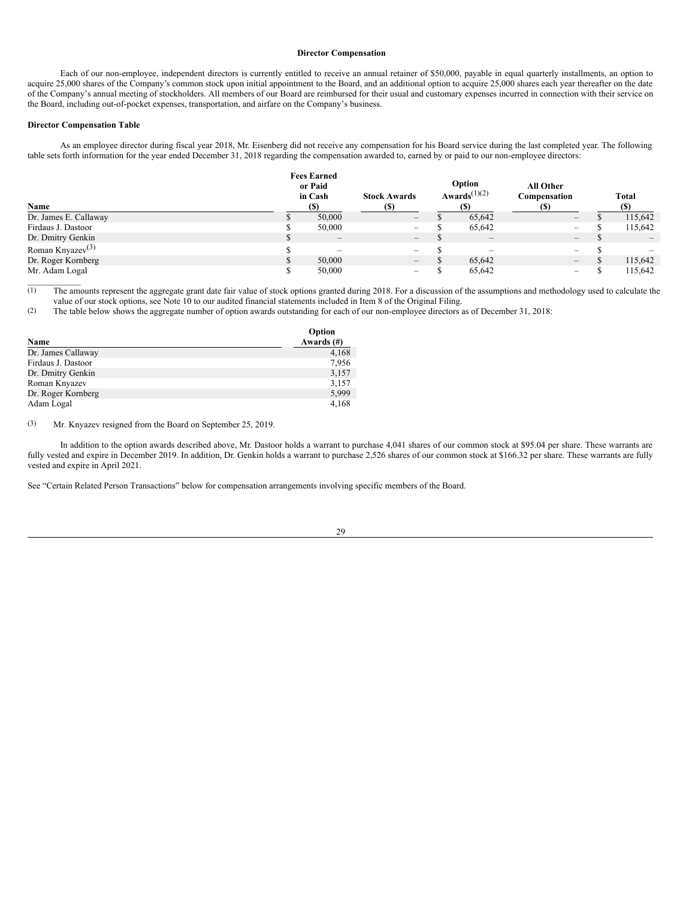#### <span id="page-32-0"></span>**Director Compensation**

Each of our non-employee, independent directors is currently entitled to receive an annual retainer of \$50,000, payable in equal quarterly installments, an option to acquire 25,000 shares of the Company's common stock upon initial appointment to the Board, and an additional option to acquire 25,000 shares each year thereafter on the date of the Company's annual meeting of stockholders. All members of our Board are reimbursed for their usual and customary expenses incurred in connection with their service on the Board, including out-of-pocket expenses, transportation, and airfare on the Company's business.

## **Director Compensation Table**

 $\mathcal{L}=\mathcal{L}^{\mathcal{L}}$ 

As an employee director during fiscal year 2018, Mr. Eisenberg did not receive any compensation for his Board service during the last completed year. The following table sets forth information for the year ended December 31, 2018 regarding the compensation awarded to, earned by or paid to our non-employee directors:

| Name                  | <b>Fees Earned</b><br>or Paid<br>in Cash<br>(S) | <b>Stock Awards</b>      | Option<br>Awards <sup><math>(1)(2)</math></sup><br><b>(S)</b> | All Other<br>Compensation<br>(S) | Total                           |
|-----------------------|-------------------------------------------------|--------------------------|---------------------------------------------------------------|----------------------------------|---------------------------------|
| Dr. James E. Callaway | 50,000                                          | $\qquad \qquad -$        | 65.642                                                        | $\overline{\phantom{a}}$         | 115,642                         |
| Firdaus J. Dastoor    | 50,000                                          | $\overline{\phantom{0}}$ | 65,642                                                        | $\overline{\phantom{0}}$         | 115,642                         |
| Dr. Dmitry Genkin     | $\hspace{0.1mm}-\hspace{0.1mm}$                 | $\overline{\phantom{0}}$ | $\hspace{0.1mm}-\hspace{0.1mm}$                               | $\qquad \qquad -$                | $\hspace{0.1mm}-\hspace{0.1mm}$ |
| Roman Knyazev $(3)$   | $\overline{\phantom{a}}$                        | $\overline{\phantom{0}}$ | $\sim$                                                        | $\overline{\phantom{0}}$         |                                 |
| Dr. Roger Kornberg    | 50,000                                          | $\qquad \qquad -$        | 65.642                                                        | $-$                              | 115,642                         |
| Mr. Adam Logal        | 50,000                                          | $\overline{\phantom{0}}$ | 65.642                                                        | -                                | 115,642                         |

(1) The amounts represent the aggregate grant date fair value of stock options granted during 2018. For a discussion of the assumptions and methodology used to calculate the value of our stock options, see Note 10 to our audited financial statements included in Item 8 of the Original Filing.

(2) The table below shows the aggregate number of option awards outstanding for each of our non-employee directors as of December 31, 2018:

|                    | Option        |
|--------------------|---------------|
| Name               | Awards $(\#)$ |
| Dr. James Callaway | 4,168         |
| Firdaus J. Dastoor | 7,956         |
| Dr. Dmitry Genkin  | 3,157         |
| Roman Knyazev      | 3,157         |
| Dr. Roger Kornberg | 5,999         |
| Adam Logal         | 4,168         |

(3) Mr. Knyazev resigned from the Board on September 25, 2019.

In addition to the option awards described above, Mr. Dastoor holds a warrant to purchase 4,041 shares of our common stock at \$95.04 per share. These warrants are fully vested and expire in December 2019. In addition, Dr. Genkin holds a warrant to purchase 2,526 shares of our common stock at \$166.32 per share. These warrants are fully vested and expire in April 2021.

See "Certain Related Person Transactions" below for compensation arrangements involving specific members of the Board.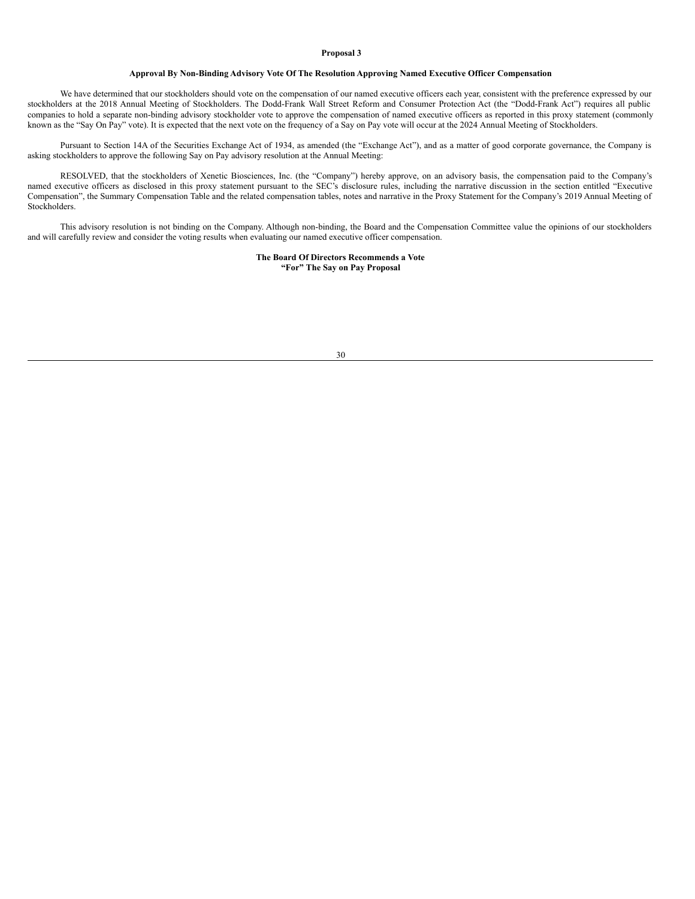#### <span id="page-33-0"></span>**Proposal 3**

# **Approval By Non-Binding Advisory Vote Of The Resolution Approving Named Executive Officer Compensation**

We have determined that our stockholders should vote on the compensation of our named executive officers each year, consistent with the preference expressed by our stockholders at the 2018 Annual Meeting of Stockholders. The Dodd-Frank Wall Street Reform and Consumer Protection Act (the "Dodd-Frank Act") requires all public companies to hold a separate non-binding advisory stockholder vote to approve the compensation of named executive officers as reported in this proxy statement (commonly known as the "Say On Pay" vote). It is expected that the next vote on the frequency of a Say on Pay vote will occur at the 2024 Annual Meeting of Stockholders.

Pursuant to Section 14A of the Securities Exchange Act of 1934, as amended (the "Exchange Act"), and as a matter of good corporate governance, the Company is asking stockholders to approve the following Say on Pay advisory resolution at the Annual Meeting:

RESOLVED, that the stockholders of Xenetic Biosciences, Inc. (the "Company") hereby approve, on an advisory basis, the compensation paid to the Company's named executive officers as disclosed in this proxy statement pursuant to the SEC's disclosure rules, including the narrative discussion in the section entitled "Executive Compensation", the Summary Compensation Table and the related compensation tables, notes and narrative in the Proxy Statement for the Company's 2019 Annual Meeting of Stockholders.

This advisory resolution is not binding on the Company. Although non-binding, the Board and the Compensation Committee value the opinions of our stockholders and will carefully review and consider the voting results when evaluating our named executive officer compensation.

> **The Board Of Directors Recommends a Vote "For" The Say on Pay Proposal**

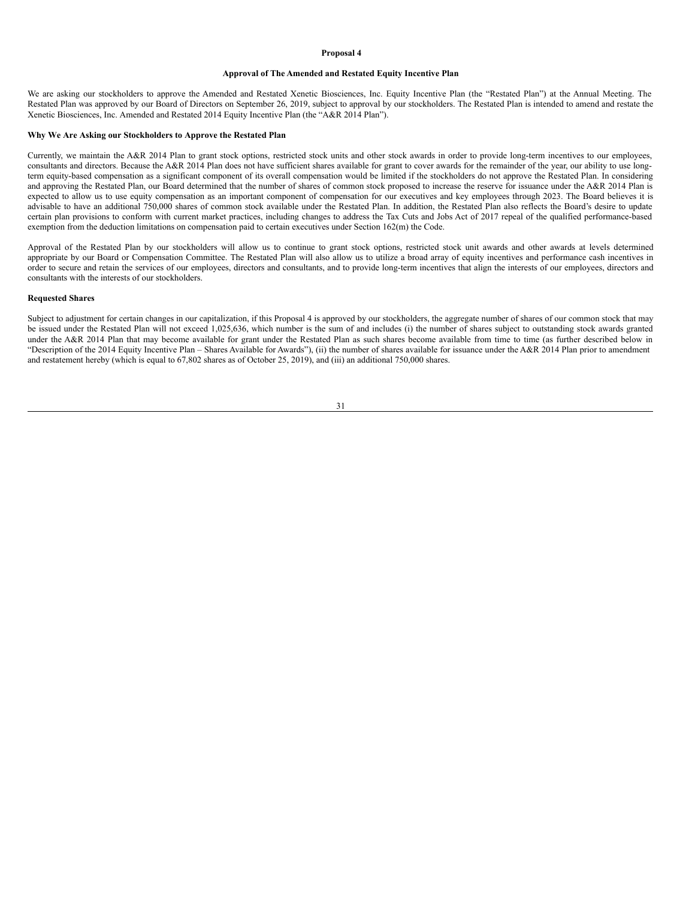#### <span id="page-34-0"></span>**Proposal 4**

## **Approval of The Amended and Restated Equity Incentive Plan**

We are asking our stockholders to approve the Amended and Restated Xenetic Biosciences, Inc. Equity Incentive Plan (the "Restated Plan") at the Annual Meeting. The Restated Plan was approved by our Board of Directors on September 26, 2019, subject to approval by our stockholders. The Restated Plan is intended to amend and restate the Xenetic Biosciences, Inc. Amended and Restated 2014 Equity Incentive Plan (the "A&R 2014 Plan").

#### **Why We Are Asking our Stockholders to Approve the Restated Plan**

Currently, we maintain the A&R 2014 Plan to grant stock options, restricted stock units and other stock awards in order to provide long-term incentives to our employees, consultants and directors. Because the A&R 2014 Plan does not have sufficient shares available for grant to cover awards for the remainder of the year, our ability to use longterm equity-based compensation as a significant component of its overall compensation would be limited if the stockholders do not approve the Restated Plan. In considering and approving the Restated Plan, our Board determined that the number of shares of common stock proposed to increase the reserve for issuance under the A&R 2014 Plan is expected to allow us to use equity compensation as an important component of compensation for our executives and key employees through 2023. The Board believes it is advisable to have an additional 750,000 shares of common stock available under the Restated Plan. In addition, the Restated Plan also reflects the Board's desire to update certain plan provisions to conform with current market practices, including changes to address the Tax Cuts and Jobs Act of 2017 repeal of the qualified performance-based exemption from the deduction limitations on compensation paid to certain executives under Section 162(m) the Code.

Approval of the Restated Plan by our stockholders will allow us to continue to grant stock options, restricted stock unit awards and other awards at levels determined appropriate by our Board or Compensation Committee. The Restated Plan will also allow us to utilize a broad array of equity incentives and performance cash incentives in order to secure and retain the services of our employees, directors and consultants, and to provide long-term incentives that align the interests of our employees, directors and consultants with the interests of our stockholders.

## **Requested Shares**

Subject to adjustment for certain changes in our capitalization, if this Proposal 4 is approved by our stockholders, the aggregate number of shares of our common stock that may be issued under the Restated Plan will not exceed 1,025,636, which number is the sum of and includes (i) the number of shares subject to outstanding stock awards granted under the A&R 2014 Plan that may become available for grant under the Restated Plan as such shares become available from time to time (as further described below in "Description of the 2014 Equity Incentive Plan – Shares Available for Awards"), (ii) the number of shares available for issuance under the A&R 2014 Plan prior to amendment and restatement hereby (which is equal to 67,802 shares as of October 25, 2019), and (iii) an additional 750,000 shares.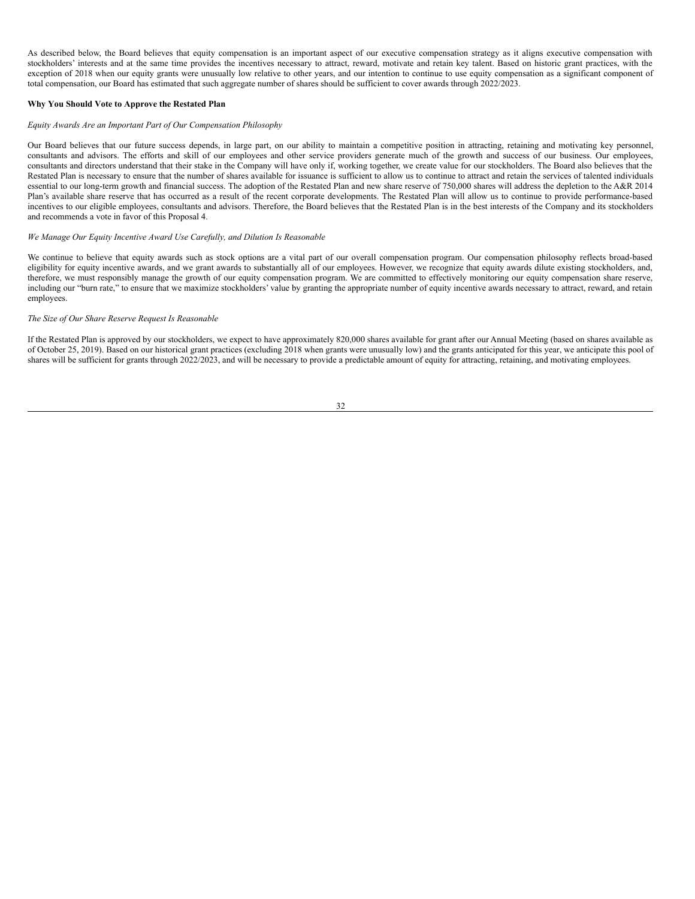As described below, the Board believes that equity compensation is an important aspect of our executive compensation strategy as it aligns executive compensation with stockholders' interests and at the same time provides the incentives necessary to attract, reward, motivate and retain key talent. Based on historic grant practices, with the exception of 2018 when our equity grants were unusually low relative to other years, and our intention to continue to use equity compensation as a significant component of total compensation, our Board has estimated that such aggregate number of shares should be sufficient to cover awards through 2022/2023.

# **Why You Should Vote to Approve the Restated Plan**

#### *Equity Awards Are an Important Part of Our Compensation Philosophy*

Our Board believes that our future success depends, in large part, on our ability to maintain a competitive position in attracting, retaining and motivating key personnel, consultants and advisors. The efforts and skill of our employees and other service providers generate much of the growth and success of our business. Our employees, consultants and directors understand that their stake in the Company will have only if, working together, we create value for our stockholders. The Board also believes that the Restated Plan is necessary to ensure that the number of shares available for issuance is sufficient to allow us to continue to attract and retain the services of talented individuals essential to our long-term growth and financial success. The adoption of the Restated Plan and new share reserve of 750,000 shares will address the depletion to the A&R 2014 Plan's available share reserve that has occurred as a result of the recent corporate developments. The Restated Plan will allow us to continue to provide performance-based incentives to our eligible employees, consultants and advisors. Therefore, the Board believes that the Restated Plan is in the best interests of the Company and its stockholders and recommends a vote in favor of this Proposal 4.

# *We Manage Our Equity Incentive Award Use Carefully, and Dilution Is Reasonable*

We continue to believe that equity awards such as stock options are a vital part of our overall compensation program. Our compensation philosophy reflects broad-based eligibility for equity incentive awards, and we grant awards to substantially all of our employees. However, we recognize that equity awards dilute existing stockholders, and, therefore, we must responsibly manage the growth of our equity compensation program. We are committed to effectively monitoring our equity compensation share reserve, including our "burn rate," to ensure that we maximize stockholders' value by granting the appropriate number of equity incentive awards necessary to attract, reward, and retain employees.

# *The Size of Our Share Reserve Request Is Reasonable*

If the Restated Plan is approved by our stockholders, we expect to have approximately 820,000 shares available for grant after our Annual Meeting (based on shares available as of October 25, 2019). Based on our historical grant practices (excluding 2018 when grants were unusually low) and the grants anticipated for this year, we anticipate this pool of shares will be sufficient for grants through 2022/2023, and will be necessary to provide a predictable amount of equity for attracting, retaining, and motivating employees.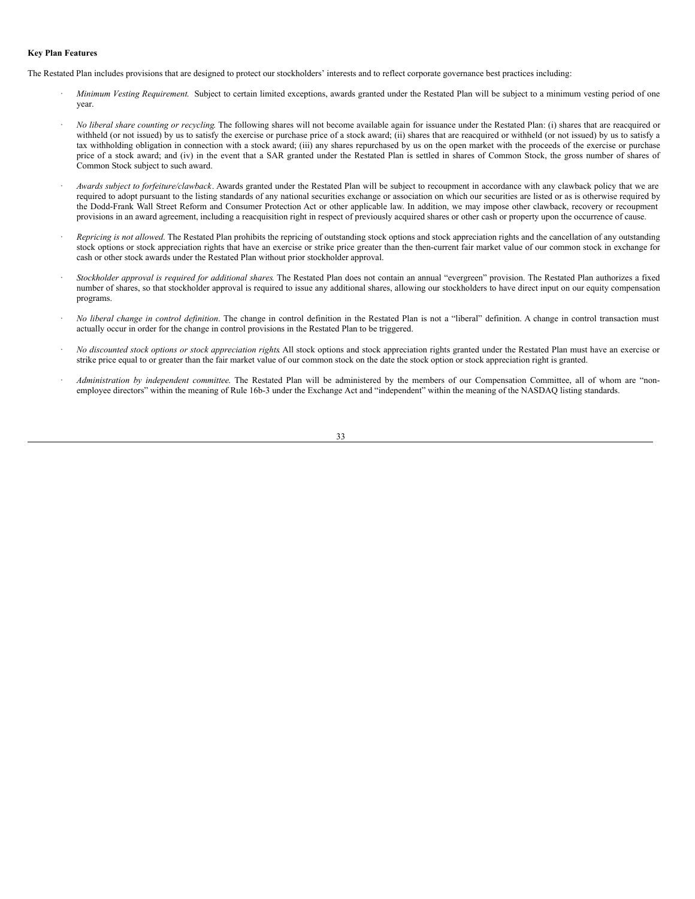## **Key Plan Features**

The Restated Plan includes provisions that are designed to protect our stockholders' interests and to reflect corporate governance best practices including:

- · *Minimum Vesting Requirement*. Subject to certain limited exceptions, awards granted under the Restated Plan will be subject to a minimum vesting period of one year.
- · *No liberal share counting or recycling*. The following shares will not become available again for issuance under the Restated Plan: (i) shares that are reacquired or withheld (or not issued) by us to satisfy the exercise or purchase price of a stock award; (ii) shares that are reacquired or withheld (or not issued) by us to satisfy a tax withholding obligation in connection with a stock award; (iii) any shares repurchased by us on the open market with the proceeds of the exercise or purchase price of a stock award; and (iv) in the event that a SAR granted under the Restated Plan is settled in shares of Common Stock, the gross number of shares of Common Stock subject to such award.
- · *Awards subject to forfeiture/clawback*. Awards granted under the Restated Plan will be subject to recoupment in accordance with any clawback policy that we are required to adopt pursuant to the listing standards of any national securities exchange or association on which our securities are listed or as is otherwise required by the Dodd-Frank Wall Street Reform and Consumer Protection Act or other applicable law. In addition, we may impose other clawback, recovery or recoupment provisions in an award agreement, including a reacquisition right in respect of previously acquired shares or other cash or property upon the occurrence of cause.
- · *Repricing is not allowed*. The Restated Plan prohibits the repricing of outstanding stock options and stock appreciation rights and the cancellation of any outstanding stock options or stock appreciation rights that have an exercise or strike price greater than the then-current fair market value of our common stock in exchange for cash or other stock awards under the Restated Plan without prior stockholder approval.
- · *Stockholder approval is required for additional shares*. The Restated Plan does not contain an annual "evergreen" provision. The Restated Plan authorizes a fixed number of shares, so that stockholder approval is required to issue any additional shares, allowing our stockholders to have direct input on our equity compensation programs.
- · *No liberal change in control definition*. The change in control definition in the Restated Plan is not a "liberal" definition. A change in control transaction must actually occur in order for the change in control provisions in the Restated Plan to be triggered.
- · *No discounted stock options or stock appreciation rights*. All stock options and stock appreciation rights granted under the Restated Plan must have an exercise or strike price equal to or greater than the fair market value of our common stock on the date the stock option or stock appreciation right is granted.
- Administration by independent committee. The Restated Plan will be administered by the members of our Compensation Committee, all of whom are "nonemployee directors" within the meaning of Rule 16b-3 under the Exchange Act and "independent" within the meaning of the NASDAQ listing standards.

33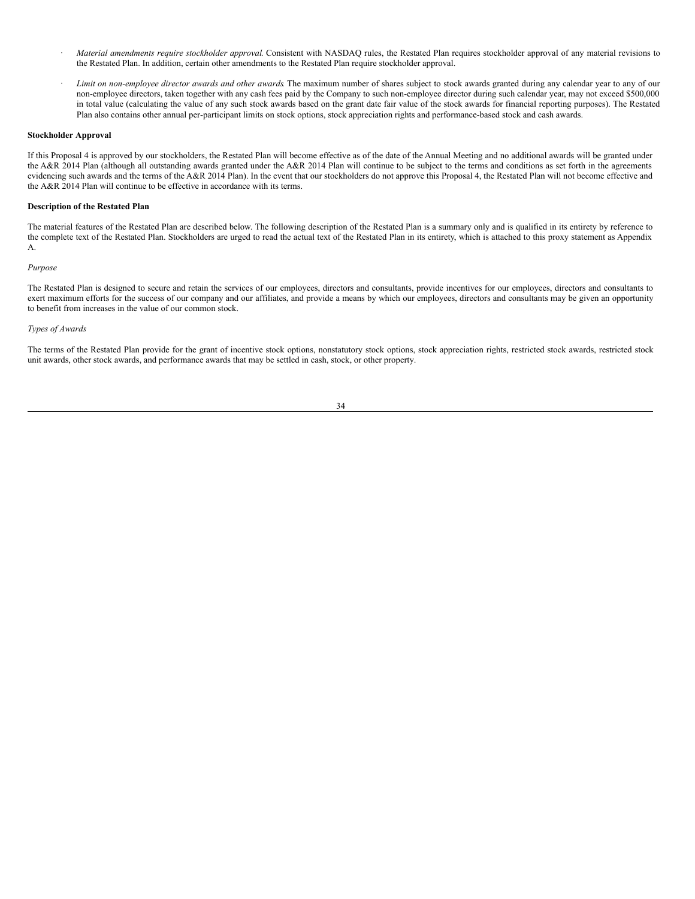- · *Material amendments require stockholder approval*. Consistent with NASDAQ rules, the Restated Plan requires stockholder approval of any material revisions to the Restated Plan. In addition, certain other amendments to the Restated Plan require stockholder approval.
- · *Limit on non-employee director awards and other awards*. The maximum number of shares subject to stock awards granted during any calendar year to any of our non-employee directors, taken together with any cash fees paid by the Company to such non-employee director during such calendar year, may not exceed \$500,000 in total value (calculating the value of any such stock awards based on the grant date fair value of the stock awards for financial reporting purposes). The Restated Plan also contains other annual per-participant limits on stock options, stock appreciation rights and performance-based stock and cash awards.

### **Stockholder Approval**

If this Proposal 4 is approved by our stockholders, the Restated Plan will become effective as of the date of the Annual Meeting and no additional awards will be granted under the A&R 2014 Plan (although all outstanding awards granted under the A&R 2014 Plan will continue to be subject to the terms and conditions as set forth in the agreements evidencing such awards and the terms of the A&R 2014 Plan). In the event that our stockholders do not approve this Proposal 4, the Restated Plan will not become effective and the A&R 2014 Plan will continue to be effective in accordance with its terms.

# **Description of the Restated Plan**

The material features of the Restated Plan are described below. The following description of the Restated Plan is a summary only and is qualified in its entirety by reference to the complete text of the Restated Plan. Stockholders are urged to read the actual text of the Restated Plan in its entirety, which is attached to this proxy statement as Appendix A.

# *Purpose*

The Restated Plan is designed to secure and retain the services of our employees, directors and consultants, provide incentives for our employees, directors and consultants to exert maximum efforts for the success of our company and our affiliates, and provide a means by which our employees, directors and consultants may be given an opportunity to benefit from increases in the value of our common stock.

## *Types of Awards*

The terms of the Restated Plan provide for the grant of incentive stock options, nonstatutory stock options, stock appreciation rights, restricted stock awards, restricted stock unit awards, other stock awards, and performance awards that may be settled in cash, stock, or other property.

## 34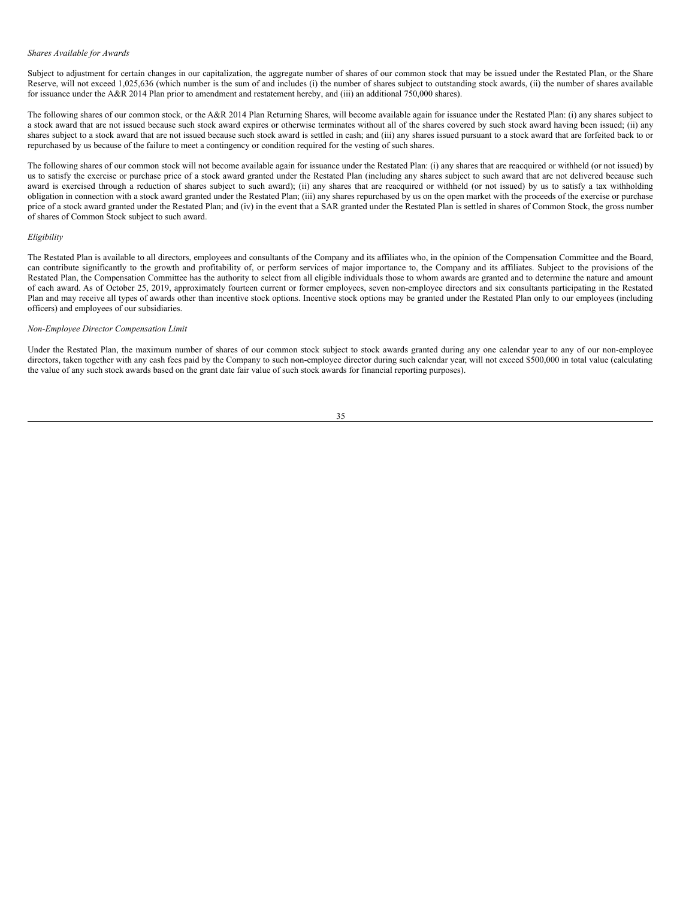#### *Shares Available for Awards*

Subject to adjustment for certain changes in our capitalization, the aggregate number of shares of our common stock that may be issued under the Restated Plan, or the Share Reserve, will not exceed 1,025,636 (which number is the sum of and includes (i) the number of shares subject to outstanding stock awards, (ii) the number of shares available for issuance under the A&R 2014 Plan prior to amendment and restatement hereby, and (iii) an additional 750,000 shares).

The following shares of our common stock, or the A&R 2014 Plan Returning Shares, will become available again for issuance under the Restated Plan: (i) any shares subject to a stock award that are not issued because such stock award expires or otherwise terminates without all of the shares covered by such stock award having been issued; (ii) any shares subject to a stock award that are not issued because such stock award is settled in cash; and (iii) any shares issued pursuant to a stock award that are forfeited back to or repurchased by us because of the failure to meet a contingency or condition required for the vesting of such shares.

The following shares of our common stock will not become available again for issuance under the Restated Plan: (i) any shares that are reacquired or withheld (or not issued) by us to satisfy the exercise or purchase price of a stock award granted under the Restated Plan (including any shares subject to such award that are not delivered because such award is exercised through a reduction of shares subject to such award); (ii) any shares that are reacquired or withheld (or not issued) by us to satisfy a tax withholding obligation in connection with a stock award granted under the Restated Plan; (iii) any shares repurchased by us on the open market with the proceeds of the exercise or purchase price of a stock award granted under the Restated Plan; and (iv) in the event that a SAR granted under the Restated Plan is settled in shares of Common Stock, the gross number of shares of Common Stock subject to such award.

#### *Eligibility*

The Restated Plan is available to all directors, employees and consultants of the Company and its affiliates who, in the opinion of the Compensation Committee and the Board, can contribute significantly to the growth and profitability of, or perform services of major importance to, the Company and its affiliates. Subject to the provisions of the Restated Plan, the Compensation Committee has the authority to select from all eligible individuals those to whom awards are granted and to determine the nature and amount of each award. As of October 25, 2019, approximately fourteen current or former employees, seven non-employee directors and six consultants participating in the Restated Plan and may receive all types of awards other than incentive stock options. Incentive stock options may be granted under the Restated Plan only to our employees (including officers) and employees of our subsidiaries.

# *Non-Employee Director Compensation Limit*

Under the Restated Plan, the maximum number of shares of our common stock subject to stock awards granted during any one calendar year to any of our non-employee directors, taken together with any cash fees paid by the Company to such non-employee director during such calendar year, will not exceed \$500,000 in total value (calculating the value of any such stock awards based on the grant date fair value of such stock awards for financial reporting purposes).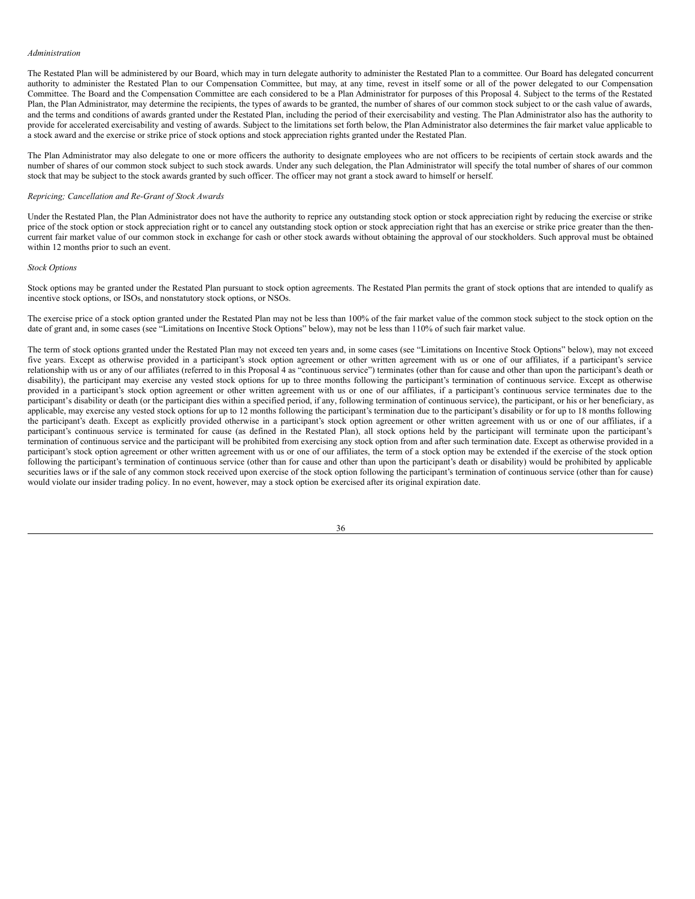#### *Administration*

The Restated Plan will be administered by our Board, which may in turn delegate authority to administer the Restated Plan to a committee. Our Board has delegated concurrent authority to administer the Restated Plan to our Compensation Committee, but may, at any time, revest in itself some or all of the power delegated to our Compensation Committee. The Board and the Compensation Committee are each considered to be a Plan Administrator for purposes of this Proposal 4. Subject to the terms of the Restated Plan, the Plan Administrator, may determine the recipients, the types of awards to be granted, the number of shares of our common stock subject to or the cash value of awards, and the terms and conditions of awards granted under the Restated Plan, including the period of their exercisability and vesting. The Plan Administrator also has the authority to provide for accelerated exercisability and vesting of awards. Subject to the limitations set forth below, the Plan Administrator also determines the fair market value applicable to a stock award and the exercise or strike price of stock options and stock appreciation rights granted under the Restated Plan.

The Plan Administrator may also delegate to one or more officers the authority to designate employees who are not officers to be recipients of certain stock awards and the number of shares of our common stock subject to such stock awards. Under any such delegation, the Plan Administrator will specify the total number of shares of our common stock that may be subject to the stock awards granted by such officer. The officer may not grant a stock award to himself or herself.

#### *Repricing; Cancellation and Re-Grant of Stock Awards*

Under the Restated Plan, the Plan Administrator does not have the authority to reprice any outstanding stock option or stock appreciation right by reducing the exercise or strike price of the stock option or stock appreciation right or to cancel any outstanding stock option or stock appreciation right that has an exercise or strike price greater than the thencurrent fair market value of our common stock in exchange for cash or other stock awards without obtaining the approval of our stockholders. Such approval must be obtained within 12 months prior to such an event.

## *Stock Options*

Stock options may be granted under the Restated Plan pursuant to stock option agreements. The Restated Plan permits the grant of stock options that are intended to qualify as incentive stock options, or ISOs, and nonstatutory stock options, or NSOs.

The exercise price of a stock option granted under the Restated Plan may not be less than 100% of the fair market value of the common stock subject to the stock option on the date of grant and, in some cases (see "Limitations on Incentive Stock Options" below), may not be less than 110% of such fair market value.

The term of stock options granted under the Restated Plan may not exceed ten years and, in some cases (see "Limitations on Incentive Stock Options" below), may not exceed five years. Except as otherwise provided in a participant's stock option agreement or other written agreement with us or one of our affiliates, if a participant's service relationship with us or any of our affiliates (referred to in this Proposal 4 as "continuous service") terminates (other than for cause and other than upon the participant's death or disability), the participant may exercise any vested stock options for up to three months following the participant's termination of continuous service. Except as otherwise provided in a participant's stock option agreement or other written agreement with us or one of our affiliates, if a participant's continuous service terminates due to the participant's disability or death (or the participant dies within a specified period, if any, following termination of continuous service), the participant, or his or her beneficiary, as applicable, may exercise any vested stock options for up to 12 months following the participant's termination due to the participant's disability or for up to 18 months following the participant's death. Except as explicitly provided otherwise in a participant's stock option agreement or other written agreement with us or one of our affiliates, if a participant's continuous service is terminated for cause (as defined in the Restated Plan), all stock options held by the participant will terminate upon the participant's termination of continuous service and the participant will be prohibited from exercising any stock option from and after such termination date. Except as otherwise provided in a participant's stock option agreement or other written agreement with us or one of our affiliates, the term of a stock option may be extended if the exercise of the stock option following the participant's termination of continuous service (other than for cause and other than upon the participant's death or disability) would be prohibited by applicable securities laws or if the sale of any common stock received upon exercise of the stock option following the participant's termination of continuous service (other than for cause) would violate our insider trading policy. In no event, however, may a stock option be exercised after its original expiration date.

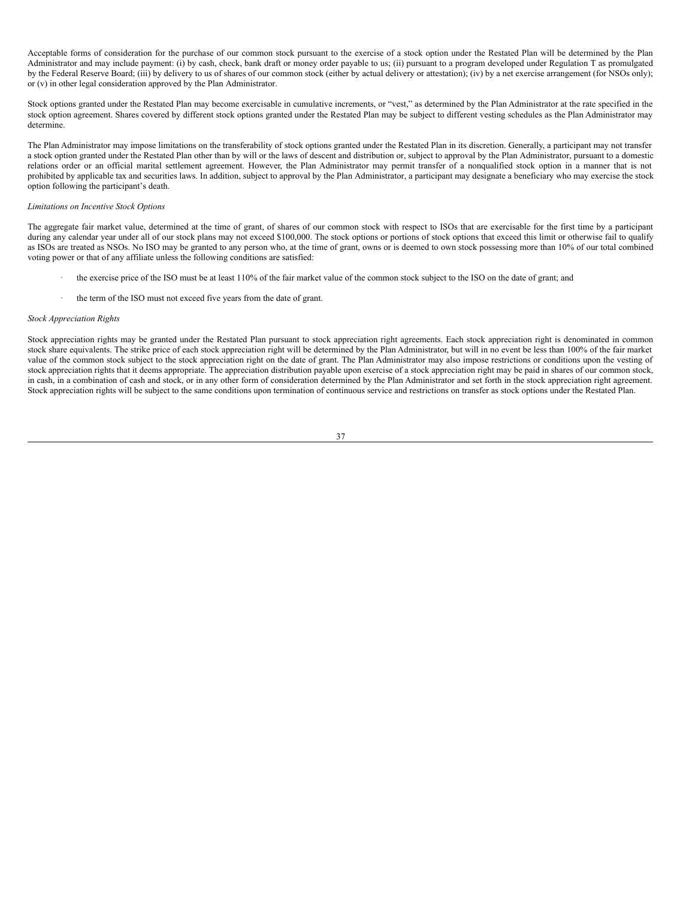Acceptable forms of consideration for the purchase of our common stock pursuant to the exercise of a stock option under the Restated Plan will be determined by the Plan Administrator and may include payment: (i) by cash, check, bank draft or money order payable to us; (ii) pursuant to a program developed under Regulation T as promulgated by the Federal Reserve Board; (iii) by delivery to us of shares of our common stock (either by actual delivery or attestation); (iv) by a net exercise arrangement (for NSOs only); or (v) in other legal consideration approved by the Plan Administrator.

Stock options granted under the Restated Plan may become exercisable in cumulative increments, or "vest," as determined by the Plan Administrator at the rate specified in the stock option agreement. Shares covered by different stock options granted under the Restated Plan may be subject to different vesting schedules as the Plan Administrator may determine.

The Plan Administrator may impose limitations on the transferability of stock options granted under the Restated Plan in its discretion. Generally, a participant may not transfer a stock option granted under the Restated Plan other than by will or the laws of descent and distribution or, subject to approval by the Plan Administrator, pursuant to a domestic relations order or an official marital settlement agreement. However, the Plan Administrator may permit transfer of a nonqualified stock option in a manner that is not prohibited by applicable tax and securities laws. In addition, subject to approval by the Plan Administrator, a participant may designate a beneficiary who may exercise the stock option following the participant's death.

# *Limitations on Incentive Stock Options*

The aggregate fair market value, determined at the time of grant, of shares of our common stock with respect to ISOs that are exercisable for the first time by a participant during any calendar year under all of our stock plans may not exceed \$100,000. The stock options or portions of stock options that exceed this limit or otherwise fail to qualify as ISOs are treated as NSOs. No ISO may be granted to any person who, at the time of grant, owns or is deemed to own stock possessing more than 10% of our total combined voting power or that of any affiliate unless the following conditions are satisfied:

- the exercise price of the ISO must be at least 110% of the fair market value of the common stock subject to the ISO on the date of grant; and
- the term of the ISO must not exceed five years from the date of grant.

## *Stock Appreciation Rights*

Stock appreciation rights may be granted under the Restated Plan pursuant to stock appreciation right agreements. Each stock appreciation right is denominated in common stock share equivalents. The strike price of each stock appreciation right will be determined by the Plan Administrator, but will in no event be less than 100% of the fair market value of the common stock subject to the stock appreciation right on the date of grant. The Plan Administrator may also impose restrictions or conditions upon the vesting of stock appreciation rights that it deems appropriate. The appreciation distribution payable upon exercise of a stock appreciation right may be paid in shares of our common stock, in cash, in a combination of cash and stock, or in any other form of consideration determined by the Plan Administrator and set forth in the stock appreciation right agreement. Stock appreciation rights will be subject to the same conditions upon termination of continuous service and restrictions on transfer as stock options under the Restated Plan.

# 37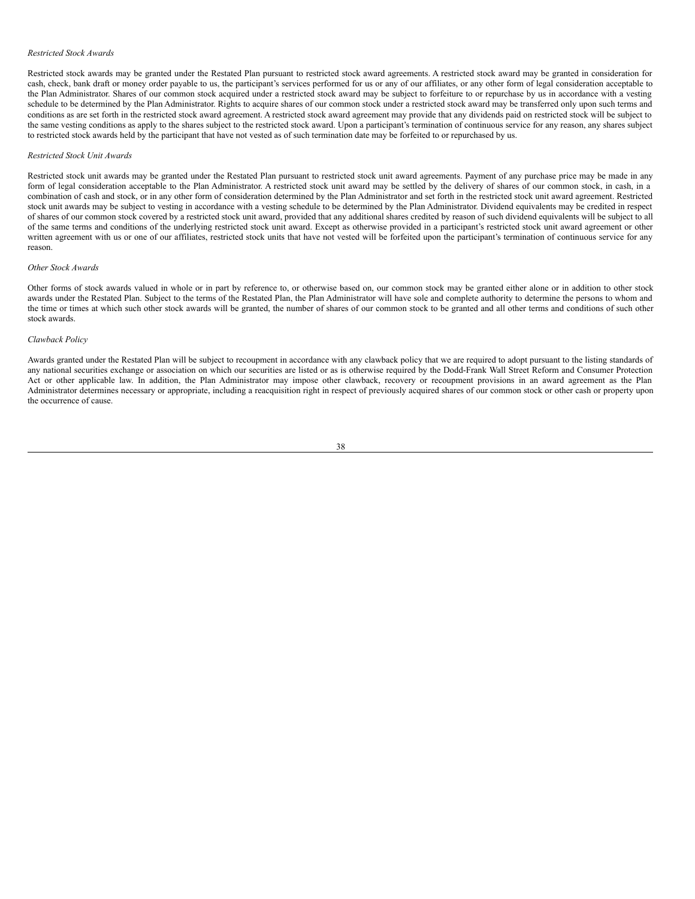#### *Restricted Stock Awards*

Restricted stock awards may be granted under the Restated Plan pursuant to restricted stock award agreements. A restricted stock award may be granted in consideration for cash, check, bank draft or money order payable to us, the participant's services performed for us or any of our affiliates, or any other form of legal consideration acceptable to the Plan Administrator. Shares of our common stock acquired under a restricted stock award may be subject to forfeiture to or repurchase by us in accordance with a vesting schedule to be determined by the Plan Administrator. Rights to acquire shares of our common stock under a restricted stock award may be transferred only upon such terms and conditions as are set forth in the restricted stock award agreement. A restricted stock award agreement may provide that any dividends paid on restricted stock will be subject to the same vesting conditions as apply to the shares subject to the restricted stock award. Upon a participant's termination of continuous service for any reason, any shares subject to restricted stock awards held by the participant that have not vested as of such termination date may be forfeited to or repurchased by us.

## *Restricted Stock Unit Awards*

Restricted stock unit awards may be granted under the Restated Plan pursuant to restricted stock unit award agreements. Payment of any purchase price may be made in any form of legal consideration acceptable to the Plan Administrator. A restricted stock unit award may be settled by the delivery of shares of our common stock, in cash, in a combination of cash and stock, or in any other form of consideration determined by the Plan Administrator and set forth in the restricted stock unit award agreement. Restricted stock unit awards may be subject to vesting in accordance with a vesting schedule to be determined by the Plan Administrator. Dividend equivalents may be credited in respect of shares of our common stock covered by a restricted stock unit award, provided that any additional shares credited by reason of such dividend equivalents will be subject to all of the same terms and conditions of the underlying restricted stock unit award. Except as otherwise provided in a participant's restricted stock unit award agreement or other written agreement with us or one of our affiliates, restricted stock units that have not vested will be forfeited upon the participant's termination of continuous service for any reason.

## *Other Stock Awards*

Other forms of stock awards valued in whole or in part by reference to, or otherwise based on, our common stock may be granted either alone or in addition to other stock awards under the Restated Plan. Subject to the terms of the Restated Plan, the Plan Administrator will have sole and complete authority to determine the persons to whom and the time or times at which such other stock awards will be granted, the number of shares of our common stock to be granted and all other terms and conditions of such other stock awards.

# *Clawback Policy*

Awards granted under the Restated Plan will be subject to recoupment in accordance with any clawback policy that we are required to adopt pursuant to the listing standards of any national securities exchange or association on which our securities are listed or as is otherwise required by the Dodd-Frank Wall Street Reform and Consumer Protection Act or other applicable law. In addition, the Plan Administrator may impose other clawback, recovery or recoupment provisions in an award agreement as the Plan Administrator determines necessary or appropriate, including a reacquisition right in respect of previously acquired shares of our common stock or other cash or property upon the occurrence of cause.

#### 38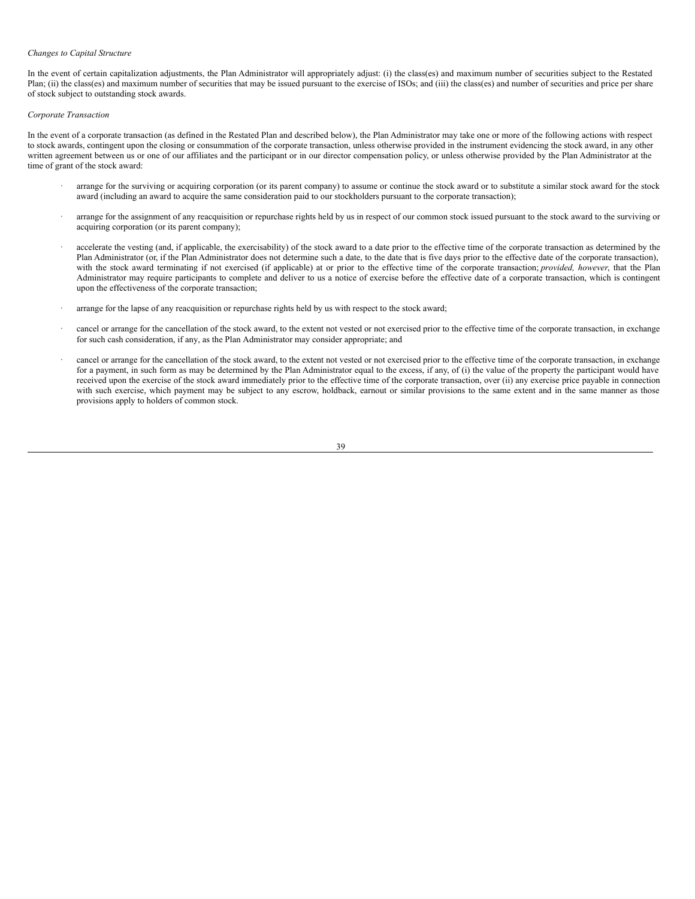### *Changes to Capital Structure*

In the event of certain capitalization adjustments, the Plan Administrator will appropriately adjust: (i) the class(es) and maximum number of securities subject to the Restated Plan; (ii) the class(es) and maximum number of securities that may be issued pursuant to the exercise of ISOs; and (iii) the class(es) and number of securities and price per share of stock subject to outstanding stock awards.

# *Corporate Transaction*

In the event of a corporate transaction (as defined in the Restated Plan and described below), the Plan Administrator may take one or more of the following actions with respect to stock awards, contingent upon the closing or consummation of the corporate transaction, unless otherwise provided in the instrument evidencing the stock award, in any other written agreement between us or one of our affiliates and the participant or in our director compensation policy, or unless otherwise provided by the Plan Administrator at the time of grant of the stock award:

- arrange for the surviving or acquiring corporation (or its parent company) to assume or continue the stock award or to substitute a similar stock award for the stock award (including an award to acquire the same consideration paid to our stockholders pursuant to the corporate transaction);
- arrange for the assignment of any reacquisition or repurchase rights held by us in respect of our common stock issued pursuant to the stock award to the surviving or acquiring corporation (or its parent company);
- accelerate the vesting (and, if applicable, the exercisability) of the stock award to a date prior to the effective time of the corporate transaction as determined by the Plan Administrator (or, if the Plan Administrator does not determine such a date, to the date that is five days prior to the effective date of the corporate transaction), with the stock award terminating if not exercised (if applicable) at or prior to the effective time of the corporate transaction; *provided, however*, that the Plan Administrator may require participants to complete and deliver to us a notice of exercise before the effective date of a corporate transaction, which is contingent upon the effectiveness of the corporate transaction;
- · arrange for the lapse of any reacquisition or repurchase rights held by us with respect to the stock award;
- cancel or arrange for the cancellation of the stock award, to the extent not vested or not exercised prior to the effective time of the corporate transaction, in exchange for such cash consideration, if any, as the Plan Administrator may consider appropriate; and
- · cancel or arrange for the cancellation of the stock award, to the extent not vested or not exercised prior to the effective time of the corporate transaction, in exchange for a payment, in such form as may be determined by the Plan Administrator equal to the excess, if any, of (i) the value of the property the participant would have received upon the exercise of the stock award immediately prior to the effective time of the corporate transaction, over (ii) any exercise price payable in connection with such exercise, which payment may be subject to any escrow, holdback, earnout or similar provisions to the same extent and in the same manner as those provisions apply to holders of common stock.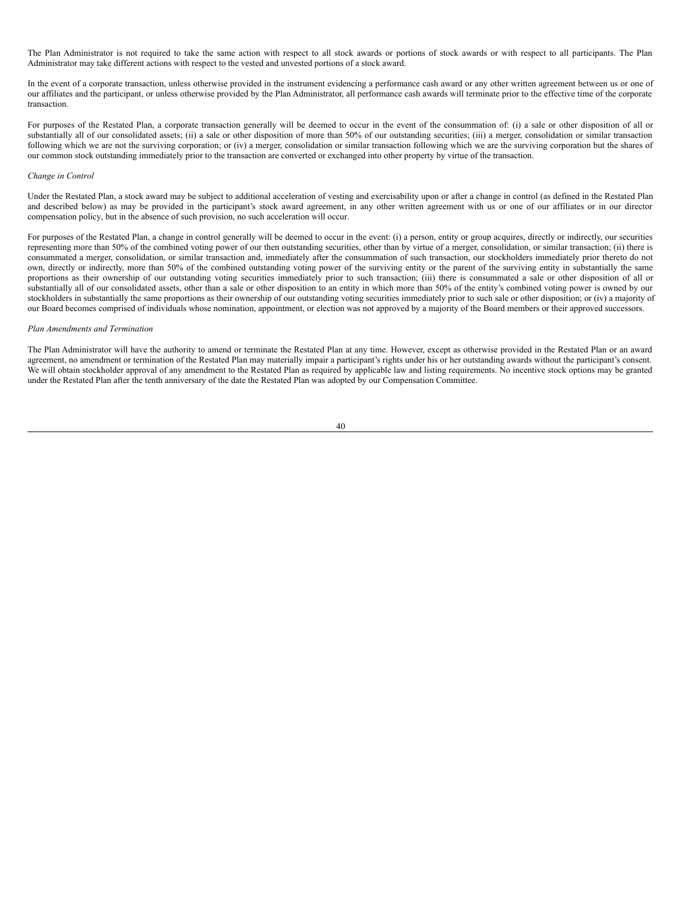The Plan Administrator is not required to take the same action with respect to all stock awards or portions of stock awards or with respect to all participants. The Plan Administrator may take different actions with respect to the vested and unvested portions of a stock award.

In the event of a corporate transaction, unless otherwise provided in the instrument evidencing a performance cash award or any other written agreement between us or one of our affiliates and the participant, or unless otherwise provided by the Plan Administrator, all performance cash awards will terminate prior to the effective time of the corporate transaction.

For purposes of the Restated Plan, a corporate transaction generally will be deemed to occur in the event of the consummation of: (i) a sale or other disposition of all or substantially all of our consolidated assets; (ii) a sale or other disposition of more than 50% of our outstanding securities; (iii) a merger, consolidation or similar transaction following which we are not the surviving corporation; or (iv) a merger, consolidation or similar transaction following which we are the surviving corporation but the shares of our common stock outstanding immediately prior to the transaction are converted or exchanged into other property by virtue of the transaction.

### *Change in Control*

Under the Restated Plan, a stock award may be subject to additional acceleration of vesting and exercisability upon or after a change in control (as defined in the Restated Plan and described below) as may be provided in the participant's stock award agreement, in any other written agreement with us or one of our affiliates or in our director compensation policy, but in the absence of such provision, no such acceleration will occur.

For purposes of the Restated Plan, a change in control generally will be deemed to occur in the event: (i) a person, entity or group acquires, directly or indirectly, our securities representing more than 50% of the combined voting power of our then outstanding securities, other than by virtue of a merger, consolidation, or similar transaction; (ii) there is consummated a merger, consolidation, or similar transaction and, immediately after the consummation of such transaction, our stockholders immediately prior thereto do not own, directly or indirectly, more than 50% of the combined outstanding voting power of the surviving entity or the parent of the surviving entity in substantially the same proportions as their ownership of our outstanding voting securities immediately prior to such transaction; (iii) there is consummated a sale or other disposition of all or substantially all of our consolidated assets, other than a sale or other disposition to an entity in which more than 50% of the entity's combined voting power is owned by our stockholders in substantially the same proportions as their ownership of our outstanding voting securities immediately prior to such sale or other disposition; or (iv) a majority of our Board becomes comprised of individuals whose nomination, appointment, or election was not approved by a majority of the Board members or their approved successors.

# *Plan Amendments and Termination*

The Plan Administrator will have the authority to amend or terminate the Restated Plan at any time. However, except as otherwise provided in the Restated Plan or an award agreement, no amendment or termination of the Restated Plan may materially impair a participant's rights under his or her outstanding awards without the participant's consent. We will obtain stockholder approval of any amendment to the Restated Plan as required by applicable law and listing requirements. No incentive stock options may be granted under the Restated Plan after the tenth anniversary of the date the Restated Plan was adopted by our Compensation Committee.

#### 40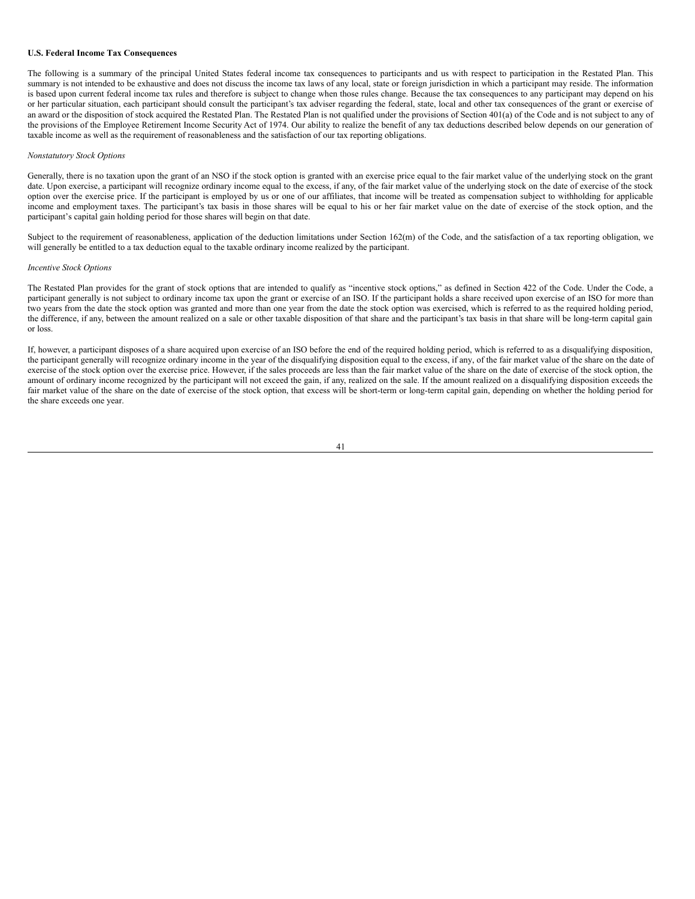#### **U.S. Federal Income Tax Consequences**

The following is a summary of the principal United States federal income tax consequences to participants and us with respect to participation in the Restated Plan. This summary is not intended to be exhaustive and does not discuss the income tax laws of any local, state or foreign jurisdiction in which a participant may reside. The information is based upon current federal income tax rules and therefore is subject to change when those rules change. Because the tax consequences to any participant may depend on his or her particular situation, each participant should consult the participant's tax adviser regarding the federal, state, local and other tax consequences of the grant or exercise of an award or the disposition of stock acquired the Restated Plan. The Restated Plan is not qualified under the provisions of Section 401(a) of the Code and is not subject to any of the provisions of the Employee Retirement Income Security Act of 1974. Our ability to realize the benefit of any tax deductions described below depends on our generation of taxable income as well as the requirement of reasonableness and the satisfaction of our tax reporting obligations.

## *Nonstatutory Stock Options*

Generally, there is no taxation upon the grant of an NSO if the stock option is granted with an exercise price equal to the fair market value of the underlying stock on the grant date. Upon exercise, a participant will recognize ordinary income equal to the excess, if any, of the fair market value of the underlying stock on the date of exercise of the stock option over the exercise price. If the participant is employed by us or one of our affiliates, that income will be treated as compensation subject to withholding for applicable income and employment taxes. The participant's tax basis in those shares will be equal to his or her fair market value on the date of exercise of the stock option, and the participant's capital gain holding period for those shares will begin on that date.

Subject to the requirement of reasonableness, application of the deduction limitations under Section 162(m) of the Code, and the satisfaction of a tax reporting obligation, we will generally be entitled to a tax deduction equal to the taxable ordinary income realized by the participant.

## *Incentive Stock Options*

The Restated Plan provides for the grant of stock options that are intended to qualify as "incentive stock options," as defined in Section 422 of the Code. Under the Code, a participant generally is not subject to ordinary income tax upon the grant or exercise of an ISO. If the participant holds a share received upon exercise of an ISO for more than two years from the date the stock option was granted and more than one year from the date the stock option was exercised, which is referred to as the required holding period, the difference, if any, between the amount realized on a sale or other taxable disposition of that share and the participant's tax basis in that share will be long-term capital gain or loss.

If, however, a participant disposes of a share acquired upon exercise of an ISO before the end of the required holding period, which is referred to as a disqualifying disposition, the participant generally will recognize ordinary income in the year of the disqualifying disposition equal to the excess, if any, of the fair market value of the share on the date of exercise of the stock option over the exercise price. However, if the sales proceeds are less than the fair market value of the share on the date of exercise of the stock option, the amount of ordinary income recognized by the participant will not exceed the gain, if any, realized on the sale. If the amount realized on a disqualifying disposition exceeds the fair market value of the share on the date of exercise of the stock option, that excess will be short-term or long-term capital gain, depending on whether the holding period for the share exceeds one year.

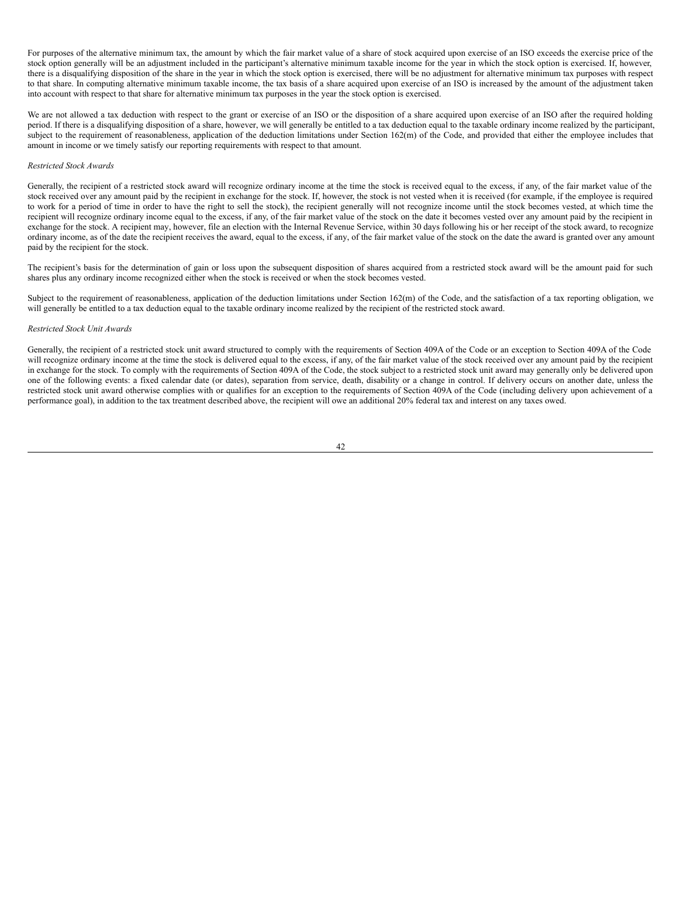For purposes of the alternative minimum tax, the amount by which the fair market value of a share of stock acquired upon exercise of an ISO exceeds the exercise price of the stock option generally will be an adjustment included in the participant's alternative minimum taxable income for the year in which the stock option is exercised. If, however, there is a disqualifying disposition of the share in the year in which the stock option is exercised, there will be no adjustment for alternative minimum tax purposes with respect to that share. In computing alternative minimum taxable income, the tax basis of a share acquired upon exercise of an ISO is increased by the amount of the adjustment taken into account with respect to that share for alternative minimum tax purposes in the year the stock option is exercised.

We are not allowed a tax deduction with respect to the grant or exercise of an ISO or the disposition of a share acquired upon exercise of an ISO after the required holding period. If there is a disqualifying disposition of a share, however, we will generally be entitled to a tax deduction equal to the taxable ordinary income realized by the participant, subject to the requirement of reasonableness, application of the deduction limitations under Section 162(m) of the Code, and provided that either the employee includes that amount in income or we timely satisfy our reporting requirements with respect to that amount.

#### *Restricted Stock Awards*

Generally, the recipient of a restricted stock award will recognize ordinary income at the time the stock is received equal to the excess, if any, of the fair market value of the stock received over any amount paid by the recipient in exchange for the stock. If, however, the stock is not vested when it is received (for example, if the employee is required to work for a period of time in order to have the right to sell the stock), the recipient generally will not recognize income until the stock becomes vested, at which time the recipient will recognize ordinary income equal to the excess, if any, of the fair market value of the stock on the date it becomes vested over any amount paid by the recipient in exchange for the stock. A recipient may, however, file an election with the Internal Revenue Service, within 30 days following his or her receipt of the stock award, to recognize ordinary income, as of the date the recipient receives the award, equal to the excess, if any, of the fair market value of the stock on the date the award is granted over any amount paid by the recipient for the stock.

The recipient's basis for the determination of gain or loss upon the subsequent disposition of shares acquired from a restricted stock award will be the amount paid for such shares plus any ordinary income recognized either when the stock is received or when the stock becomes vested.

Subject to the requirement of reasonableness, application of the deduction limitations under Section 162(m) of the Code, and the satisfaction of a tax reporting obligation, we will generally be entitled to a tax deduction equal to the taxable ordinary income realized by the recipient of the restricted stock award.

## *Restricted Stock Unit Awards*

Generally, the recipient of a restricted stock unit award structured to comply with the requirements of Section 409A of the Code or an exception to Section 409A of the Code will recognize ordinary income at the time the stock is delivered equal to the excess, if any, of the fair market value of the stock received over any amount paid by the recipient in exchange for the stock. To comply with the requirements of Section 409A of the Code, the stock subject to a restricted stock unit award may generally only be delivered upon one of the following events: a fixed calendar date (or dates), separation from service, death, disability or a change in control. If delivery occurs on another date, unless the restricted stock unit award otherwise complies with or qualifies for an exception to the requirements of Section 409A of the Code (including delivery upon achievement of a performance goal), in addition to the tax treatment described above, the recipient will owe an additional 20% federal tax and interest on any taxes owed.

#### 42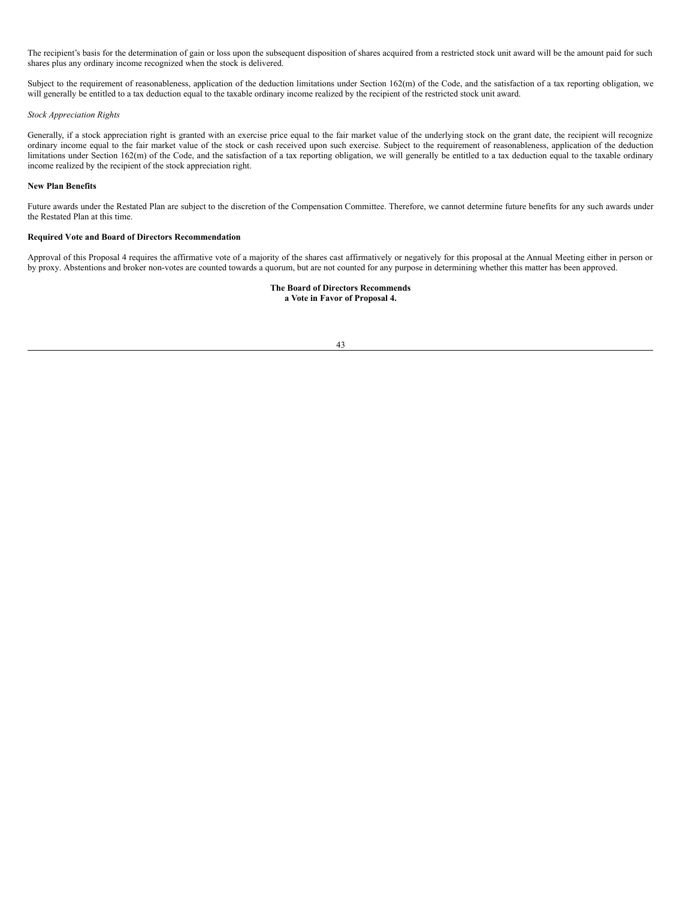The recipient's basis for the determination of gain or loss upon the subsequent disposition of shares acquired from a restricted stock unit award will be the amount paid for such shares plus any ordinary income recognized when the stock is delivered.

Subject to the requirement of reasonableness, application of the deduction limitations under Section 162(m) of the Code, and the satisfaction of a tax reporting obligation, we will generally be entitled to a tax deduction equal to the taxable ordinary income realized by the recipient of the restricted stock unit award.

## *Stock Appreciation Rights*

Generally, if a stock appreciation right is granted with an exercise price equal to the fair market value of the underlying stock on the grant date, the recipient will recognize ordinary income equal to the fair market value of the stock or cash received upon such exercise. Subject to the requirement of reasonableness, application of the deduction limitations under Section 162(m) of the Code, and the satisfaction of a tax reporting obligation, we will generally be entitled to a tax deduction equal to the taxable ordinary income realized by the recipient of the stock appreciation right.

# **New Plan Benefits**

Future awards under the Restated Plan are subject to the discretion of the Compensation Committee. Therefore, we cannot determine future benefits for any such awards under the Restated Plan at this time.

## **Required Vote and Board of Directors Recommendation**

Approval of this Proposal 4 requires the affirmative vote of a majority of the shares cast affirmatively or negatively for this proposal at the Annual Meeting either in person or by proxy. Abstentions and broker non-votes are counted towards a quorum, but are not counted for any purpose in determining whether this matter has been approved.

# **The Board of Directors Recommends a Vote in Favor of Proposal 4.**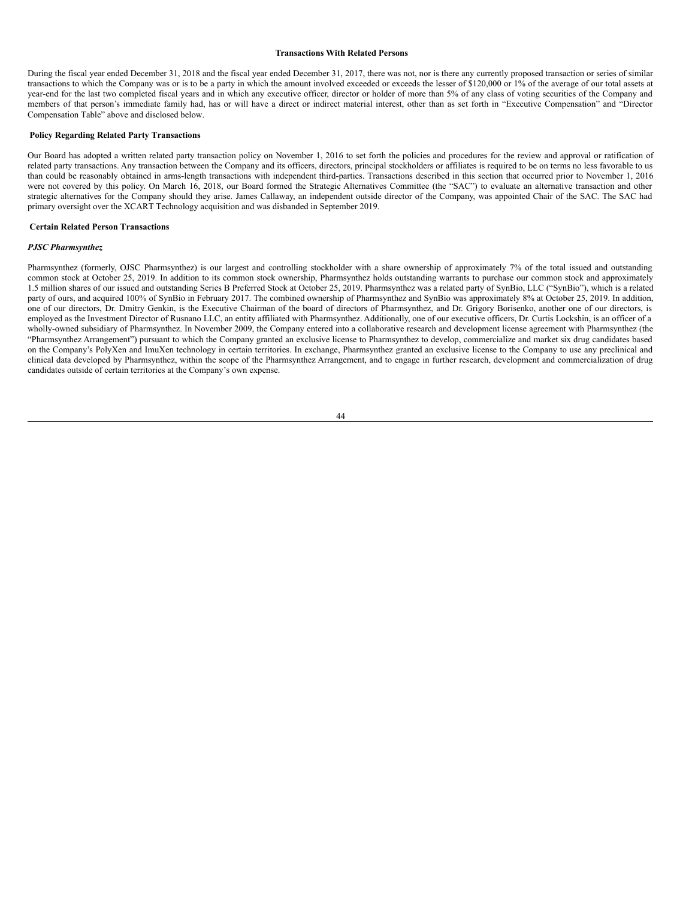#### **Transactions With Related Persons**

During the fiscal year ended December 31, 2018 and the fiscal year ended December 31, 2017, there was not, nor is there any currently proposed transaction or series of similar transactions to which the Company was or is to be a party in which the amount involved exceeded or exceeds the lesser of \$120,000 or 1% of the average of our total assets at year-end for the last two completed fiscal years and in which any executive officer, director or holder of more than 5% of any class of voting securities of the Company and members of that person's immediate family had, has or will have a direct or indirect material interest, other than as set forth in "Executive Compensation" and "Director Compensation Table" above and disclosed below.

### **Policy Regarding Related Party Transactions**

Our Board has adopted a written related party transaction policy on November 1, 2016 to set forth the policies and procedures for the review and approval or ratification of related party transactions. Any transaction between the Company and its officers, directors, principal stockholders or affiliates is required to be on terms no less favorable to us than could be reasonably obtained in arms-length transactions with independent third-parties. Transactions described in this section that occurred prior to November 1, 2016 were not covered by this policy. On March 16, 2018, our Board formed the Strategic Alternatives Committee (the "SAC") to evaluate an alternative transaction and other strategic alternatives for the Company should they arise. James Callaway, an independent outside director of the Company, was appointed Chair of the SAC. The SAC had primary oversight over the XCART Technology acquisition and was disbanded in September 2019.

## **Certain Related Person Transactions**

### *PJSC Pharmsynthez*

Pharmsynthez (formerly, OJSC Pharmsynthez) is our largest and controlling stockholder with a share ownership of approximately 7% of the total issued and outstanding common stock at October 25, 2019. In addition to its common stock ownership, Pharmsynthez holds outstanding warrants to purchase our common stock and approximately 1.5 million shares of our issued and outstanding Series B Preferred Stock at October 25, 2019. Pharmsynthez was a related party of SynBio, LLC ("SynBio"), which is a related party of ours, and acquired 100% of SynBio in February 2017. The combined ownership of Pharmsynthez and SynBio was approximately 8% at October 25, 2019. In addition, one of our directors, Dr. Dmitry Genkin, is the Executive Chairman of the board of directors of Pharmsynthez, and Dr. Grigory Borisenko, another one of our directors, is employed as the Investment Director of Rusnano LLC, an entity affiliated with Pharmsynthez. Additionally, one of our executive officers, Dr. Curtis Lockshin, is an officer of a wholly-owned subsidiary of Pharmsynthez. In November 2009, the Company entered into a collaborative research and development license agreement with Pharmsynthez (the "Pharmsynthez Arrangement") pursuant to which the Company granted an exclusive license to Pharmsynthez to develop, commercialize and market six drug candidates based on the Company's PolyXen and ImuXen technology in certain territories. In exchange, Pharmsynthez granted an exclusive license to the Company to use any preclinical and clinical data developed by Pharmsynthez, within the scope of the Pharmsynthez Arrangement, and to engage in further research, development and commercialization of drug candidates outside of certain territories at the Company's own expense.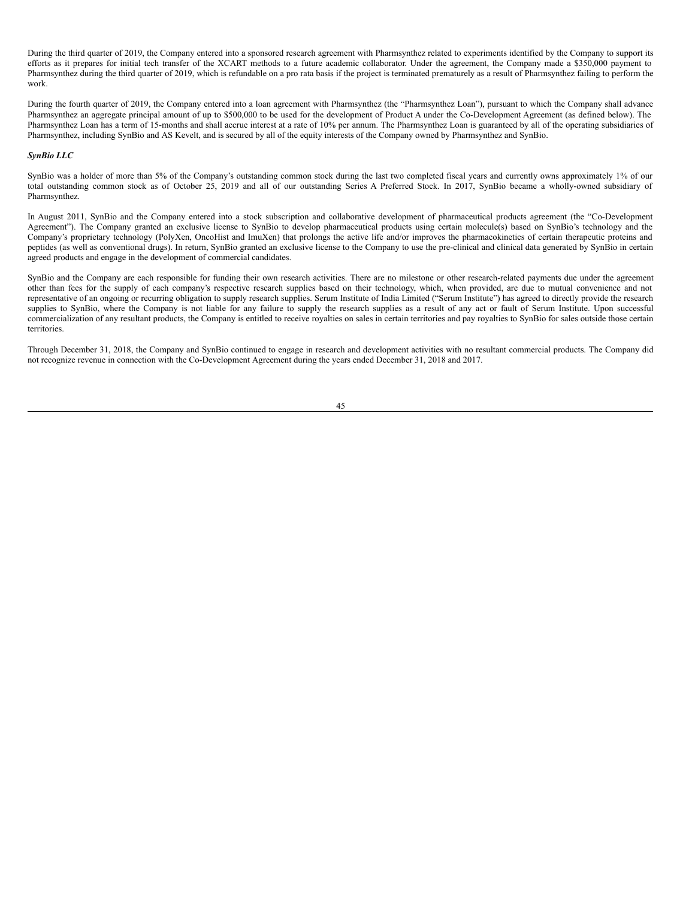During the third quarter of 2019, the Company entered into a sponsored research agreement with Pharmsynthez related to experiments identified by the Company to support its efforts as it prepares for initial tech transfer of the XCART methods to a future academic collaborator. Under the agreement, the Company made a \$350,000 payment to Pharmsynthez during the third quarter of 2019, which is refundable on a pro rata basis if the project is terminated prematurely as a result of Pharmsynthez failing to perform the work.

During the fourth quarter of 2019, the Company entered into a loan agreement with Pharmsynthez (the "Pharmsynthez Loan"), pursuant to which the Company shall advance Pharmsynthez an aggregate principal amount of up to \$500,000 to be used for the development of Product A under the Co-Development Agreement (as defined below). The Pharmsynthez Loan has a term of 15-months and shall accrue interest at a rate of 10% per annum. The Pharmsynthez Loan is guaranteed by all of the operating subsidiaries of Pharmsynthez, including SynBio and AS Kevelt, and is secured by all of the equity interests of the Company owned by Pharmsynthez and SynBio.

# *SynBio LLC*

SynBio was a holder of more than 5% of the Company's outstanding common stock during the last two completed fiscal years and currently owns approximately 1% of our total outstanding common stock as of October 25, 2019 and all of our outstanding Series A Preferred Stock. In 2017, SynBio became a wholly-owned subsidiary of Pharmsynthez.

In August 2011, SynBio and the Company entered into a stock subscription and collaborative development of pharmaceutical products agreement (the "Co-Development Agreement"). The Company granted an exclusive license to SynBio to develop pharmaceutical products using certain molecule(s) based on SynBio's technology and the Company's proprietary technology (PolyXen, OncoHist and ImuXen) that prolongs the active life and/or improves the pharmacokinetics of certain therapeutic proteins and peptides (as well as conventional drugs). In return, SynBio granted an exclusive license to the Company to use the pre-clinical and clinical data generated by SynBio in certain agreed products and engage in the development of commercial candidates.

SynBio and the Company are each responsible for funding their own research activities. There are no milestone or other research-related payments due under the agreement other than fees for the supply of each company's respective research supplies based on their technology, which, when provided, are due to mutual convenience and not representative of an ongoing or recurring obligation to supply research supplies. Serum Institute of India Limited ("Serum Institute") has agreed to directly provide the research supplies to SynBio, where the Company is not liable for any failure to supply the research supplies as a result of any act or fault of Serum Institute. Upon successful commercialization of any resultant products, the Company is entitled to receive royalties on sales in certain territories and pay royalties to SynBio for sales outside those certain territories.

Through December 31, 2018, the Company and SynBio continued to engage in research and development activities with no resultant commercial products. The Company did not recognize revenue in connection with the Co-Development Agreement during the years ended December 31, 2018 and 2017.

# 45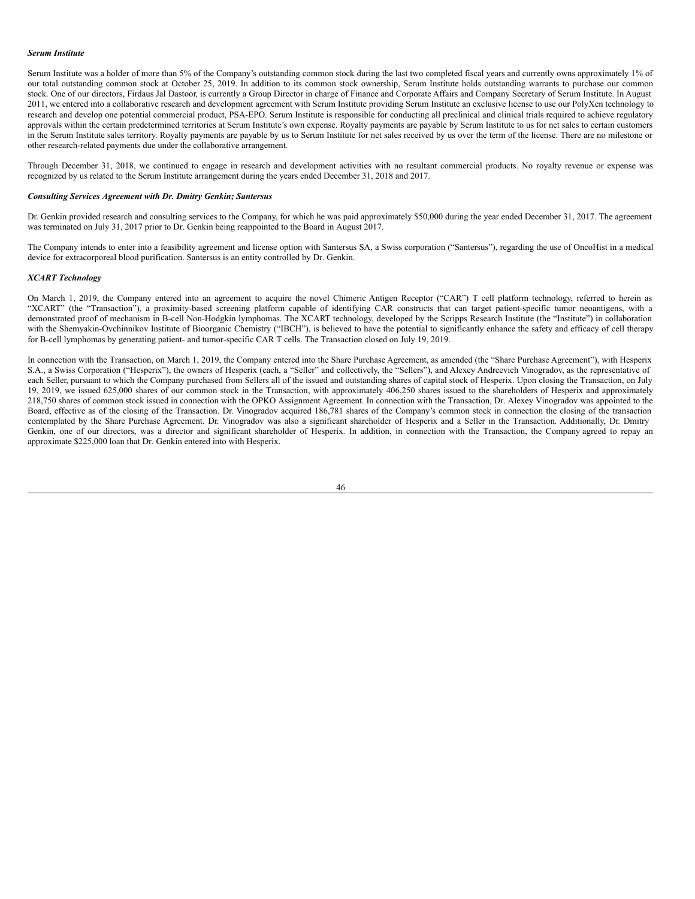#### *Serum Institute*

Serum Institute was a holder of more than 5% of the Company's outstanding common stock during the last two completed fiscal years and currently owns approximately 1% of our total outstanding common stock at October 25, 2019. In addition to its common stock ownership, Serum Institute holds outstanding warrants to purchase our common stock. One of our directors, Firdaus Jal Dastoor, is currently a Group Director in charge of Finance and Corporate Affairs and Company Secretary of Serum Institute. In August 2011, we entered into a collaborative research and development agreement with Serum Institute providing Serum Institute an exclusive license to use our PolyXen technology to research and develop one potential commercial product, PSA-EPO. Serum Institute is responsible for conducting all preclinical and clinical trials required to achieve regulatory approvals within the certain predetermined territories at Serum Institute's own expense. Royalty payments are payable by Serum Institute to us for net sales to certain customers in the Serum Institute sales territory. Royalty payments are payable by us to Serum Institute for net sales received by us over the term of the license. There are no milestone or other research-related payments due under the collaborative arrangement.

Through December 31, 2018, we continued to engage in research and development activities with no resultant commercial products. No royalty revenue or expense was recognized by us related to the Serum Institute arrangement during the years ended December 31, 2018 and 2017.

#### *Consulting Services Agreement with Dr. Dmitry Genkin; Santersus*

Dr. Genkin provided research and consulting services to the Company, for which he was paid approximately \$50,000 during the year ended December 31, 2017. The agreement was terminated on July 31, 2017 prior to Dr. Genkin being reappointed to the Board in August 2017.

The Company intends to enter into a feasibility agreement and license option with Santersus SA, a Swiss corporation ("Santersus"), regarding the use of OncoHist in a medical device for extracorporeal blood purification. Santersus is an entity controlled by Dr. Genkin.

#### *XCART Technology*

On March 1, 2019, the Company entered into an agreement to acquire the novel Chimeric Antigen Receptor ("CAR") T cell platform technology, referred to herein as "XCART" (the "Transaction"), a proximity-based screening platform capable of identifying CAR constructs that can target patient-specific tumor neoantigens, with a demonstrated proof of mechanism in B-cell Non-Hodgkin lymphomas. The XCART technology, developed by the Scripps Research Institute (the "Institute") in collaboration with the Shemyakin-Ovchinnikov Institute of Bioorganic Chemistry ("IBCH"), is believed to have the potential to significantly enhance the safety and efficacy of cell therapy for B-cell lymphomas by generating patient- and tumor-specific CAR T cells. The Transaction closed on July 19, 2019.

In connection with the Transaction, on March 1, 2019, the Company entered into the Share Purchase Agreement, as amended (the "Share Purchase Agreement"), with Hesperix S.A., a Swiss Corporation ("Hesperix"), the owners of Hesperix (each, a "Seller" and collectively, the "Sellers"), and Alexey Andreevich Vinogradov, as the representative of each Seller, pursuant to which the Company purchased from Sellers all of the issued and outstanding shares of capital stock of Hesperix. Upon closing the Transaction, on July 19, 2019, we issued 625,000 shares of our common stock in the Transaction, with approximately 406,250 shares issued to the shareholders of Hesperix and approximately 218,750 shares of common stock issued in connection with the OPKO Assignment Agreement. In connection with the Transaction, Dr. Alexey Vinogradov was appointed to the Board, effective as of the closing of the Transaction. Dr. Vinogradov acquired 186,781 shares of the Company's common stock in connection the closing of the transaction contemplated by the Share Purchase Agreement. Dr. Vinogradov was also a significant shareholder of Hesperix and a Seller in the Transaction. Additionally, Dr. Dmitry Genkin, one of our directors, was a director and significant shareholder of Hesperix. In addition, in connection with the Transaction, the Company agreed to repay an approximate \$225,000 loan that Dr. Genkin entered into with Hesperix.

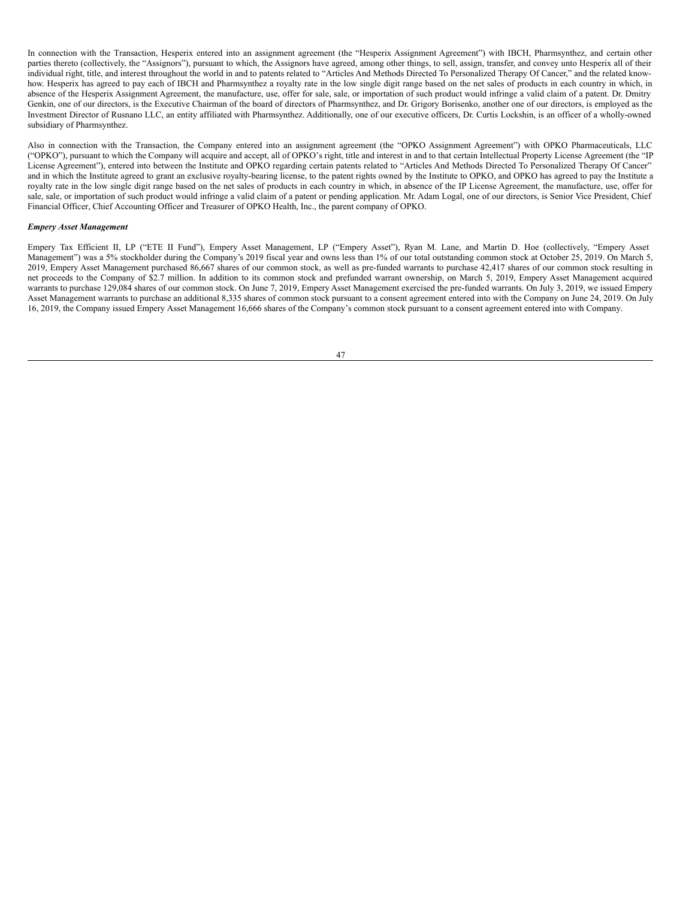In connection with the Transaction, Hesperix entered into an assignment agreement (the "Hesperix Assignment Agreement") with IBCH, Pharmsynthez, and certain other parties thereto (collectively, the "Assignors"), pursuant to which, the Assignors have agreed, among other things, to sell, assign, transfer, and convey unto Hesperix all of their individual right, title, and interest throughout the world in and to patents related to "Articles And Methods Directed To Personalized Therapy Of Cancer," and the related knowhow. Hesperix has agreed to pay each of IBCH and Pharmsynthez a royalty rate in the low single digit range based on the net sales of products in each country in which, in absence of the Hesperix Assignment Agreement, the manufacture, use, offer for sale, sale, or importation of such product would infringe a valid claim of a patent. Dr. Dmitry Genkin, one of our directors, is the Executive Chairman of the board of directors of Pharmsynthez, and Dr. Grigory Borisenko, another one of our directors, is employed as the Investment Director of Rusnano LLC, an entity affiliated with Pharmsynthez. Additionally, one of our executive officers, Dr. Curtis Lockshin, is an officer of a wholly-owned subsidiary of Pharmsynthez.

Also in connection with the Transaction, the Company entered into an assignment agreement (the "OPKO Assignment Agreement") with OPKO Pharmaceuticals, LLC ("OPKO"), pursuant to which the Company will acquire and accept, all of OPKO's right, title and interest in and to that certain Intellectual Property License Agreement (the "IP License Agreement"), entered into between the Institute and OPKO regarding certain patents related to "Articles And Methods Directed To Personalized Therapy Of Cancer" and in which the Institute agreed to grant an exclusive royalty-bearing license, to the patent rights owned by the Institute to OPKO, and OPKO has agreed to pay the Institute a royalty rate in the low single digit range based on the net sales of products in each country in which, in absence of the IP License Agreement, the manufacture, use, offer for sale, sale, or importation of such product would infringe a valid claim of a patent or pending application. Mr. Adam Logal, one of our directors, is Senior Vice President, Chief Financial Officer, Chief Accounting Officer and Treasurer of OPKO Health, Inc., the parent company of OPKO.

## *Empery Asset Management*

Empery Tax Efficient II, LP ("ETE II Fund"), Empery Asset Management, LP ("Empery Asset"), Ryan M. Lane, and Martin D. Hoe (collectively, "Empery Asset Management") was a 5% stockholder during the Company's 2019 fiscal year and owns less than 1% of our total outstanding common stock at October 25, 2019. On March 5, 2019, Empery Asset Management purchased 86,667 shares of our common stock, as well as pre-funded warrants to purchase 42,417 shares of our common stock resulting in net proceeds to the Company of \$2.7 million. In addition to its common stock and prefunded warrant ownership, on March 5, 2019, Empery Asset Management acquired warrants to purchase 129,084 shares of our common stock. On June 7, 2019, Empery Asset Management exercised the pre-funded warrants. On July 3, 2019, we issued Empery Asset Management warrants to purchase an additional 8,335 shares of common stock pursuant to a consent agreement entered into with the Company on June 24, 2019. On July 16, 2019, the Company issued Empery Asset Management 16,666 shares of the Company's common stock pursuant to a consent agreement entered into with Company.

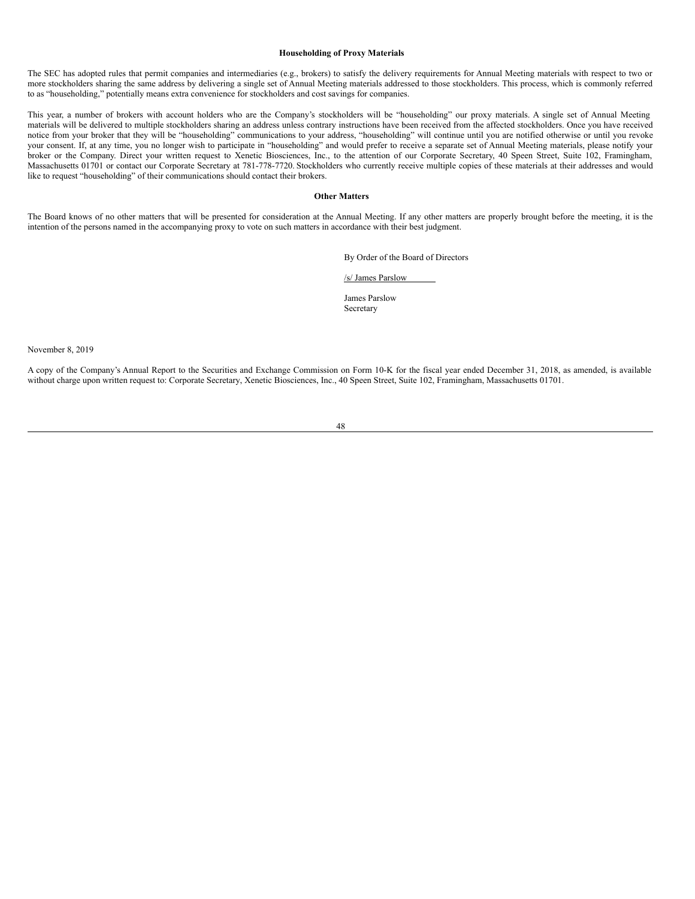#### **Householding of Proxy Materials**

The SEC has adopted rules that permit companies and intermediaries (e.g., brokers) to satisfy the delivery requirements for Annual Meeting materials with respect to two or more stockholders sharing the same address by delivering a single set of Annual Meeting materials addressed to those stockholders. This process, which is commonly referred to as "householding," potentially means extra convenience for stockholders and cost savings for companies.

This year, a number of brokers with account holders who are the Company's stockholders will be "householding" our proxy materials. A single set of Annual Meeting materials will be delivered to multiple stockholders sharing an address unless contrary instructions have been received from the affected stockholders. Once you have received notice from your broker that they will be "householding" communications to your address, "householding" will continue until you are notified otherwise or until you revoke your consent. If, at any time, you no longer wish to participate in "householding" and would prefer to receive a separate set of Annual Meeting materials, please notify your broker or the Company. Direct your written request to Xenetic Biosciences, Inc., to the attention of our Corporate Secretary, 40 Speen Street, Suite 102, Framingham, Massachusetts 01701 or contact our Corporate Secretary at 781-778-7720. Stockholders who currently receive multiple copies of these materials at their addresses and would like to request "householding" of their communications should contact their brokers.

# **Other Matters**

The Board knows of no other matters that will be presented for consideration at the Annual Meeting. If any other matters are properly brought before the meeting, it is the intention of the persons named in the accompanying proxy to vote on such matters in accordance with their best judgment.

By Order of the Board of Directors

/s/ James Parslow

James Parslow Secretary

November 8, 2019

A copy of the Company's Annual Report to the Securities and Exchange Commission on Form 10-K for the fiscal year ended December 31, 2018, as amended, is available without charge upon written request to: Corporate Secretary, Xenetic Biosciences, Inc., 40 Speen Street, Suite 102, Framingham, Massachusetts 01701.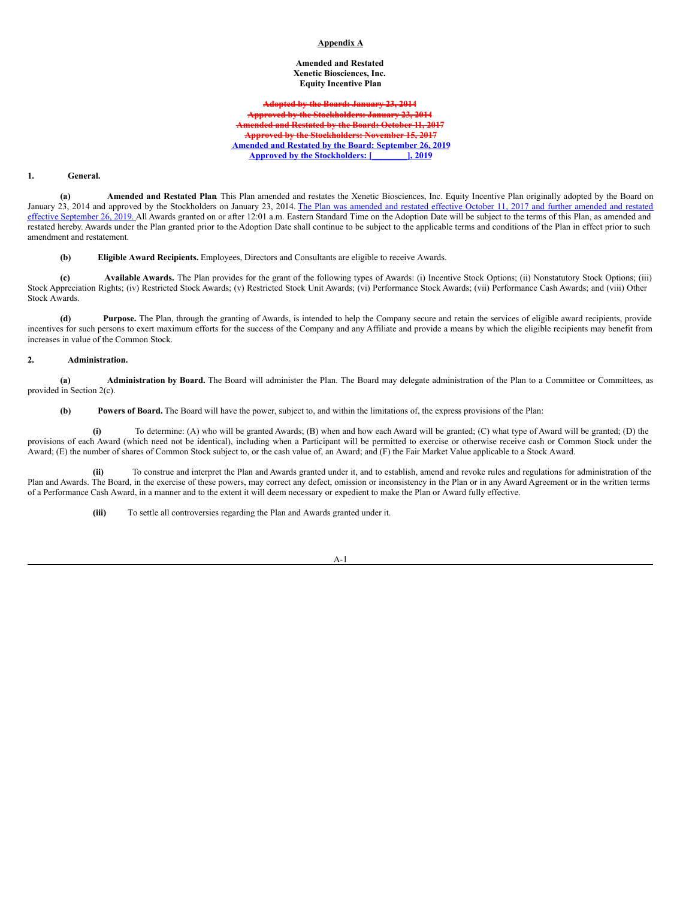# **Appendix A**

## **Amended and Restated Xenetic Biosciences, Inc. Equity Incentive Plan**

**Adopted by the Board: January 23, 2014 Approved by the Stockholders: January 23, 2014 Amended and Restated by the Board: October 11, 2017 Approved by the Stockholders: November 15, 2017 Amended and Restated by the Board: September 26, 2019 Approved by the Stockholders: [\_\_\_\_\_\_\_\_], 2019**

## **1. General.**

**(a) Amended and Restated Plan**. This Plan amended and restates the Xenetic Biosciences, Inc. Equity Incentive Plan originally adopted by the Board on January 23, 2014 and approved by the Stockholders on January 23, 2014. The Plan was amended and restated effective October 11, 2017 and further amended and restated effective September 26, 2019. All Awards granted on or after 12:01 a.m. Eastern Standard Time on the Adoption Date will be subject to the terms of this Plan, as amended and restated hereby. Awards under the Plan granted prior to the Adoption Date shall continue to be subject to the applicable terms and conditions of the Plan in effect prior to such amendment and restatement.

**(b) Eligible Award Recipients.** Employees, Directors and Consultants are eligible to receive Awards.

**(c) Available Awards.** The Plan provides for the grant of the following types of Awards: (i) Incentive Stock Options; (ii) Nonstatutory Stock Options; (iii) Stock Appreciation Rights; (iv) Restricted Stock Awards; (v) Restricted Stock Unit Awards; (vi) Performance Stock Awards; (vii) Performance Cash Awards; and (viii) Other Stock Awards.

**(d) Purpose.** The Plan, through the granting of Awards, is intended to help the Company secure and retain the services of eligible award recipients, provide incentives for such persons to exert maximum efforts for the success of the Company and any Affiliate and provide a means by which the eligible recipients may benefit from increases in value of the Common Stock.

## **2. Administration.**

**(a) Administration by Board.** The Board will administer the Plan. The Board may delegate administration of the Plan to a Committee or Committees, as provided in Section 2(c).

**(b) Powers of Board.** The Board will have the power, subject to, and within the limitations of, the express provisions of the Plan:

**(i)** To determine: (A) who will be granted Awards; (B) when and how each Award will be granted; (C) what type of Award will be granted; (D) the provisions of each Award (which need not be identical), including when a Participant will be permitted to exercise or otherwise receive cash or Common Stock under the Award; (E) the number of shares of Common Stock subject to, or the cash value of, an Award; and (F) the Fair Market Value applicable to a Stock Award.

**(ii)** To construe and interpret the Plan and Awards granted under it, and to establish, amend and revoke rules and regulations for administration of the Plan and Awards. The Board, in the exercise of these powers, may correct any defect, omission or inconsistency in the Plan or in any Award Agreement or in the written terms of a Performance Cash Award, in a manner and to the extent it will deem necessary or expedient to make the Plan or Award fully effective.

**(iii)** To settle all controversies regarding the Plan and Awards granted under it.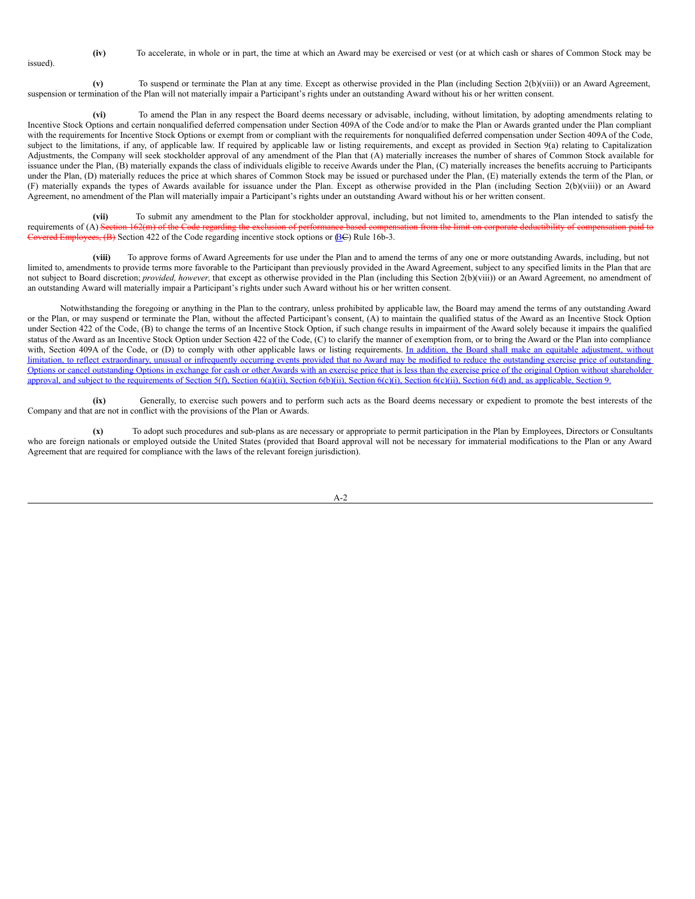issued).

**(iv)** To accelerate, in whole or in part, the time at which an Award may be exercised or vest (or at which cash or shares of Common Stock may be

**(v)** To suspend or terminate the Plan at any time. Except as otherwise provided in the Plan (including Section 2(b)(viii)) or an Award Agreement, suspension or termination of the Plan will not materially impair a Participant's rights under an outstanding Award without his or her written consent.

**(vi)** To amend the Plan in any respect the Board deems necessary or advisable, including, without limitation, by adopting amendments relating to Incentive Stock Options and certain nonqualified deferred compensation under Section 409A of the Code and/or to make the Plan or Awards granted under the Plan compliant with the requirements for Incentive Stock Options or exempt from or compliant with the requirements for nonqualified deferred compensation under Section 409A of the Code, subject to the limitations, if any, of applicable law. If required by applicable law or listing requirements, and except as provided in Section 9(a) relating to Capitalization Adjustments, the Company will seek stockholder approval of any amendment of the Plan that (A) materially increases the number of shares of Common Stock available for issuance under the Plan, (B) materially expands the class of individuals eligible to receive Awards under the Plan, (C) materially increases the benefits accruing to Participants under the Plan, (D) materially reduces the price at which shares of Common Stock may be issued or purchased under the Plan, (E) materially extends the term of the Plan, or (F) materially expands the types of Awards available for issuance under the Plan. Except as otherwise provided in the Plan (including Section 2(b)(viii)) or an Award Agreement, no amendment of the Plan will materially impair a Participant's rights under an outstanding Award without his or her written consent.

**(vii)** To submit any amendment to the Plan for stockholder approval, including, but not limited to, amendments to the Plan intended to satisfy the requirements of (A) Section 162(m) of the Code regarding the exclusion of performance-based compensation from the limit on corporate deductibility of equal to the limit on corporate deductibility of equal to Covered Employees,  $(B)$  Section 422 of the Code regarding incentive stock options or  $(BC)$  Rule 16b-3.

**(viii)** To approve forms of Award Agreements for use under the Plan and to amend the terms of any one or more outstanding Awards, including, but not limited to, amendments to provide terms more favorable to the Participant than previously provided in the Award Agreement, subject to any specified limits in the Plan that are not subject to Board discretion; *provided, however,* that except as otherwise provided in the Plan (including this Section 2(b)(viii)) or an Award Agreement, no amendment of an outstanding Award will materially impair a Participant's rights under such Award without his or her written consent.

Notwithstanding the foregoing or anything in the Plan to the contrary, unless prohibited by applicable law, the Board may amend the terms of any outstanding Award or the Plan, or may suspend or terminate the Plan, without the affected Participant's consent, (A) to maintain the qualified status of the Award as an Incentive Stock Option under Section 422 of the Code, (B) to change the terms of an Incentive Stock Option, if such change results in impairment of the Award solely because it impairs the qualified status of the Award as an Incentive Stock Option under Section 422 of the Code, (C) to clarify the manner of exemption from, or to bring the Award or the Plan into compliance with, Section 409A of the Code, or (D) to comply with other applicable laws or listing requirements. In addition, the Board shall make an equitable adjustment, without limitation, to reflect extraordinary, unusual or infrequently occurring events provided that no Award may be modified to reduce the outstanding exercise price of outstanding Options or cancel outstanding Options in exchange for cash or other Awards with an exercise price that is less than the exercise price of the original Option without shareholder approval, and subject to the requirements of Section 5(f), Section 6(a)(ii), Section 6(b)(ii), Section 6(c)(ii), Section 6(c)(ii), Section 6(d) and, as applicable, Section 9.

**(ix)** Generally, to exercise such powers and to perform such acts as the Board deems necessary or expedient to promote the best interests of the Company and that are not in conflict with the provisions of the Plan or Awards.

**(x)** To adopt such procedures and sub-plans as are necessary or appropriate to permit participation in the Plan by Employees, Directors or Consultants who are foreign nationals or employed outside the United States (provided that Board approval will not be necessary for immaterial modifications to the Plan or any Award Agreement that are required for compliance with the laws of the relevant foreign jurisdiction).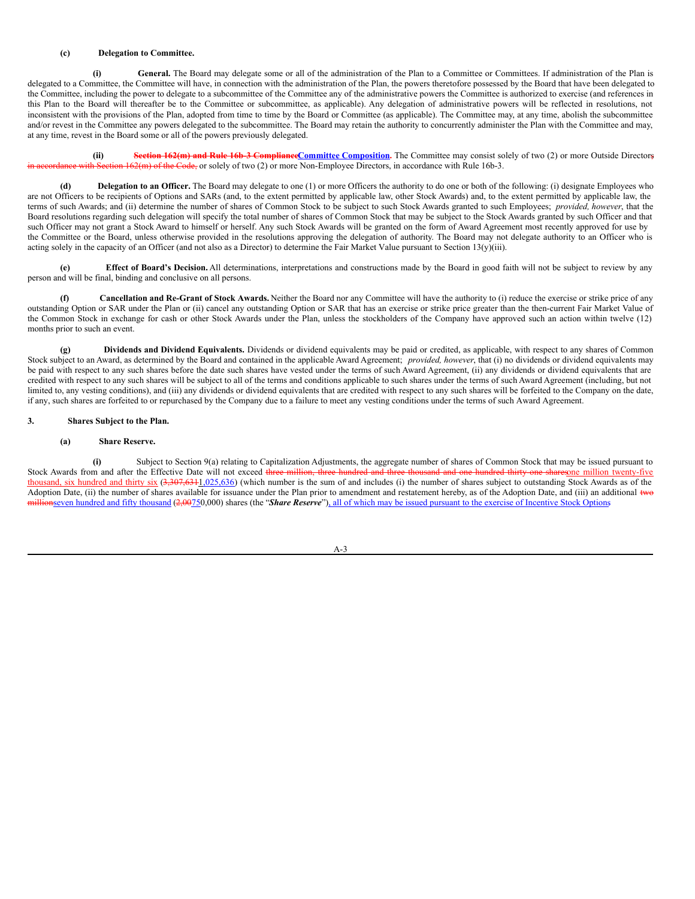## **(c) Delegation to Committee.**

**(i) General.** The Board may delegate some or all of the administration of the Plan to a Committee or Committees. If administration of the Plan is delegated to a Committee, the Committee will have, in connection with the administration of the Plan, the powers theretofore possessed by the Board that have been delegated to the Committee, including the power to delegate to a subcommittee of the Committee any of the administrative powers the Committee is authorized to exercise (and references in this Plan to the Board will thereafter be to the Committee or subcommittee, as applicable). Any delegation of administrative powers will be reflected in resolutions, not inconsistent with the provisions of the Plan, adopted from time to time by the Board or Committee (as applicable). The Committee may, at any time, abolish the subcommittee and/or revest in the Committee any powers delegated to the subcommittee. The Board may retain the authority to concurrently administer the Plan with the Committee and may, at any time, revest in the Board some or all of the powers previously delegated.

**(ii) Section 162(m) and Rule 16b-3 ComplianceCommittee Composition.** The Committee may consist solely of two (2) or more Outside Directors,  $62(m)$  of the Code, or solely of two (2) or more Non-Employee Directors, in accordance with Rule 16b-3.

**(d) Delegation to an Officer.** The Board may delegate to one (1) or more Officers the authority to do one or both of the following: (i) designate Employees who are not Officers to be recipients of Options and SARs (and, to the extent permitted by applicable law, other Stock Awards) and, to the extent permitted by applicable law, the terms of such Awards; and (ii) determine the number of shares of Common Stock to be subject to such Stock Awards granted to such Employees; *provided, however*, that the Board resolutions regarding such delegation will specify the total number of shares of Common Stock that may be subject to the Stock Awards granted by such Officer and that such Officer may not grant a Stock Award to himself or herself. Any such Stock Awards will be granted on the form of Award Agreement most recently approved for use by the Committee or the Board, unless otherwise provided in the resolutions approving the delegation of authority. The Board may not delegate authority to an Officer who is acting solely in the capacity of an Officer (and not also as a Director) to determine the Fair Market Value pursuant to Section 13(y)(iii).

**(e) Effect of Board's Decision.** All determinations, interpretations and constructions made by the Board in good faith will not be subject to review by any person and will be final, binding and conclusive on all persons.

**(f) Cancellation and Re-Grant of Stock Awards.** Neither the Board nor any Committee will have the authority to (i) reduce the exercise or strike price of any outstanding Option or SAR under the Plan or (ii) cancel any outstanding Option or SAR that has an exercise or strike price greater than the then-current Fair Market Value of the Common Stock in exchange for cash or other Stock Awards under the Plan, unless the stockholders of the Company have approved such an action within twelve (12) months prior to such an event.

**(g) Dividends and Dividend Equivalents.** Dividends or dividend equivalents may be paid or credited, as applicable, with respect to any shares of Common Stock subject to an Award, as determined by the Board and contained in the applicable Award Agreement; *provided, however*, that (i) no dividends or dividend equivalents may be paid with respect to any such shares before the date such shares have vested under the terms of such Award Agreement, (ii) any dividends or dividend equivalents that are credited with respect to any such shares will be subject to all of the terms and conditions applicable to such shares under the terms of such Award Agreement (including, but not limited to, any vesting conditions), and (iii) any dividends or dividend equivalents that are credited with respect to any such shares will be forfeited to the Company on the date, if any, such shares are forfeited to or repurchased by the Company due to a failure to meet any vesting conditions under the terms of such Award Agreement.

# **3. Shares Subject to the Plan.**

# **(a) Share Reserve.**

**(i)** Subject to Section 9(a) relating to Capitalization Adjustments, the aggregate number of shares of Common Stock that may be issued pursuant to Stock Awards from and after the Effective Date will not exceed three million, three hundred and three thousand and one hundred thirty-one sharesone million twenty-five thousand, six hundred and thirty six  $(3,307,6311,025,636)$  (which number is the sum of and includes (i) the number of shares subject to outstanding Stock Awards as of the Adoption Date, (ii) the number of shares available for issuance under the Plan prior to amendment and restatement hereby, as of the Adoption Date, and (iii) an additional two millionseven hundred and fifty thousand (2,00750,000) shares (the "*Share Reserve*"), all of which may be issued pursuant to the exercise of Incentive Stock Options.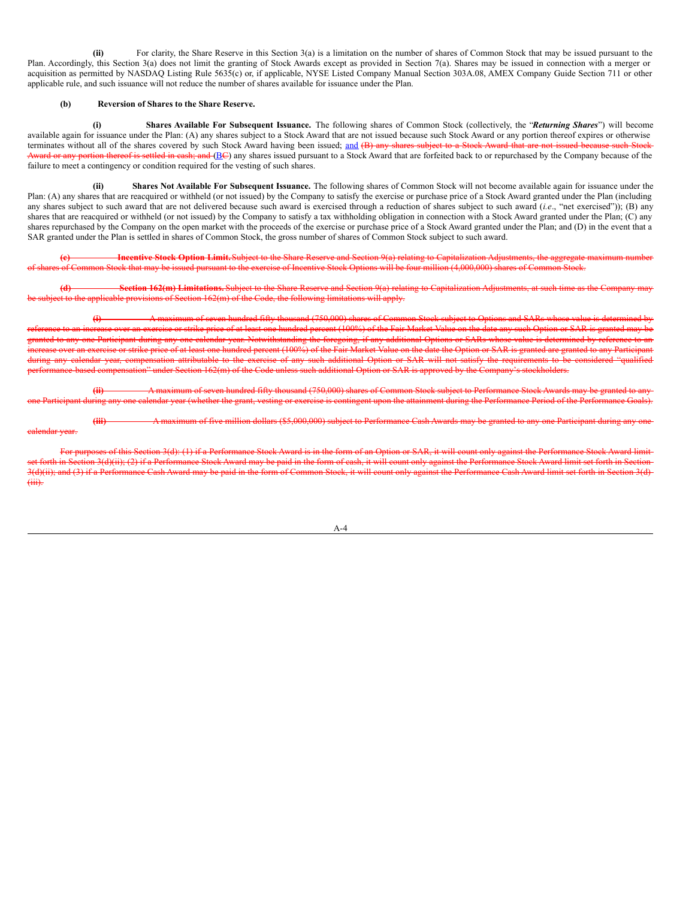**(ii)** For clarity, the Share Reserve in this Section 3(a) is a limitation on the number of shares of Common Stock that may be issued pursuant to the Plan. Accordingly, this Section 3(a) does not limit the granting of Stock Awards except as provided in Section 7(a). Shares may be issued in connection with a merger or acquisition as permitted by NASDAQ Listing Rule 5635(c) or, if applicable, NYSE Listed Company Manual Section 303A.08, AMEX Company Guide Section 711 or other applicable rule, and such issuance will not reduce the number of shares available for issuance under the Plan.

# **(b) Reversion of Shares to the Share Reserve.**

dendar vear.

**(i) Shares Available For Subsequent Issuance.** The following shares of Common Stock (collectively, the "*Returning Shares*") will become available again for issuance under the Plan: (A) any shares subject to a Stock Award that are not issued because such Stock Award or any portion thereof expires or otherwise terminates without all of the shares covered by such Stock Award having been issued; and (B) any shares subject to a Stock Award that are not issued because such Stock Award or any portion thereof is settled in eash; and (BC) any shares issued pursuant to a Stock Award that are forfeited back to or repurchased by the Company because of the failure to meet a contingency or condition required for the vesting of such shares.

**(ii) Shares Not Available For Subsequent Issuance.** The following shares of Common Stock will not become available again for issuance under the Plan: (A) any shares that are reacquired or withheld (or not issued) by the Company to satisfy the exercise or purchase price of a Stock Award granted under the Plan (including any shares subject to such award that are not delivered because such award is exercised through a reduction of shares subject to such award (*i.e.*, "net exercised")); (B) any shares that are reacquired or withheld (or not issued) by the Company to satisfy a tax withholding obligation in connection with a Stock Award granted under the Plan; (C) any shares repurchased by the Company on the open market with the proceeds of the exercise or purchase price of a Stock Award granted under the Plan; and (D) in the event that a SAR granted under the Plan is settled in shares of Common Stock, the gross number of shares of Common Stock subject to such award.

**(c) Incentive Stock Option Limit.**Subject to the Share Reserve and Section 9(a) relating to Capitalization Adjustments, the aggregate maximum number of shares of Common Stock that may be issued pursuant to the exercise of Incentive Stock Options will be four million (4,000,000) shares of Common Stock.

**(d) Section 162(m) Limitations.** Subject to the Share Reserve and Section 9(a) relating to Capitalization Adjustments, at such time as the Company may ect to the applicable provisions of Section 162(m) of the Code, the following limitations will apply.

**(i)** A maximum of seven hundred fifty thousand (750,000) shares of Common Stock subject to Options and SARs whose value is determined by increase over an exercise or strike price of at least one hundred percent (100%) of the Fair Market Value on the date any such Option or SAR is granted may be nted to any one Participant during any one calendar year. Notwithstanding the foregoing, if any additional Options or SARs whose value is determined by reference to an exercise or strike price of at least one hundred percent (100%) of the Fair Market Value on the date the Option or SAR is granted are granted to any Particip during any calendar year, compensation attributable to the exercise of any such additional Option or SAR will not satisfy the requirements to be considered "qualified performance-based compensation" under Section 162(m) of the Code unless such additional Option or SAR is approved by the Company's stockholders.

**(ii)** A maximum of seven hundred fifty thousand (750,000) shares of Common Stock subject to Performance Stock Awards may be granted to any icipant during any one calendar year (whether the grant, vesting or exercise is contingent upon the attainment during the Performance Period of the Performance Goals).

**(iii)** A maximum of five million dollars (\$5,000,000) subject to Performance Cash Awards may be granted to any one Participant during any one

For purposes of this Section 3(d): (1) if a Performance Stock Award is in the form of an Option or SAR, it will count only against the Perform set forth in Section 3(d)(ii); (2) if a Performance Stock Award may be paid in the form of cash, it will count only against the Performance Stock Award limit set forth in Section 3(d)(ii); and (3) if a Performance Cash Award may be paid in the form of Common Stock, it will count only against the Performance Cash Award limit set forth in Section 3(d) (iii).

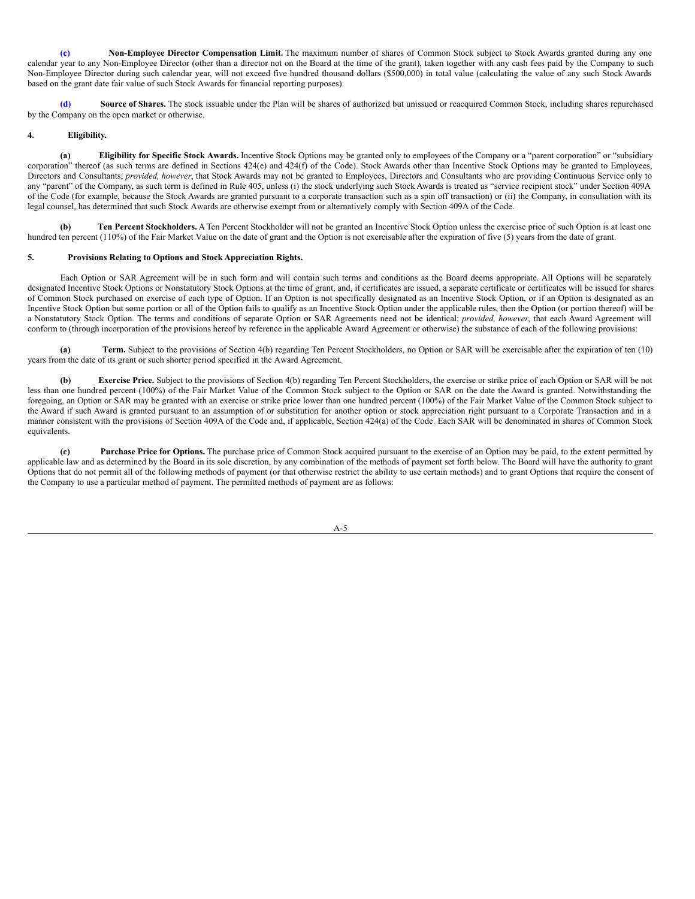**(c) Non-Employee Director Compensation Limit.** The maximum number of shares of Common Stock subject to Stock Awards granted during any one calendar year to any Non-Employee Director (other than a director not on the Board at the time of the grant), taken together with any cash fees paid by the Company to such Non-Employee Director during such calendar year, will not exceed five hundred thousand dollars (\$500,000) in total value (calculating the value of any such Stock Awards based on the grant date fair value of such Stock Awards for financial reporting purposes).

**(d) Source of Shares.** The stock issuable under the Plan will be shares of authorized but unissued or reacquired Common Stock, including shares repurchased by the Company on the open market or otherwise.

# **4. Eligibility.**

**(a) Eligibility for Specific Stock Awards.** Incentive Stock Options may be granted only to employees of the Company or a "parent corporation" or "subsidiary corporation" thereof (as such terms are defined in Sections 424(e) and 424(f) of the Code). Stock Awards other than Incentive Stock Options may be granted to Employees, Directors and Consultants; *provided, however*, that Stock Awards may not be granted to Employees, Directors and Consultants who are providing Continuous Service only to any "parent" of the Company, as such term is defined in Rule 405, unless (i) the stock underlying such Stock Awards is treated as "service recipient stock" under Section 409A of the Code (for example, because the Stock Awards are granted pursuant to a corporate transaction such as a spin off transaction) or (ii) the Company, in consultation with its legal counsel, has determined that such Stock Awards are otherwise exempt from or alternatively comply with Section 409A of the Code.

**(b) Ten Percent Stockholders.** A Ten Percent Stockholder will not be granted an Incentive Stock Option unless the exercise price of such Option is at least one hundred ten percent (110%) of the Fair Market Value on the date of grant and the Option is not exercisable after the expiration of five (5) years from the date of grant.

# **5. Provisions Relating to Options and Stock Appreciation Rights.**

Each Option or SAR Agreement will be in such form and will contain such terms and conditions as the Board deems appropriate. All Options will be separately designated Incentive Stock Options or Nonstatutory Stock Options at the time of grant, and, if certificates are issued, a separate certificate or certificates will be issued for shares of Common Stock purchased on exercise of each type of Option. If an Option is not specifically designated as an Incentive Stock Option, or if an Option is designated as an Incentive Stock Option but some portion or all of the Option fails to qualify as an Incentive Stock Option under the applicable rules, then the Option (or portion thereof) will be a Nonstatutory Stock Option. The terms and conditions of separate Option or SAR Agreements need not be identical; *provided, however*, that each Award Agreement will conform to (through incorporation of the provisions hereof by reference in the applicable Award Agreement or otherwise) the substance of each of the following provisions:

**(a) Term.** Subject to the provisions of Section 4(b) regarding Ten Percent Stockholders, no Option or SAR will be exercisable after the expiration of ten (10) years from the date of its grant or such shorter period specified in the Award Agreement.

**(b) Exercise Price.** Subject to the provisions of Section 4(b) regarding Ten Percent Stockholders, the exercise or strike price of each Option or SAR will be not less than one hundred percent (100%) of the Fair Market Value of the Common Stock subject to the Option or SAR on the date the Award is granted. Notwithstanding the foregoing, an Option or SAR may be granted with an exercise or strike price lower than one hundred percent (100%) of the Fair Market Value of the Common Stock subject to the Award if such Award is granted pursuant to an assumption of or substitution for another option or stock appreciation right pursuant to a Corporate Transaction and in a manner consistent with the provisions of Section 409A of the Code and, if applicable, Section 424(a) of the Code. Each SAR will be denominated in shares of Common Stock equivalents.

**(c) Purchase Price for Options.** The purchase price of Common Stock acquired pursuant to the exercise of an Option may be paid, to the extent permitted by applicable law and as determined by the Board in its sole discretion, by any combination of the methods of payment set forth below. The Board will have the authority to grant Options that do not permit all of the following methods of payment (or that otherwise restrict the ability to use certain methods) and to grant Options that require the consent of the Company to use a particular method of payment. The permitted methods of payment are as follows:

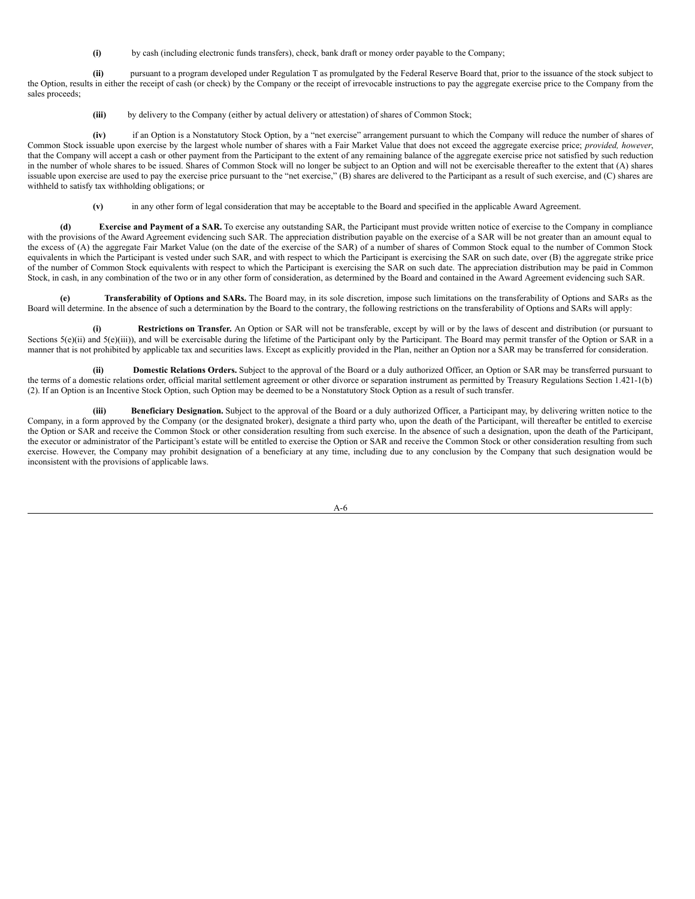**(i)** by cash (including electronic funds transfers), check, bank draft or money order payable to the Company;

**(ii)** pursuant to a program developed under Regulation T as promulgated by the Federal Reserve Board that, prior to the issuance of the stock subject to the Option, results in either the receipt of cash (or check) by the Company or the receipt of irrevocable instructions to pay the aggregate exercise price to the Company from the sales proceeds;

**(iii)** by delivery to the Company (either by actual delivery or attestation) of shares of Common Stock;

**(iv)** if an Option is a Nonstatutory Stock Option, by a "net exercise" arrangement pursuant to which the Company will reduce the number of shares of Common Stock issuable upon exercise by the largest whole number of shares with a Fair Market Value that does not exceed the aggregate exercise price; *provided, however*, that the Company will accept a cash or other payment from the Participant to the extent of any remaining balance of the aggregate exercise price not satisfied by such reduction in the number of whole shares to be issued. Shares of Common Stock will no longer be subject to an Option and will not be exercisable thereafter to the extent that (A) shares issuable upon exercise are used to pay the exercise price pursuant to the "net exercise," (B) shares are delivered to the Participant as a result of such exercise, and (C) shares are withheld to satisfy tax withholding obligations; or

**(v)** in any other form of legal consideration that may be acceptable to the Board and specified in the applicable Award Agreement.

**(d) Exercise and Payment of a SAR.** To exercise any outstanding SAR, the Participant must provide written notice of exercise to the Company in compliance with the provisions of the Award Agreement evidencing such SAR. The appreciation distribution payable on the exercise of a SAR will be not greater than an amount equal to the excess of (A) the aggregate Fair Market Value (on the date of the exercise of the SAR) of a number of shares of Common Stock equal to the number of Common Stock equivalents in which the Participant is vested under such SAR, and with respect to which the Participant is exercising the SAR on such date, over (B) the aggregate strike price of the number of Common Stock equivalents with respect to which the Participant is exercising the SAR on such date. The appreciation distribution may be paid in Common Stock, in cash, in any combination of the two or in any other form of consideration, as determined by the Board and contained in the Award Agreement evidencing such SAR.

**(e) Transferability of Options and SARs.** The Board may, in its sole discretion, impose such limitations on the transferability of Options and SARs as the Board will determine. In the absence of such a determination by the Board to the contrary, the following restrictions on the transferability of Options and SARs will apply:

**(i) Restrictions on Transfer.** An Option or SAR will not be transferable, except by will or by the laws of descent and distribution (or pursuant to Sections  $5(e)$ (ii) and  $5(e)$ (iii)), and will be exercisable during the lifetime of the Participant only by the Participant. The Board may permit transfer of the Option or SAR in a manner that is not prohibited by applicable tax and securities laws. Except as explicitly provided in the Plan, neither an Option nor a SAR may be transferred for consideration.

**(ii) Domestic Relations Orders.** Subject to the approval of the Board or a duly authorized Officer, an Option or SAR may be transferred pursuant to the terms of a domestic relations order, official marital settlement agreement or other divorce or separation instrument as permitted by Treasury Regulations Section 1.421-1(b) (2). If an Option is an Incentive Stock Option, such Option may be deemed to be a Nonstatutory Stock Option as a result of such transfer.

**(iii) Beneficiary Designation.** Subject to the approval of the Board or a duly authorized Officer, a Participant may, by delivering written notice to the Company, in a form approved by the Company (or the designated broker), designate a third party who, upon the death of the Participant, will thereafter be entitled to exercise the Option or SAR and receive the Common Stock or other consideration resulting from such exercise. In the absence of such a designation, upon the death of the Participant, the executor or administrator of the Participant's estate will be entitled to exercise the Option or SAR and receive the Common Stock or other consideration resulting from such exercise. However, the Company may prohibit designation of a beneficiary at any time, including due to any conclusion by the Company that such designation would be inconsistent with the provisions of applicable laws.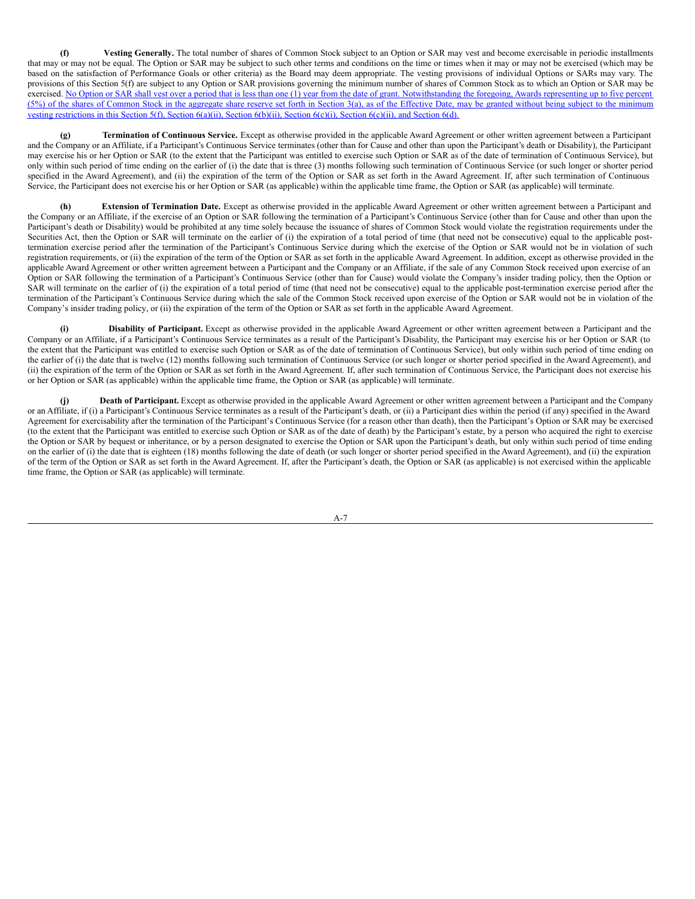**(f) Vesting Generally.** The total number of shares of Common Stock subject to an Option or SAR may vest and become exercisable in periodic installments that may or may not be equal. The Option or SAR may be subject to such other terms and conditions on the time or times when it may or may not be exercised (which may be based on the satisfaction of Performance Goals or other criteria) as the Board may deem appropriate. The vesting provisions of individual Options or SARs may vary. The provisions of this Section 5(f) are subject to any Option or SAR provisions governing the minimum number of shares of Common Stock as to which an Option or SAR may be exercised. No Option or SAR shall vest over a period that is less than one (1) year from the date of grant. Notwithstanding the foregoing, Awards representing up to five percent (5%) of the shares of Common Stock in the aggregate share reserve set forth in Section 3(a), as of the Effective Date, may be granted without being subject to the minimum vesting restrictions in this Section 5(f), Section 6(a)(ii), Section 6(b)(ii), Section 6(c)(i), Section 6(c)(ii), and Section 6(d).

**(g) Termination of Continuous Service.** Except as otherwise provided in the applicable Award Agreement or other written agreement between a Participant and the Company or an Affiliate, if a Participant's Continuous Service terminates (other than for Cause and other than upon the Participant's death or Disability), the Participant may exercise his or her Option or SAR (to the extent that the Participant was entitled to exercise such Option or SAR as of the date of termination of Continuous Service), but only within such period of time ending on the earlier of (i) the date that is three (3) months following such termination of Continuous Service (or such longer or shorter period specified in the Award Agreement), and (ii) the expiration of the term of the Option or SAR as set forth in the Award Agreement. If, after such termination of Continuous Service, the Participant does not exercise his or her Option or SAR (as applicable) within the applicable time frame, the Option or SAR (as applicable) will terminate.

**(h) Extension of Termination Date.** Except as otherwise provided in the applicable Award Agreement or other written agreement between a Participant and the Company or an Affiliate, if the exercise of an Option or SAR following the termination of a Participant's Continuous Service (other than for Cause and other than upon the Participant's death or Disability) would be prohibited at any time solely because the issuance of shares of Common Stock would violate the registration requirements under the Securities Act, then the Option or SAR will terminate on the earlier of (i) the expiration of a total period of time (that need not be consecutive) equal to the applicable posttermination exercise period after the termination of the Participant's Continuous Service during which the exercise of the Option or SAR would not be in violation of such registration requirements, or (ii) the expiration of the term of the Option or SAR as set forth in the applicable Award Agreement. In addition, except as otherwise provided in the applicable Award Agreement or other written agreement between a Participant and the Company or an Affiliate, if the sale of any Common Stock received upon exercise of an Option or SAR following the termination of a Participant's Continuous Service (other than for Cause) would violate the Company's insider trading policy, then the Option or SAR will terminate on the earlier of (i) the expiration of a total period of time (that need not be consecutive) equal to the applicable post-termination exercise period after the termination of the Participant's Continuous Service during which the sale of the Common Stock received upon exercise of the Option or SAR would not be in violation of the Company's insider trading policy, or (ii) the expiration of the term of the Option or SAR as set forth in the applicable Award Agreement.

**(i) Disability of Participant.** Except as otherwise provided in the applicable Award Agreement or other written agreement between a Participant and the Company or an Affiliate, if a Participant's Continuous Service terminates as a result of the Participant's Disability, the Participant may exercise his or her Option or SAR (to the extent that the Participant was entitled to exercise such Option or SAR as of the date of termination of Continuous Service), but only within such period of time ending on the earlier of (i) the date that is twelve (12) months following such termination of Continuous Service (or such longer or shorter period specified in the Award Agreement), and (ii) the expiration of the term of the Option or SAR as set forth in the Award Agreement. If, after such termination of Continuous Service, the Participant does not exercise his or her Option or SAR (as applicable) within the applicable time frame, the Option or SAR (as applicable) will terminate.

**(j) Death of Participant.** Except as otherwise provided in the applicable Award Agreement or other written agreement between a Participant and the Company or an Affiliate, if (i) a Participant's Continuous Service terminates as a result of the Participant's death, or (ii) a Participant dies within the period (if any) specified in the Award Agreement for exercisability after the termination of the Participant's Continuous Service (for a reason other than death), then the Participant's Option or SAR may be exercised (to the extent that the Participant was entitled to exercise such Option or SAR as of the date of death) by the Participant's estate, by a person who acquired the right to exercise the Option or SAR by bequest or inheritance, or by a person designated to exercise the Option or SAR upon the Participant's death, but only within such period of time ending on the earlier of (i) the date that is eighteen (18) months following the date of death (or such longer or shorter period specified in the Award Agreement), and (ii) the expiration of the term of the Option or SAR as set forth in the Award Agreement. If, after the Participant's death, the Option or SAR (as applicable) is not exercised within the applicable time frame, the Option or SAR (as applicable) will terminate.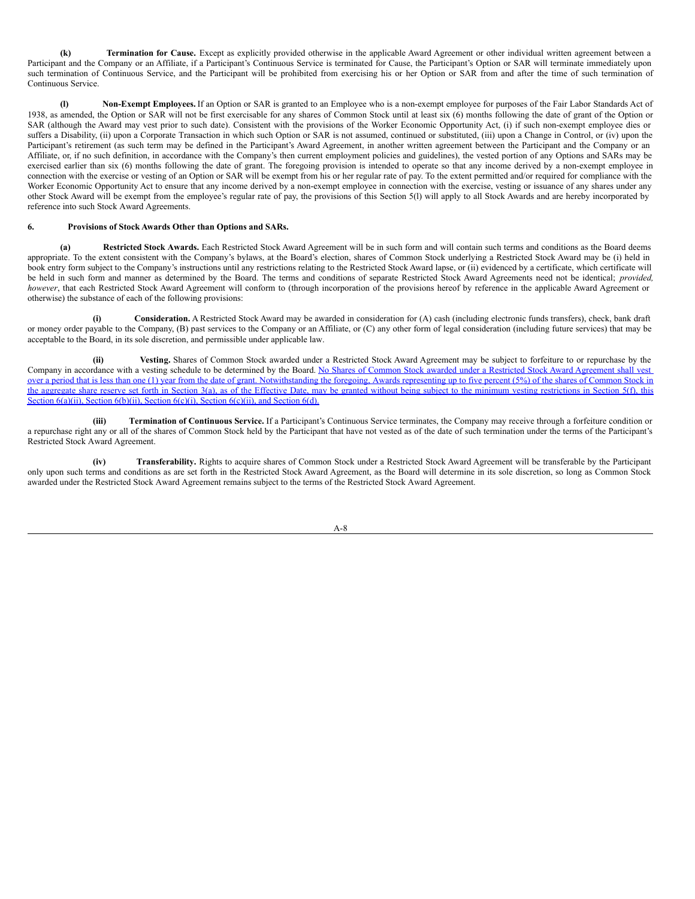**(k) Termination for Cause.** Except as explicitly provided otherwise in the applicable Award Agreement or other individual written agreement between a Participant and the Company or an Affiliate, if a Participant's Continuous Service is terminated for Cause, the Participant's Option or SAR will terminate immediately upon such termination of Continuous Service, and the Participant will be prohibited from exercising his or her Option or SAR from and after the time of such termination of Continuous Service.

**(l) Non-Exempt Employees.** If an Option or SAR is granted to an Employee who is a non-exempt employee for purposes of the Fair Labor Standards Act of 1938, as amended, the Option or SAR will not be first exercisable for any shares of Common Stock until at least six (6) months following the date of grant of the Option or SAR (although the Award may vest prior to such date). Consistent with the provisions of the Worker Economic Opportunity Act, (i) if such non-exempt employee dies or suffers a Disability, (ii) upon a Corporate Transaction in which such Option or SAR is not assumed, continued or substituted, (iii) upon a Change in Control, or (iv) upon the Participant's retirement (as such term may be defined in the Participant's Award Agreement, in another written agreement between the Participant and the Company or an Affiliate, or, if no such definition, in accordance with the Company's then current employment policies and guidelines), the vested portion of any Options and SARs may be exercised earlier than six (6) months following the date of grant. The foregoing provision is intended to operate so that any income derived by a non-exempt employee in connection with the exercise or vesting of an Option or SAR will be exempt from his or her regular rate of pay. To the extent permitted and/or required for compliance with the Worker Economic Opportunity Act to ensure that any income derived by a non-exempt employee in connection with the exercise, vesting or issuance of any shares under any other Stock Award will be exempt from the employee's regular rate of pay, the provisions of this Section 5(l) will apply to all Stock Awards and are hereby incorporated by reference into such Stock Award Agreements.

## **6. Provisions of Stock Awards Other than Options and SARs.**

**(a) Restricted Stock Awards.** Each Restricted Stock Award Agreement will be in such form and will contain such terms and conditions as the Board deems appropriate. To the extent consistent with the Company's bylaws, at the Board's election, shares of Common Stock underlying a Restricted Stock Award may be (i) held in book entry form subject to the Company's instructions until any restrictions relating to the Restricted Stock Award lapse, or (ii) evidenced by a certificate, which certificate will be held in such form and manner as determined by the Board. The terms and conditions of separate Restricted Stock Award Agreements need not be identical; *provided, however*, that each Restricted Stock Award Agreement will conform to (through incorporation of the provisions hereof by reference in the applicable Award Agreement or otherwise) the substance of each of the following provisions:

**(i) Consideration.** A Restricted Stock Award may be awarded in consideration for (A) cash (including electronic funds transfers), check, bank draft or money order payable to the Company, (B) past services to the Company or an Affiliate, or (C) any other form of legal consideration (including future services) that may be acceptable to the Board, in its sole discretion, and permissible under applicable law.

**(ii) Vesting.** Shares of Common Stock awarded under a Restricted Stock Award Agreement may be subject to forfeiture to or repurchase by the Company in accordance with a vesting schedule to be determined by the Board. No Shares of Common Stock awarded under a Restricted Stock Award Agreement shall vest over a period that is less than one (1) year from the date of grant. Notwithstanding the foregoing, Awards representing up to five percent (5%) of the shares of Common Stock in the aggregate share reserve set forth in Section 3(a), as of the Effective Date, may be granted without being subject to the minimum vesting restrictions in Section 5(f), this Section 6(a)(ii), Section 6(b)(ii), Section 6(c)(i), Section 6(c)(ii), and Section 6(d).

**(iii) Termination of Continuous Service.** If a Participant's Continuous Service terminates, the Company may receive through a forfeiture condition or a repurchase right any or all of the shares of Common Stock held by the Participant that have not vested as of the date of such termination under the terms of the Participant's Restricted Stock Award Agreement.

**(iv) Transferability.** Rights to acquire shares of Common Stock under a Restricted Stock Award Agreement will be transferable by the Participant only upon such terms and conditions as are set forth in the Restricted Stock Award Agreement, as the Board will determine in its sole discretion, so long as Common Stock awarded under the Restricted Stock Award Agreement remains subject to the terms of the Restricted Stock Award Agreement.

 $A - R$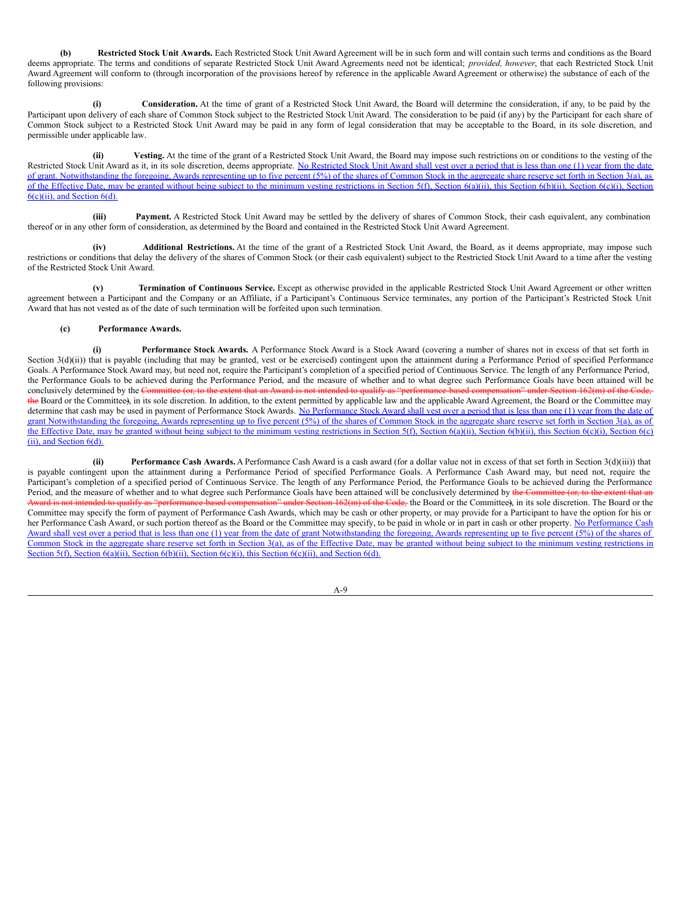**(b) Restricted Stock Unit Awards.** Each Restricted Stock Unit Award Agreement will be in such form and will contain such terms and conditions as the Board deems appropriate. The terms and conditions of separate Restricted Stock Unit Award Agreements need not be identical; *provided, however*, that each Restricted Stock Unit Award Agreement will conform to (through incorporation of the provisions hereof by reference in the applicable Award Agreement or otherwise) the substance of each of the following provisions:

**(i) Consideration.** At the time of grant of a Restricted Stock Unit Award, the Board will determine the consideration, if any, to be paid by the Participant upon delivery of each share of Common Stock subject to the Restricted Stock Unit Award. The consideration to be paid (if any) by the Participant for each share of Common Stock subject to a Restricted Stock Unit Award may be paid in any form of legal consideration that may be acceptable to the Board, in its sole discretion, and permissible under applicable law.

**(ii) Vesting.** At the time of the grant of a Restricted Stock Unit Award, the Board may impose such restrictions on or conditions to the vesting of the Restricted Stock Unit Award as it, in its sole discretion, deems appropriate. No Restricted Stock Unit Award shall vest over a period that is less than one (1) year from the date of grant. Notwithstanding the foregoing, Awards representing up to five percent (5%) of the shares of Common Stock in the aggregate share reserve set forth in Section 3(a), as of the Effective Date, may be granted without being subject to the minimum vesting restrictions in Section  $f(f)$ , Section  $f(g)(ii)$ , this Section  $f(g)(ii)$ , Section  $f(g)(i)$ , Section  $f(g)(i)$ , Section  $f(g)(i)$ , Section  $f(g)(i)$ ,  $6(c)(ii)$ , and Section  $6(d)$ .

**(iii) Payment.** A Restricted Stock Unit Award may be settled by the delivery of shares of Common Stock, their cash equivalent, any combination thereof or in any other form of consideration, as determined by the Board and contained in the Restricted Stock Unit Award Agreement.

**(iv) Additional Restrictions.** At the time of the grant of a Restricted Stock Unit Award, the Board, as it deems appropriate, may impose such restrictions or conditions that delay the delivery of the shares of Common Stock (or their cash equivalent) subject to the Restricted Stock Unit Award to a time after the vesting of the Restricted Stock Unit Award.

**(v) Termination of Continuous Service.** Except as otherwise provided in the applicable Restricted Stock Unit Award Agreement or other written agreement between a Participant and the Company or an Affiliate, if a Participant's Continuous Service terminates, any portion of the Participant's Restricted Stock Unit Award that has not vested as of the date of such termination will be forfeited upon such termination.

# **(c) Performance Awards.**

**(i) Performance Stock Awards.** A Performance Stock Award is a Stock Award (covering a number of shares not in excess of that set forth in Section 3(d)(ii)) that is payable (including that may be granted, vest or be exercised) contingent upon the attainment during a Performance Period of specified Performance Goals. A Performance Stock Award may, but need not, require the Participant's completion of a specified period of Continuous Service. The length of any Performance Period, the Performance Goals to be achieved during the Performance Period, and the measure of whether and to what degree such Performance Goals have been attained will be conclusively determined by the Comthe Board or the Committee), in its sole discretion. In addition, to the extent permitted by applicable law and the applicable Award Agreement, the Board or the Committee may determine that cash may be used in payment of Performance Stock Awards. No Performance Stock Award shall vest over a period that is less than one (1) year from the date of grant Notwithstanding the foregoing, Awards representing up to five percent (5%) of the shares of Common Stock in the aggregate share reserve set forth in Section 3(a), as of the Effective Date, may be granted without being subject to the minimum vesting restrictions in Section 5(f), Section 6(a)(ii), Section 6(b)(ii), this Section 6(c)(i), Section 6(c) (ii), and Section 6(d).

**(ii) Performance Cash Awards.** A Performance Cash Award is a cash award (for a dollar value not in excess of that set forth in Section 3(d)(iii)) that is payable contingent upon the attainment during a Performance Period of specified Performance Goals. A Performance Cash Award may, but need not, require the Participant's completion of a specified period of Continuous Service. The length of any Performance Period, the Performance Goals to be achieved during the Performance Period, and the measure of whether and to what degree such Performance Goals have been attained will be conclusively determined by the Committee (or, to the extent that an under Section 162(m) of the Code, the Board or the Committee), in its sole discretion. The Board or the Committee may specify the form of payment of Performance Cash Awards, which may be cash or other property, or may provide for a Participant to have the option for his or her Performance Cash Award, or such portion thereof as the Board or the Committee may specify, to be paid in whole or in part in cash or other property. No Performance Cash Award shall vest over a period that is less than one (1) year from the date of grant Notwithstanding the foregoing, Awards representing up to five percent (5%) of the shares of Common Stock in the aggregate share reserve set forth in Section 3(a), as of the Effective Date, may be granted without being subject to the minimum vesting restrictions in Section 5(f), Section 6(a)(ii), Section 6(b)(ii), Section 6(c)(i), this Section 6(c)(ii), and Section 6(d).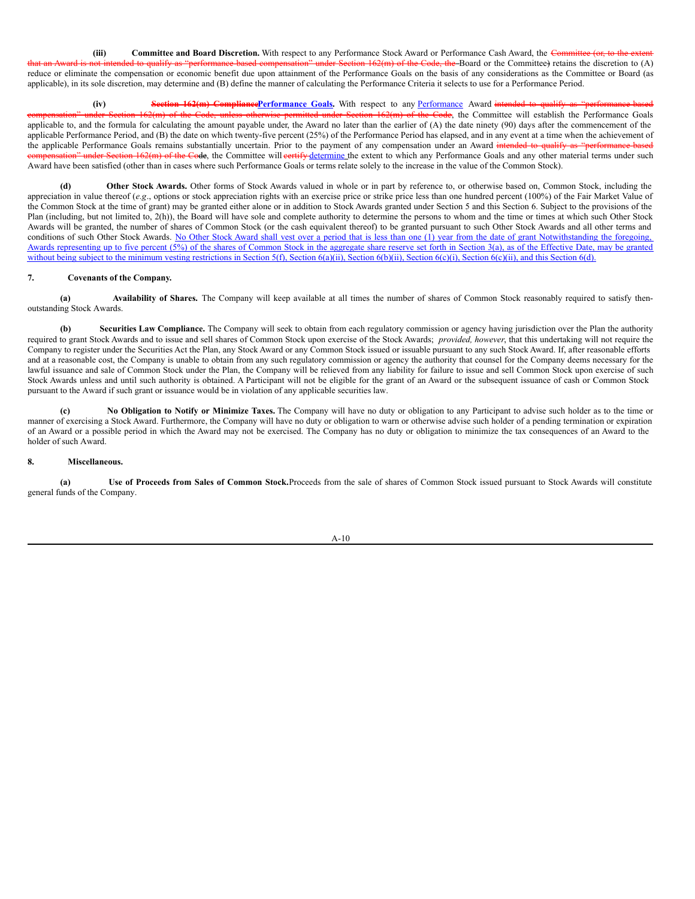(iii) **Committee and Board Discretion.** With respect to any Performance Stock Award or Performance Cash Award, the Committee (or, to the Section  $162(m)$  of the Code, the Board or the Committee) retains the discretion to  $(A)$ reduce or eliminate the compensation or economic benefit due upon attainment of the Performance Goals on the basis of any considerations as the Committee or Board (as applicable), in its sole discretion, may determine and (B) define the manner of calculating the Performance Criteria it selects to use for a Performance Period.

**(iv) Section 162(m) CompliancePerformance Goals.** With respect to any Performance Award intended to qualify m) of the Code, the Committee will establish the Performance Goals applicable to, and the formula for calculating the amount payable under, the Award no later than the earlier of (A) the date ninety (90) days after the commencement of the applicable Performance Period, and  $(B)$  the date on which twenty-five percent  $(25%)$  of the Performance Period has elapsed, and in any event at a time when the achievement of the applicable Performance Goals remains substantially uncertain. Prior to the payment of any compensation under an Award intended to qualify a on" under Section 162(m) of the Code, the Committee will eertify determine the extent to which any Performance Goals and any other material terms under such Award have been satisfied (other than in cases where such Performance Goals or terms relate solely to the increase in the value of the Common Stock).

**(d) Other Stock Awards.** Other forms of Stock Awards valued in whole or in part by reference to, or otherwise based on, Common Stock, including the appreciation in value thereof (*e.g.*, options or stock appreciation rights with an exercise price or strike price less than one hundred percent (100%) of the Fair Market Value of the Common Stock at the time of grant) may be granted either alone or in addition to Stock Awards granted under Section 5 and this Section 6. Subject to the provisions of the Plan (including, but not limited to, 2(h)), the Board will have sole and complete authority to determine the persons to whom and the time or times at which such Other Stock Awards will be granted, the number of shares of Common Stock (or the cash equivalent thereof) to be granted pursuant to such Other Stock Awards and all other terms and conditions of such Other Stock Awards. No Other Stock Award shall vest over a period that is less than one (1) year from the date of grant Notwithstanding the foregoing, Awards representing up to five percent (5%) of the shares of Common Stock in the aggregate share reserve set forth in Section 3(a), as of the Effective Date, may be granted without being subject to the minimum vesting restrictions in Section 5(f), Section 6(a)(ii), Section 6(b)(ii), Section 6(c)(i), Section 6(c)(ii), and this Section 6(d).

# **7. Covenants of the Company.**

**(a) Availability of Shares.** The Company will keep available at all times the number of shares of Common Stock reasonably required to satisfy thenoutstanding Stock Awards.

**(b) Securities Law Compliance.** The Company will seek to obtain from each regulatory commission or agency having jurisdiction over the Plan the authority required to grant Stock Awards and to issue and sell shares of Common Stock upon exercise of the Stock Awards; *provided, however*, that this undertaking will not require the Company to register under the Securities Act the Plan, any Stock Award or any Common Stock issued or issuable pursuant to any such Stock Award. If, after reasonable efforts and at a reasonable cost, the Company is unable to obtain from any such regulatory commission or agency the authority that counsel for the Company deems necessary for the lawful issuance and sale of Common Stock under the Plan, the Company will be relieved from any liability for failure to issue and sell Common Stock upon exercise of such Stock Awards unless and until such authority is obtained. A Participant will not be eligible for the grant of an Award or the subsequent issuance of cash or Common Stock pursuant to the Award if such grant or issuance would be in violation of any applicable securities law.

**(c) No Obligation to Notify or Minimize Taxes.** The Company will have no duty or obligation to any Participant to advise such holder as to the time or manner of exercising a Stock Award. Furthermore, the Company will have no duty or obligation to warn or otherwise advise such holder of a pending termination or expiration of an Award or a possible period in which the Award may not be exercised. The Company has no duty or obligation to minimize the tax consequences of an Award to the holder of such Award.

# **8. Miscellaneous.**

**(a) Use of Proceeds from Sales of Common Stock.**Proceeds from the sale of shares of Common Stock issued pursuant to Stock Awards will constitute general funds of the Company.

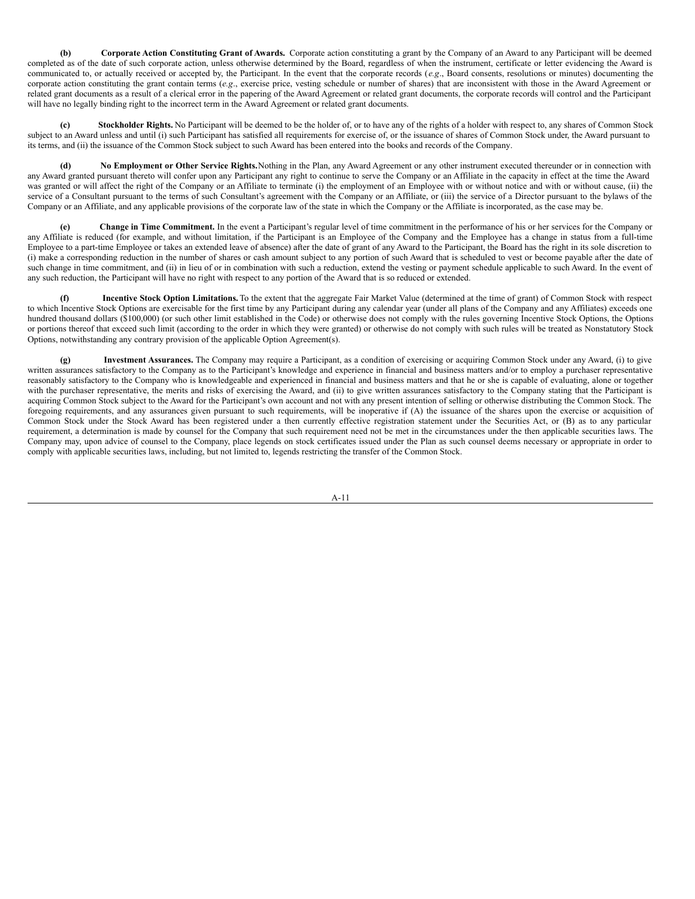**(b) Corporate Action Constituting Grant of Awards.** Corporate action constituting a grant by the Company of an Award to any Participant will be deemed completed as of the date of such corporate action, unless otherwise determined by the Board, regardless of when the instrument, certificate or letter evidencing the Award is communicated to, or actually received or accepted by, the Participant. In the event that the corporate records (*e.g*., Board consents, resolutions or minutes) documenting the corporate action constituting the grant contain terms (e.g., exercise price, vesting schedule or number of shares) that are inconsistent with those in the Award Agreement or related grant documents as a result of a clerical error in the papering of the Award Agreement or related grant documents, the corporate records will control and the Participant will have no legally binding right to the incorrect term in the Award Agreement or related grant documents.

**(c) Stockholder Rights.** No Participant will be deemed to be the holder of, or to have any of the rights of a holder with respect to, any shares of Common Stock subject to an Award unless and until (i) such Participant has satisfied all requirements for exercise of, or the issuance of shares of Common Stock under, the Award pursuant to its terms, and (ii) the issuance of the Common Stock subject to such Award has been entered into the books and records of the Company.

**(d) No Employment or Other Service Rights.**Nothing in the Plan, any Award Agreement or any other instrument executed thereunder or in connection with any Award granted pursuant thereto will confer upon any Participant any right to continue to serve the Company or an Affiliate in the capacity in effect at the time the Award was granted or will affect the right of the Company or an Affiliate to terminate (i) the employment of an Employee with or without notice and with or without cause, (ii) the service of a Consultant pursuant to the terms of such Consultant's agreement with the Company or an Affiliate, or (iii) the service of a Director pursuant to the bylaws of the Company or an Affiliate, and any applicable provisions of the corporate law of the state in which the Company or the Affiliate is incorporated, as the case may be.

**(e) Change in Time Commitment.** In the event a Participant's regular level of time commitment in the performance of his or her services for the Company or any Affiliate is reduced (for example, and without limitation, if the Participant is an Employee of the Company and the Employee has a change in status from a full-time Employee to a part-time Employee or takes an extended leave of absence) after the date of grant of any Award to the Participant, the Board has the right in its sole discretion to (i) make a corresponding reduction in the number of shares or cash amount subject to any portion of such Award that is scheduled to vest or become payable after the date of such change in time commitment, and (ii) in lieu of or in combination with such a reduction, extend the vesting or payment schedule applicable to such Award. In the event of any such reduction, the Participant will have no right with respect to any portion of the Award that is so reduced or extended.

**(f) Incentive Stock Option Limitations.** To the extent that the aggregate Fair Market Value (determined at the time of grant) of Common Stock with respect to which Incentive Stock Options are exercisable for the first time by any Participant during any calendar year (under all plans of the Company and any Affiliates) exceeds one hundred thousand dollars (\$100,000) (or such other limit established in the Code) or otherwise does not comply with the rules governing Incentive Stock Options, the Options or portions thereof that exceed such limit (according to the order in which they were granted) or otherwise do not comply with such rules will be treated as Nonstatutory Stock Options, notwithstanding any contrary provision of the applicable Option Agreement(s).

**(g) Investment Assurances.** The Company may require a Participant, as a condition of exercising or acquiring Common Stock under any Award, (i) to give written assurances satisfactory to the Company as to the Participant's knowledge and experience in financial and business matters and/or to employ a purchaser representative reasonably satisfactory to the Company who is knowledgeable and experienced in financial and business matters and that he or she is capable of evaluating, alone or together with the purchaser representative, the merits and risks of exercising the Award, and (ii) to give written assurances satisfactory to the Company stating that the Participant is acquiring Common Stock subject to the Award for the Participant's own account and not with any present intention of selling or otherwise distributing the Common Stock. The foregoing requirements, and any assurances given pursuant to such requirements, will be inoperative if (A) the issuance of the shares upon the exercise or acquisition of Common Stock under the Stock Award has been registered under a then currently effective registration statement under the Securities Act, or (B) as to any particular requirement, a determination is made by counsel for the Company that such requirement need not be met in the circumstances under the then applicable securities laws. The Company may, upon advice of counsel to the Company, place legends on stock certificates issued under the Plan as such counsel deems necessary or appropriate in order to comply with applicable securities laws, including, but not limited to, legends restricting the transfer of the Common Stock.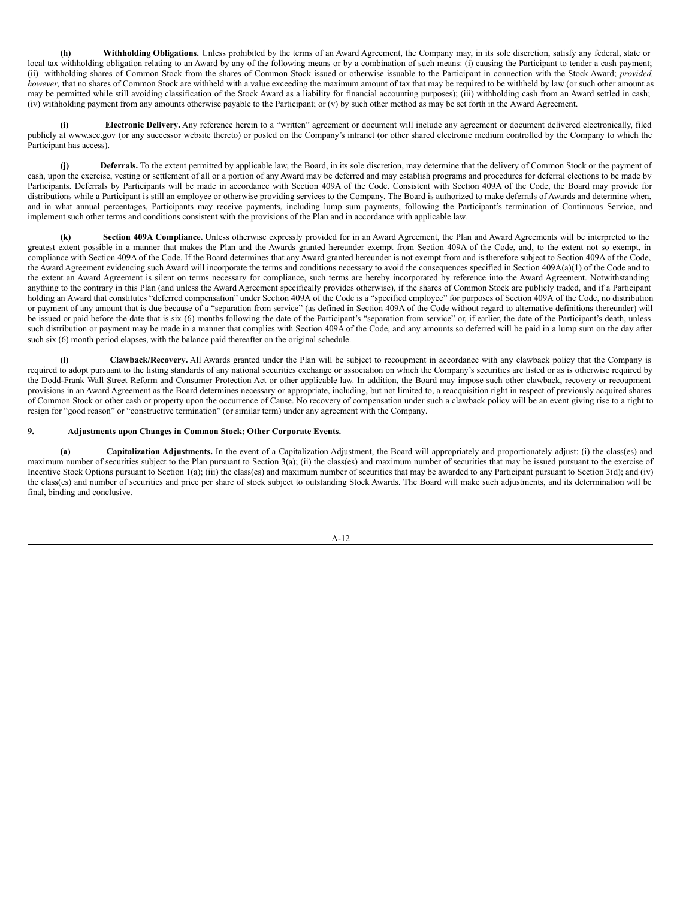**(h) Withholding Obligations.** Unless prohibited by the terms of an Award Agreement, the Company may, in its sole discretion, satisfy any federal, state or local tax withholding obligation relating to an Award by any of the following means or by a combination of such means: (i) causing the Participant to tender a cash payment; (ii) withholding shares of Common Stock from the shares of Common Stock issued or otherwise issuable to the Participant in connection with the Stock Award; *provided, however*, that no shares of Common Stock are withheld with a value exceeding the maximum amount of tax that may be required to be withheld by law (or such other amount as may be permitted while still avoiding classification of the Stock Award as a liability for financial accounting purposes); (iii) withholding cash from an Award settled in cash; (iv) withholding payment from any amounts otherwise payable to the Participant; or (v) by such other method as may be set forth in the Award Agreement.

**(i) Electronic Delivery.** Any reference herein to a "written" agreement or document will include any agreement or document delivered electronically, filed publicly at www.sec.gov (or any successor website thereto) or posted on the Company's intranet (or other shared electronic medium controlled by the Company to which the Participant has access).

**(j) Deferrals.** To the extent permitted by applicable law, the Board, in its sole discretion, may determine that the delivery of Common Stock or the payment of cash, upon the exercise, vesting or settlement of all or a portion of any Award may be deferred and may establish programs and procedures for deferral elections to be made by Participants. Deferrals by Participants will be made in accordance with Section 409A of the Code. Consistent with Section 409A of the Code, the Board may provide for distributions while a Participant is still an employee or otherwise providing services to the Company. The Board is authorized to make deferrals of Awards and determine when, and in what annual percentages, Participants may receive payments, including lump sum payments, following the Participant's termination of Continuous Service, and implement such other terms and conditions consistent with the provisions of the Plan and in accordance with applicable law.

**Section 409A Compliance.** Unless otherwise expressly provided for in an Award Agreement, the Plan and Award Agreements will be interpreted to the greatest extent possible in a manner that makes the Plan and the Awards granted hereunder exempt from Section 409A of the Code, and, to the extent not so exempt, in compliance with Section 409A of the Code. If the Board determines that any Award granted hereunder is not exempt from and is therefore subject to Section 409A of the Code, the Award Agreement evidencing such Award will incorporate the terms and conditions necessary to avoid the consequences specified in Section 409A(a)(1) of the Code and to the extent an Award Agreement is silent on terms necessary for compliance, such terms are hereby incorporated by reference into the Award Agreement. Notwithstanding anything to the contrary in this Plan (and unless the Award Agreement specifically provides otherwise), if the shares of Common Stock are publicly traded, and if a Participant holding an Award that constitutes "deferred compensation" under Section 409A of the Code is a "specified employee" for purposes of Section 409A of the Code, no distribution or payment of any amount that is due because of a "separation from service" (as defined in Section 409A of the Code without regard to alternative definitions thereunder) will be issued or paid before the date that is six (6) months following the date of the Participant's "separation from service" or, if earlier, the date of the Participant's death, unless such distribution or payment may be made in a manner that complies with Section 409A of the Code, and any amounts so deferred will be paid in a lump sum on the day after such six (6) month period elapses, with the balance paid thereafter on the original schedule.

**(l) Clawback/Recovery.** All Awards granted under the Plan will be subject to recoupment in accordance with any clawback policy that the Company is required to adopt pursuant to the listing standards of any national securities exchange or association on which the Company's securities are listed or as is otherwise required by the Dodd-Frank Wall Street Reform and Consumer Protection Act or other applicable law. In addition, the Board may impose such other clawback, recovery or recoupment provisions in an Award Agreement as the Board determines necessary or appropriate, including, but not limited to, a reacquisition right in respect of previously acquired shares of Common Stock or other cash or property upon the occurrence of Cause. No recovery of compensation under such a clawback policy will be an event giving rise to a right to resign for "good reason" or "constructive termination" (or similar term) under any agreement with the Company.

# **9. Adjustments upon Changes in Common Stock; Other Corporate Events.**

**(a) Capitalization Adjustments.** In the event of a Capitalization Adjustment, the Board will appropriately and proportionately adjust: (i) the class(es) and maximum number of securities subject to the Plan pursuant to Section 3(a); (ii) the class(es) and maximum number of securities that may be issued pursuant to the exercise of Incentive Stock Options pursuant to Section 1(a); (iii) the class(es) and maximum number of securities that may be awarded to any Participant pursuant to Section 3(d); and (iv) the class(es) and number of securities and price per share of stock subject to outstanding Stock Awards. The Board will make such adjustments, and its determination will be final, binding and conclusive.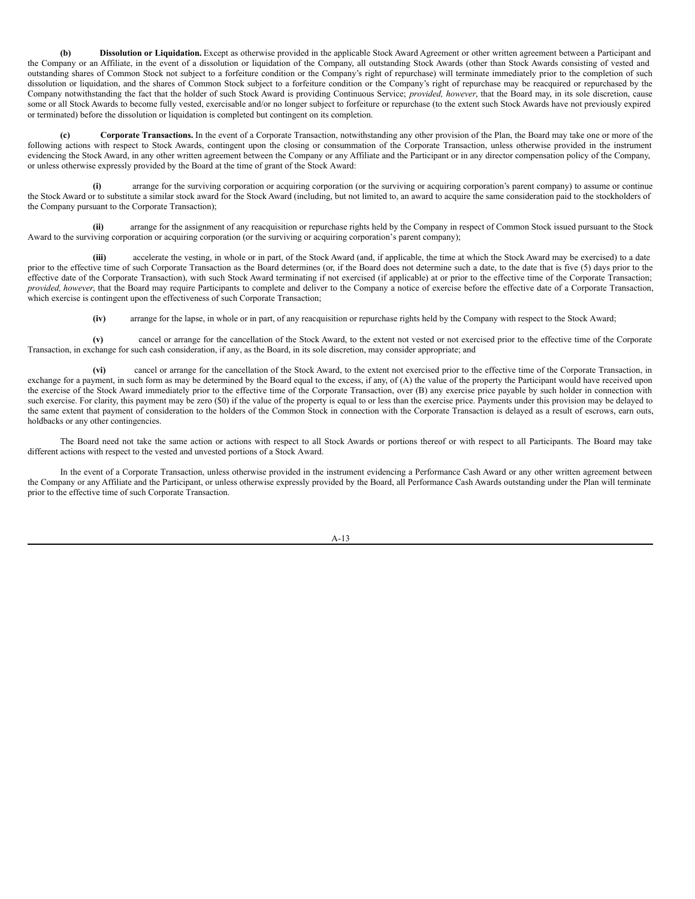**(b) Dissolution or Liquidation.** Except as otherwise provided in the applicable Stock Award Agreement or other written agreement between a Participant and the Company or an Affiliate, in the event of a dissolution or liquidation of the Company, all outstanding Stock Awards (other than Stock Awards consisting of vested and outstanding shares of Common Stock not subject to a forfeiture condition or the Company's right of repurchase) will terminate immediately prior to the completion of such dissolution or liquidation, and the shares of Common Stock subject to a forfeiture condition or the Company's right of repurchase may be reacquired or repurchased by the Company notwithstanding the fact that the holder of such Stock Award is providing Continuous Service; *provided, however*, that the Board may, in its sole discretion, cause some or all Stock Awards to become fully vested, exercisable and/or no longer subject to forfeiture or repurchase (to the extent such Stock Awards have not previously expired or terminated) before the dissolution or liquidation is completed but contingent on its completion.

**(c) Corporate Transactions.** In the event of a Corporate Transaction, notwithstanding any other provision of the Plan, the Board may take one or more of the following actions with respect to Stock Awards, contingent upon the closing or consummation of the Corporate Transaction, unless otherwise provided in the instrument evidencing the Stock Award, in any other written agreement between the Company or any Affiliate and the Participant or in any director compensation policy of the Company, or unless otherwise expressly provided by the Board at the time of grant of the Stock Award:

**(i)** arrange for the surviving corporation or acquiring corporation (or the surviving or acquiring corporation's parent company) to assume or continue the Stock Award or to substitute a similar stock award for the Stock Award (including, but not limited to, an award to acquire the same consideration paid to the stockholders of the Company pursuant to the Corporate Transaction);

**(ii)** arrange for the assignment of any reacquisition or repurchase rights held by the Company in respect of Common Stock issued pursuant to the Stock Award to the surviving corporation or acquiring corporation (or the surviving or acquiring corporation's parent company);

**(iii)** accelerate the vesting, in whole or in part, of the Stock Award (and, if applicable, the time at which the Stock Award may be exercised) to a date prior to the effective time of such Corporate Transaction as the Board determines (or, if the Board does not determine such a date, to the date that is five (5) days prior to the effective date of the Corporate Transaction), with such Stock Award terminating if not exercised (if applicable) at or prior to the effective time of the Corporate Transaction; *provided, however*, that the Board may require Participants to complete and deliver to the Company a notice of exercise before the effective date of a Corporate Transaction, which exercise is contingent upon the effectiveness of such Corporate Transaction;

**(iv)** arrange for the lapse, in whole or in part, of any reacquisition or repurchase rights held by the Company with respect to the Stock Award;

**(v)** cancel or arrange for the cancellation of the Stock Award, to the extent not vested or not exercised prior to the effective time of the Corporate Transaction, in exchange for such cash consideration, if any, as the Board, in its sole discretion, may consider appropriate; and

**(vi)** cancel or arrange for the cancellation of the Stock Award, to the extent not exercised prior to the effective time of the Corporate Transaction, in exchange for a payment, in such form as may be determined by the Board equal to the excess, if any, of (A) the value of the property the Participant would have received upon the exercise of the Stock Award immediately prior to the effective time of the Corporate Transaction, over (B) any exercise price payable by such holder in connection with such exercise. For clarity, this payment may be zero (\$0) if the value of the property is equal to or less than the exercise price. Payments under this provision may be delayed to the same extent that payment of consideration to the holders of the Common Stock in connection with the Corporate Transaction is delayed as a result of escrows, earn outs, holdbacks or any other contingencies.

The Board need not take the same action or actions with respect to all Stock Awards or portions thereof or with respect to all Participants. The Board may take different actions with respect to the vested and unvested portions of a Stock Award.

In the event of a Corporate Transaction, unless otherwise provided in the instrument evidencing a Performance Cash Award or any other written agreement between the Company or any Affiliate and the Participant, or unless otherwise expressly provided by the Board, all Performance Cash Awards outstanding under the Plan will terminate prior to the effective time of such Corporate Transaction.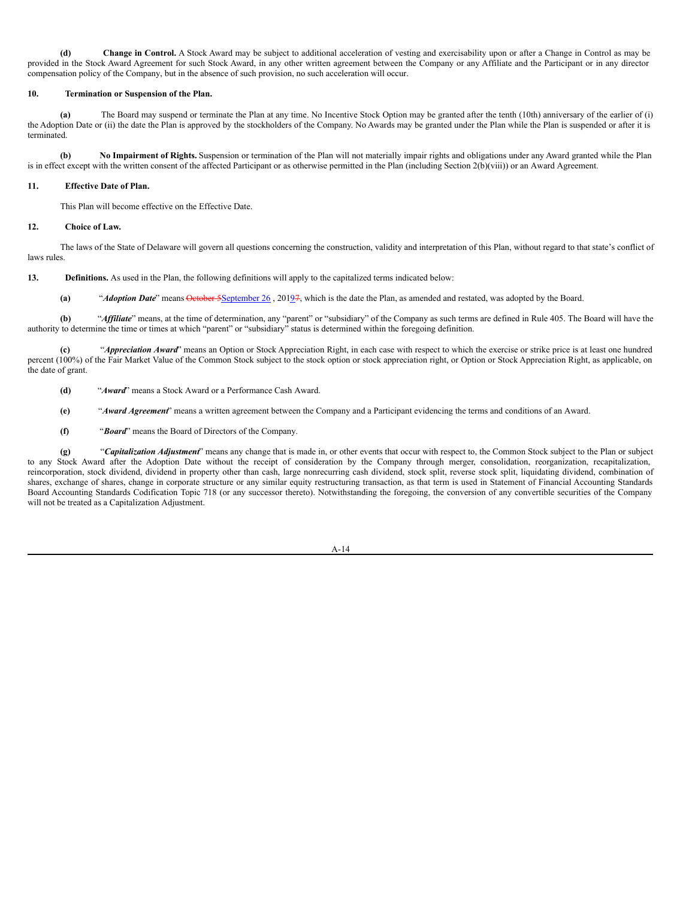**(d) Change in Control.** A Stock Award may be subject to additional acceleration of vesting and exercisability upon or after a Change in Control as may be provided in the Stock Award Agreement for such Stock Award, in any other written agreement between the Company or any Affiliate and the Participant or in any director compensation policy of the Company, but in the absence of such provision, no such acceleration will occur.

# **10. Termination or Suspension of the Plan.**

**(a)** The Board may suspend or terminate the Plan at any time. No Incentive Stock Option may be granted after the tenth (10th) anniversary of the earlier of (i) the Adoption Date or (ii) the date the Plan is approved by the stockholders of the Company. No Awards may be granted under the Plan while the Plan is suspended or after it is terminated.

**(b) No Impairment of Rights.** Suspension or termination of the Plan will not materially impair rights and obligations under any Award granted while the Plan is in effect except with the written consent of the affected Participant or as otherwise permitted in the Plan (including Section 2(b)(viii)) or an Award Agreement.

# **11. Effective Date of Plan.**

This Plan will become effective on the Effective Date.

## **12. Choice of Law.**

The laws of the State of Delaware will govern all questions concerning the construction, validity and interpretation of this Plan, without regard to that state's conflict of laws rules.

**13. Definitions.** As used in the Plan, the following definitions will apply to the capitalized terms indicated below:

**(a)** "*Adoption Date*" means October 5September 26 , 20197, which is the date the Plan, as amended and restated, was adopted by the Board.

**(b)** "*Af iliate*" means, at the time of determination, any "parent" or "subsidiary" of the Company as such terms are defined in Rule 405. The Board will have the authority to determine the time or times at which "parent" or "subsidiary" status is determined within the foregoing definition.

**(c)** "*Appreciation Award*" means an Option or Stock Appreciation Right, in each case with respect to which the exercise or strike price is at least one hundred percent (100%) of the Fair Market Value of the Common Stock subject to the stock option or stock appreciation right, or Option or Stock Appreciation Right, as applicable, on the date of grant.

- **(d)** "*Award*" means a Stock Award or a Performance Cash Award.
- **(e)** "*Award Agreement*" means a written agreement between the Company and a Participant evidencing the terms and conditions of an Award.
- **(f)** "*Board*" means the Board of Directors of the Company.

**(g)** "*Capitalization Adjustment*" means any change that is made in, or other events that occur with respect to, the Common Stock subject to the Plan or subject to any Stock Award after the Adoption Date without the receipt of consideration by the Company through merger, consolidation, reorganization, recapitalization, reincorporation, stock dividend, dividend in property other than cash, large nonrecurring cash dividend, stock split, reverse stock split, liquidating dividend, combination of shares, exchange of shares, change in corporate structure or any similar equity restructuring transaction, as that term is used in Statement of Financial Accounting Standards Board Accounting Standards Codification Topic 718 (or any successor thereto). Notwithstanding the foregoing, the conversion of any convertible securities of the Company will not be treated as a Capitalization Adjustment.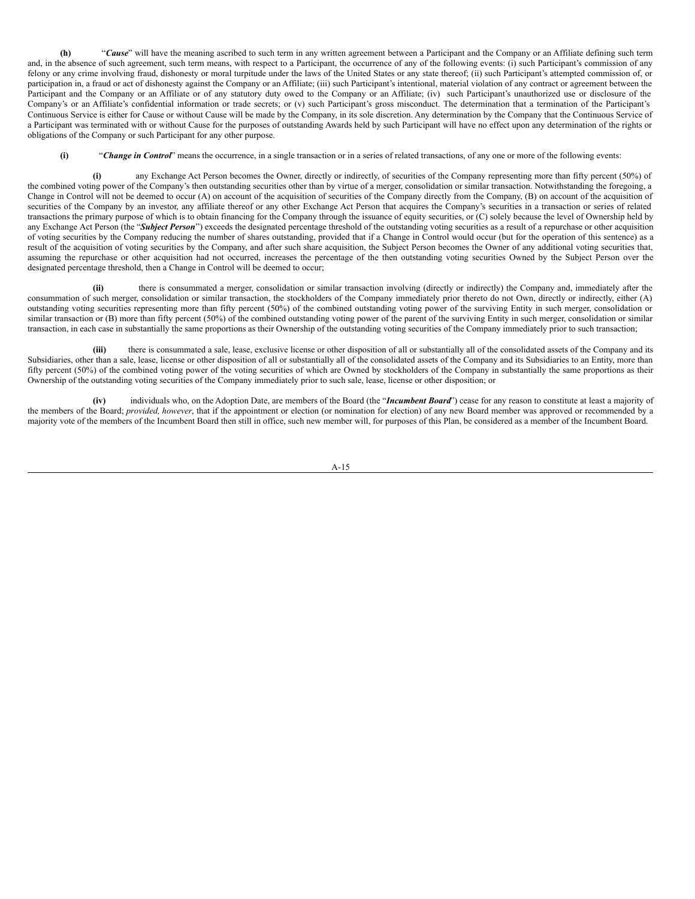**(h)** "*Cause*" will have the meaning ascribed to such term in any written agreement between a Participant and the Company or an Affiliate defining such term and, in the absence of such agreement, such term means, with respect to a Participant, the occurrence of any of the following events: (i) such Participant's commission of any felony or any crime involving fraud, dishonesty or moral turpitude under the laws of the United States or any state thereof; (ii) such Participant's attempted commission of, or participation in, a fraud or act of dishonesty against the Company or an Affiliate; (iii) such Participant's intentional, material violation of any contract or agreement between the Participant and the Company or an Affiliate or of any statutory duty owed to the Company or an Affiliate; (iv) such Participant's unauthorized use or disclosure of the Company's or an Affiliate's confidential information or trade secrets; or (v) such Participant's gross misconduct. The determination that a termination of the Participant's Continuous Service is either for Cause or without Cause will be made by the Company, in its sole discretion. Any determination by the Company that the Continuous Service of a Participant was terminated with or without Cause for the purposes of outstanding Awards held by such Participant will have no effect upon any determination of the rights or obligations of the Company or such Participant for any other purpose.

**(i)** "*Change in Control*" means the occurrence, in a single transaction or in a series of related transactions, of any one or more of the following events:

**(i)** any Exchange Act Person becomes the Owner, directly or indirectly, of securities of the Company representing more than fifty percent (50%) of the combined voting power of the Company's then outstanding securities other than by virtue of a merger, consolidation or similar transaction. Notwithstanding the foregoing, a Change in Control will not be deemed to occur (A) on account of the acquisition of securities of the Company directly from the Company, (B) on account of the acquisition of securities of the Company by an investor, any affiliate thereof or any other Exchange Act Person that acquires the Company's securities in a transaction or series of related transactions the primary purpose of which is to obtain financing for the Company through the issuance of equity securities, or (C) solely because the level of Ownership held by any Exchange Act Person (the "Subject Person") exceeds the designated percentage threshold of the outstanding voting securities as a result of a repurchase or other acquisition of voting securities by the Company reducing the number of shares outstanding, provided that if a Change in Control would occur (but for the operation of this sentence) as a result of the acquisition of voting securities by the Company, and after such share acquisition, the Subject Person becomes the Owner of any additional voting securities that, assuming the repurchase or other acquisition had not occurred, increases the percentage of the then outstanding voting securities Owned by the Subject Person over the designated percentage threshold, then a Change in Control will be deemed to occur;

**(ii)** there is consummated a merger, consolidation or similar transaction involving (directly or indirectly) the Company and, immediately after the consummation of such merger, consolidation or similar transaction, the stockholders of the Company immediately prior thereto do not Own, directly or indirectly, either (A) outstanding voting securities representing more than fifty percent (50%) of the combined outstanding voting power of the surviving Entity in such merger, consolidation or similar transaction or (B) more than fifty percent (50%) of the combined outstanding voting power of the parent of the surviving Entity in such merger, consolidation or similar transaction, in each case in substantially the same proportions as their Ownership of the outstanding voting securities of the Company immediately prior to such transaction;

**(iii)** there is consummated a sale, lease, exclusive license or other disposition of all or substantially all of the consolidated assets of the Company and its Subsidiaries, other than a sale, lease, license or other disposition of all or substantially all of the consolidated assets of the Company and its Subsidiaries to an Entity, more than fifty percent (50%) of the combined voting power of the voting securities of which are Owned by stockholders of the Company in substantially the same proportions as their Ownership of the outstanding voting securities of the Company immediately prior to such sale, lease, license or other disposition; or

**(iv)** individuals who, on the Adoption Date, are members of the Board (the "*Incumbent Board*") cease for any reason to constitute at least a majority of the members of the Board; *provided, however*, that if the appointment or election (or nomination for election) of any new Board member was approved or recommended by a majority vote of the members of the Incumbent Board then still in office, such new member will, for purposes of this Plan, be considered as a member of the Incumbent Board.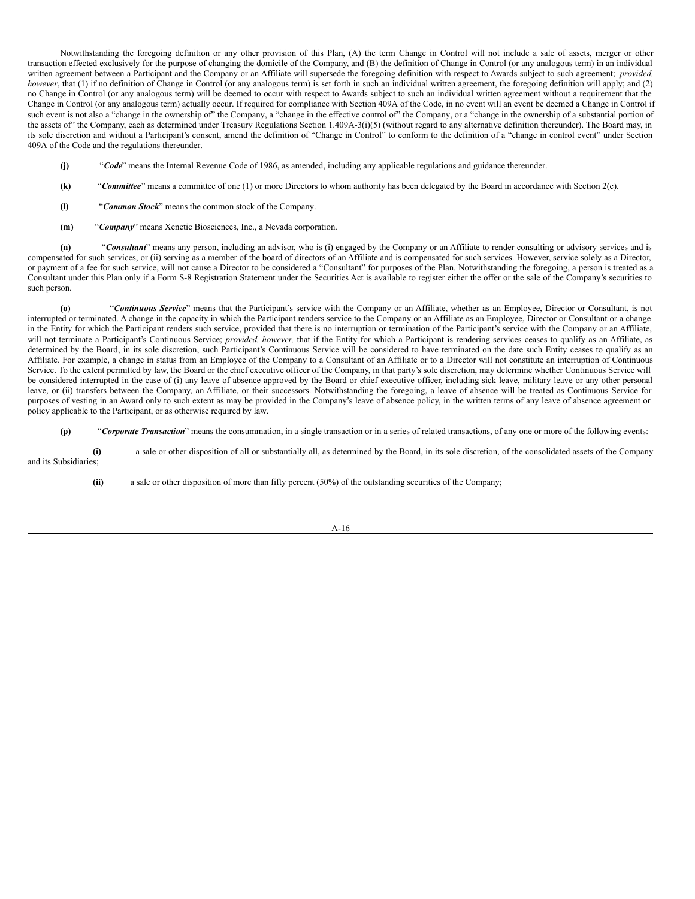Notwithstanding the foregoing definition or any other provision of this Plan, (A) the term Change in Control will not include a sale of assets, merger or other transaction effected exclusively for the purpose of changing the domicile of the Company, and (B) the definition of Change in Control (or any analogous term) in an individual written agreement between a Participant and the Company or an Affiliate will supersede the foregoing definition with respect to Awards subject to such agreement; *provided, however*, that (1) if no definition of Change in Control (or any analogous term) is set forth in such an individual written agreement, the foregoing definition will apply; and (2) no Change in Control (or any analogous term) will be deemed to occur with respect to Awards subject to such an individual written agreement without a requirement that the Change in Control (or any analogous term) actually occur. If required for compliance with Section 409A of the Code, in no event will an event be deemed a Change in Control if such event is not also a "change in the ownership of" the Company, a "change in the effective control of" the Company, or a "change in the ownership of a substantial portion of the assets of" the Company, each as determined under Treasury Regulations Section 1.409A-3(i)(5) (without regard to any alternative definition thereunder). The Board may, in its sole discretion and without a Participant's consent, amend the definition of "Change in Control" to conform to the definition of a "change in control event" under Section 409A of the Code and the regulations thereunder.

- **(j)** "*Code*" means the Internal Revenue Code of 1986, as amended, including any applicable regulations and guidance thereunder.
- **(k)** "*Committee*" means a committee of one (1) or more Directors to whom authority has been delegated by the Board in accordance with Section 2(c).
- **(l)** "*Common Stock*" means the common stock of the Company.
- **(m)** "*Company*" means Xenetic Biosciences, Inc., a Nevada corporation.

**(n)** "*Consultant*" means any person, including an advisor, who is (i) engaged by the Company or an Affiliate to render consulting or advisory services and is compensated for such services, or (ii) serving as a member of the board of directors of an Affiliate and is compensated for such services. However, service solely as a Director, or payment of a fee for such service, will not cause a Director to be considered a "Consultant" for purposes of the Plan. Notwithstanding the foregoing, a person is treated as a Consultant under this Plan only if a Form S-8 Registration Statement under the Securities Act is available to register either the offer or the sale of the Company's securities to such person.

"Continuous Service" means that the Participant's service with the Company or an Affiliate, whether as an Employee, Director or Consultant, is not interrupted or terminated. A change in the capacity in which the Participant renders service to the Company or an Affiliate as an Employee, Director or Consultant or a change in the Entity for which the Participant renders such service, provided that there is no interruption or termination of the Participant's service with the Company or an Affiliate, will not terminate a Participant's Continuous Service; *provided, however*, that if the Entity for which a Participant is rendering services ceases to qualify as an Affiliate, as determined by the Board, in its sole discretion, such Participant's Continuous Service will be considered to have terminated on the date such Entity ceases to qualify as an Affiliate. For example, a change in status from an Employee of the Company to a Consultant of an Affiliate or to a Director will not constitute an interruption of Continuous Service. To the extent permitted by law, the Board or the chief executive officer of the Company, in that party's sole discretion, may determine whether Continuous Service will be considered interrupted in the case of (i) any leave of absence approved by the Board or chief executive officer, including sick leave, military leave or any other personal leave, or (ii) transfers between the Company, an Affiliate, or their successors. Notwithstanding the foregoing, a leave of absence will be treated as Continuous Service for purposes of vesting in an Award only to such extent as may be provided in the Company's leave of absence policy, in the written terms of any leave of absence agreement or policy applicable to the Participant, or as otherwise required by law.

**(p)** "*Corporate Transaction*" means the consummation, in a single transaction or in a series of related transactions, of any one or more of the following events:

**(i)** a sale or other disposition of all or substantially all, as determined by the Board, in its sole discretion, of the consolidated assets of the Company and its Subsidiaries;

**(ii)** a sale or other disposition of more than fifty percent (50%) of the outstanding securities of the Company;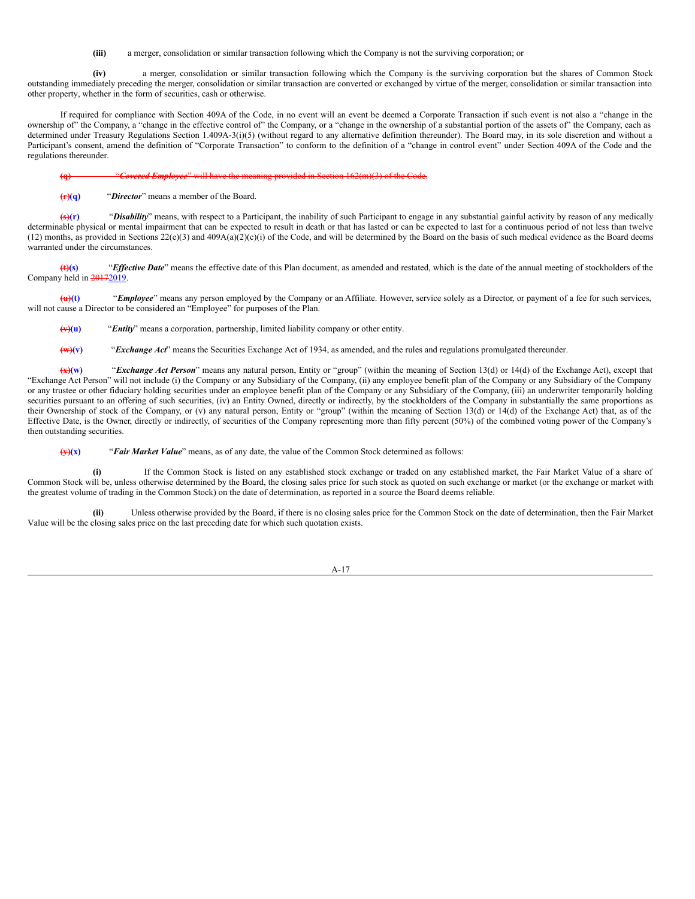**(iii)** a merger, consolidation or similar transaction following which the Company is not the surviving corporation; or

**(iv)** a merger, consolidation or similar transaction following which the Company is the surviving corporation but the shares of Common Stock outstanding immediately preceding the merger, consolidation or similar transaction are converted or exchanged by virtue of the merger, consolidation or similar transaction into other property, whether in the form of securities, cash or otherwise.

If required for compliance with Section 409A of the Code, in no event will an event be deemed a Corporate Transaction if such event is not also a "change in the ownership of" the Company, a "change in the effective control of" the Company, or a "change in the ownership of a substantial portion of the assets of" the Company, each as determined under Treasury Regulations Section 1.409A-3(i)(5) (without regard to any alternative definition thereunder). The Board may, in its sole discretion and without a Participant's consent, amend the definition of "Corporate Transaction" to conform to the definition of a "change in control event" under Section 409A of the Code and the regulations thereunder.

**(q)** "*Covered Employee*" will have the meaning provided in Section 162(m)(3) of the Code.

**(r)(q)** "*Director*" means a member of the Board.

**(s)(r)** "*Disability*" means, with respect to a Participant, the inability of such Participant to engage in any substantial gainful activity by reason of any medically determinable physical or mental impairment that can be expected to result in death or that has lasted or can be expected to last for a continuous period of not less than twelve  $(12)$  months, as provided in Sections  $22(e)(3)$  and  $409A(a)(2)(e)(i)$  of the Code, and will be determined by the Board on the basis of such medical evidence as the Board deems warranted under the circumstances.

**(t)(s)** "*Ef ective Date*" means the effective date of this Plan document, as amended and restated, which is the date of the annual meeting of stockholders of the Company held in 20172019.

**(u)(t)** "*Employee*" means any person employed by the Company or an Affiliate. However, service solely as a Director, or payment of a fee for such services, will not cause a Director to be considered an "Employee" for purposes of the Plan.

**(v)(u)** "*Entity*" means a corporation, partnership, limited liability company or other entity.

**(w)(v)** "*Exchange Act*" means the Securities Exchange Act of 1934, as amended, and the rules and regulations promulgated thereunder.

**(x)(w)** "*Exchange Act Person*" means any natural person, Entity or "group" (within the meaning of Section 13(d) or 14(d) of the Exchange Act), except that "Exchange Act Person" will not include (i) the Company or any Subsidiary of the Company, (ii) any employee benefit plan of the Company or any Subsidiary of the Company or any trustee or other fiduciary holding securities under an employee benefit plan of the Company or any Subsidiary of the Company, (iii) an underwriter temporarily holding securities pursuant to an offering of such securities, (iv) an Entity Owned, directly or indirectly, by the stockholders of the Company in substantially the same proportions as their Ownership of stock of the Company, or (v) any natural person, Entity or "group" (within the meaning of Section 13(d) or 14(d) of the Exchange Act) that, as of the Effective Date, is the Owner, directly or indirectly, of securities of the Company representing more than fifty percent (50%) of the combined voting power of the Company's then outstanding securities.

**(y)(x)** "*Fair Market Value*" means, as of any date, the value of the Common Stock determined as follows:

**(i)** If the Common Stock is listed on any established stock exchange or traded on any established market, the Fair Market Value of a share of Common Stock will be, unless otherwise determined by the Board, the closing sales price for such stock as quoted on such exchange or market (or the exchange or market with the greatest volume of trading in the Common Stock) on the date of determination, as reported in a source the Board deems reliable.

**(ii)** Unless otherwise provided by the Board, if there is no closing sales price for the Common Stock on the date of determination, then the Fair Market Value will be the closing sales price on the last preceding date for which such quotation exists.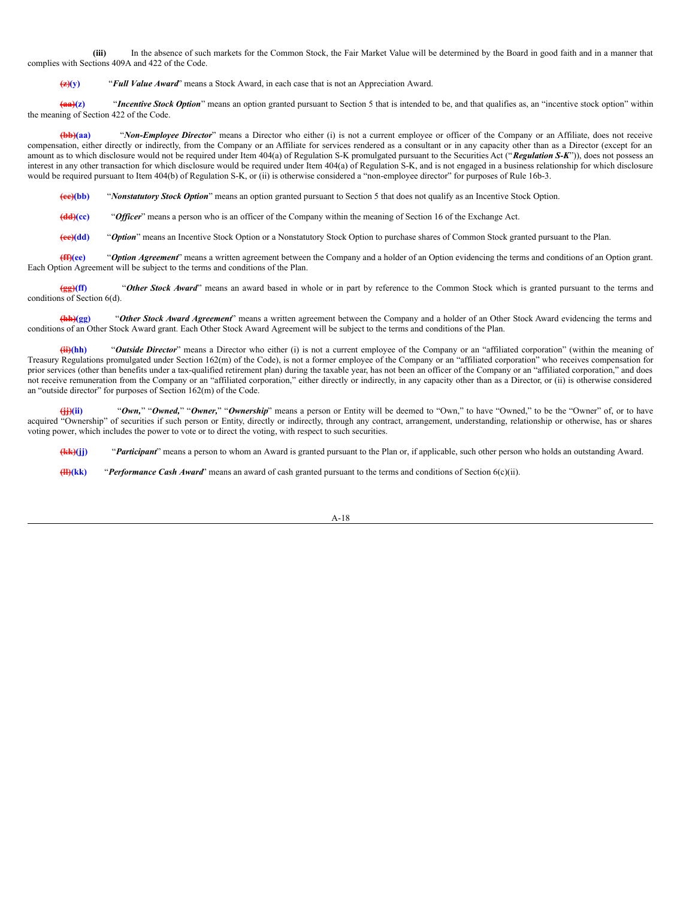**(iii)** In the absence of such markets for the Common Stock, the Fair Market Value will be determined by the Board in good faith and in a manner that complies with Sections 409A and 422 of the Code.

**(z)(y)** "*Full Value Award*" means a Stock Award, in each case that is not an Appreciation Award.

**(aa)(z)** "*Incentive Stock Option*" means an option granted pursuant to Section 5 that is intended to be, and that qualifies as, an "incentive stock option" within the meaning of Section 422 of the Code.

**(bb)(aa)** "*Non-Employee Director*" means a Director who either (i) is not a current employee or officer of the Company or an Affiliate, does not receive compensation, either directly or indirectly, from the Company or an Affiliate for services rendered as a consultant or in any capacity other than as a Director (except for an amount as to which disclosure would not be required under Item 404(a) of Regulation S-K promulgated pursuant to the Securities Act ("*Regulation S-K*")), does not possess an interest in any other transaction for which disclosure would be required under Item 404(a) of Regulation S-K, and is not engaged in a business relationship for which disclosure would be required pursuant to Item 404(b) of Regulation S-K, or (ii) is otherwise considered a "non-employee director" for purposes of Rule 16b-3.

**(cc)(bb)** "*Nonstatutory Stock Option*" means an option granted pursuant to Section 5 that does not qualify as an Incentive Stock Option.

**(dd)(cc)** "*Of icer*" means a person who is an officer of the Company within the meaning of Section 16 of the Exchange Act.

**(ee)(dd)** "*Option*" means an Incentive Stock Option or a Nonstatutory Stock Option to purchase shares of Common Stock granted pursuant to the Plan.

**(ff)(ee)** "*Option Agreement*" means a written agreement between the Company and a holder of an Option evidencing the terms and conditions of an Option grant. Each Option Agreement will be subject to the terms and conditions of the Plan.

**(gg)(ff)** "*Other Stock Award*" means an award based in whole or in part by reference to the Common Stock which is granted pursuant to the terms and conditions of Section 6(d).

**(hh)(gg)** "*Other Stock Award Agreement*" means a written agreement between the Company and a holder of an Other Stock Award evidencing the terms and conditions of an Other Stock Award grant. Each Other Stock Award Agreement will be subject to the terms and conditions of the Plan.

**(ii)(hh)** "*Outside Director*" means a Director who either (i) is not a current employee of the Company or an "affiliated corporation" (within the meaning of Treasury Regulations promulgated under Section 162(m) of the Code), is not a former employee of the Company or an "affiliated corporation" who receives compensation for prior services (other than benefits under a tax-qualified retirement plan) during the taxable year, has not been an officer of the Company or an "affiliated corporation," and does not receive remuneration from the Company or an "affiliated corporation," either directly or indirectly, in any capacity other than as a Director, or (ii) is otherwise considered an "outside director" for purposes of Section 162(m) of the Code.

**(jj)(ii)** "*Own,*" "*Owned,*" "*Owner,*" "*Ownership*" means a person or Entity will be deemed to "Own," to have "Owned," to be the "Owner" of, or to have acquired "Ownership" of securities if such person or Entity, directly or indirectly, through any contract, arrangement, understanding, relationship or otherwise, has or shares voting power, which includes the power to vote or to direct the voting, with respect to such securities.

**(kk)(jj)** "*Participant*" means a person to whom an Award is granted pursuant to the Plan or, if applicable, such other person who holds an outstanding Award.

**(ll)(kk)** "*Performance Cash Award*" means an award of cash granted pursuant to the terms and conditions of Section 6(c)(ii).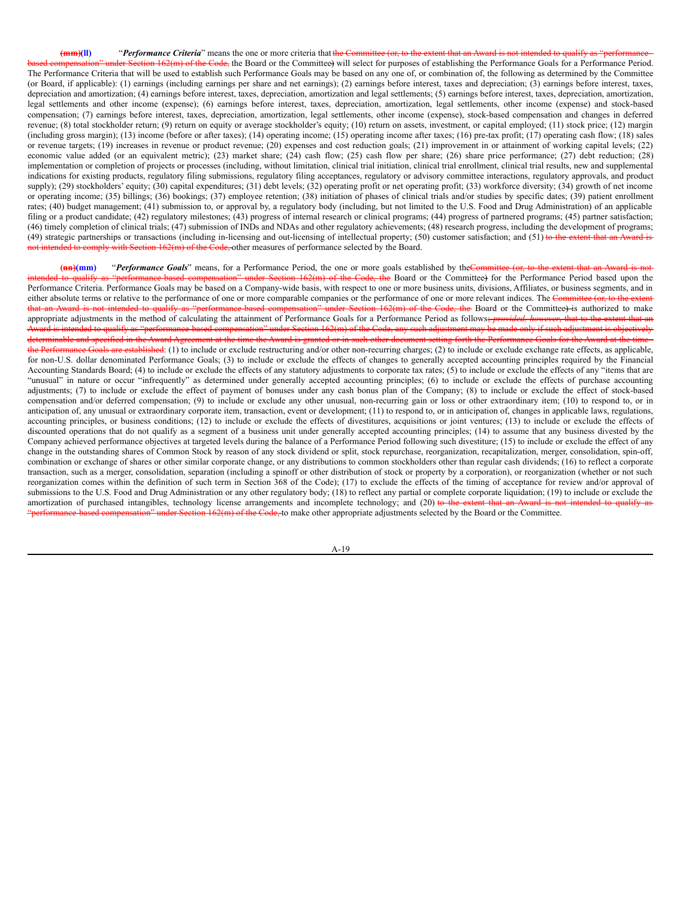**(mm)(ll)** "*Performance Criteria*" means the one or more criteria that the Committee (or, to the extent that an A 162(m) of the Code, the Board or the Committee) will select for purposes of establishing the Performance Goals for a Performance Period. The Performance Criteria that will be used to establish such Performance Goals may be based on any one of, or combination of, the following as determined by the Committee (or Board, if applicable): (1) earnings (including earnings per share and net earnings); (2) earnings before interest, taxes and depreciation; (3) earnings before interest, taxes, depreciation and amortization; (4) earnings before interest, taxes, depreciation, amortization and legal settlements; (5) earnings before interest, taxes, depreciation, amortization, legal settlements and other income (expense); (6) earnings before interest, taxes, depreciation, amortization, legal settlements, other income (expense) and stock-based compensation; (7) earnings before interest, taxes, depreciation, amortization, legal settlements, other income (expense), stock-based compensation and changes in deferred revenue; (8) total stockholder return; (9) return on equity or average stockholder's equity; (10) return on assets, investment, or capital employed; (11) stock price; (12) margin (including gross margin); (13) income (before or after taxes); (14) operating income; (15) operating income after taxes; (16) pre-tax profit; (17) operating cash flow; (18) sales or revenue targets; (19) increases in revenue or product revenue; (20) expenses and cost reduction goals; (21) improvement in or attainment of working capital levels; (22) economic value added (or an equivalent metric); (23) market share; (24) cash flow; (25) cash flow per share; (26) share price performance; (27) debt reduction; (28) implementation or completion of projects or processes (including, without limitation, clinical trial initiation, clinical trial enrollment, clinical trial results, new and supplemental indications for existing products, regulatory filing submissions, regulatory filing acceptances, regulatory or advisory committee interactions, regulatory approvals, and product supply); (29) stockholders' equity; (30) capital expenditures; (31) debt levels; (32) operating profit or net operating profit; (33) workforce diversity; (34) growth of net income or operating income; (35) billings; (36) bookings; (37) employee retention; (38) initiation of phases of clinical trials and/or studies by specific dates; (39) patient enrollment rates; (40) budget management; (41) submission to, or approval by, a regulatory body (including, but not limited to the U.S. Food and Drug Administration) of an applicable filing or a product candidate; (42) regulatory milestones; (43) progress of internal research or clinical programs; (44) progress of partnered programs; (45) partner satisfaction; (46) timely completion of clinical trials; (47) submission of INDs and NDAs and other regulatory achievements; (48) research progress, including the development of programs; (49) strategic partnerships or transactions (including in-licensing and out-licensing of intellectual property; (50) customer satisfaction; and (51) to the ex mply with Section 162(m) of the Code, other measures of performance selected by the Board.

(**nn**)(mm) "*Performance Goals*" means, for a Performance Period, the one or more goals established by theCommittee (or, to the extent that an Award is not der Section 162(m) of the Code, the Board or the Committee) for the Performance Period based upon the Performance Criteria. Performance Goals may be based on a Company-wide basis, with respect to one or more business units, divisions, Affiliates, or business segments, and in either absolute terms or relative to the performance of one or more comparable companies or the performance of one or more relevant indices. The Committee (or, to the extent that an Award is not intended to qualify as "performance-based compensation" under Section 162(m) of the Code, the Board or the Committee) is authorized to make appropriate adjustments in the method of calculating the attainment of Performance Goals for a Performance Period as follows; *provided, however*, that to the extent that an Award is intended to qualify as "performance-based compensation" under Section 162(m) of the Code, any such adjustment may be made only if such adjustment is objectively determinable and specified in the Award Agreement at the time the Award is granted or in such other document setting forth the Performance Goals for the Award at the time the Performance Goals are established: (1) to include or exclude restructuring and/or other non-recurring charges; (2) to include or exclude exchange rate effects, as applicable, for non-U.S. dollar denominated Performance Goals; (3) to include or exclude the effects of changes to generally accepted accounting principles required by the Financial Accounting Standards Board; (4) to include or exclude the effects of any statutory adjustments to corporate tax rates; (5) to include or exclude the effects of any "items that are "unusual" in nature or occur "infrequently" as determined under generally accepted accounting principles; (6) to include or exclude the effects of purchase accounting adjustments; (7) to include or exclude the effect of payment of bonuses under any cash bonus plan of the Company; (8) to include or exclude the effect of stock-based compensation and/or deferred compensation; (9) to include or exclude any other unusual, non-recurring gain or loss or other extraordinary item; (10) to respond to, or in anticipation of, any unusual or extraordinary corporate item, transaction, event or development; (11) to respond to, or in anticipation of, changes in applicable laws, regulations, accounting principles, or business conditions; (12) to include or exclude the effects of divestitures, acquisitions or joint ventures; (13) to include or exclude the effects of discounted operations that do not qualify as a segment of a business unit under generally accepted accounting principles; (14) to assume that any business divested by the Company achieved performance objectives at targeted levels during the balance of a Performance Period following such divestiture; (15) to include or exclude the effect of any change in the outstanding shares of Common Stock by reason of any stock dividend or split, stock repurchase, reorganization, recapitalization, merger, consolidation, spin-off, combination or exchange of shares or other similar corporate change, or any distributions to common stockholders other than regular cash dividends; (16) to reflect a corporate transaction, such as a merger, consolidation, separation (including a spinoff or other distribution of stock or property by a corporation), or reorganization (whether or not such reorganization comes within the definition of such term in Section 368 of the Code); (17) to exclude the effects of the timing of acceptance for review and/or approval of submissions to the U.S. Food and Drug Administration or any other regulatory body; (18) to reflect any partial or complete corporate liquidation; (19) to include or exclude the amortization of purchased intangibles, technology license arrangements and incomplete technology; and (20) to the extent that an Award is not intended to qualify as under Section 162(m) of the Code, to make other appropriate adjustments selected by the Board or the Committee.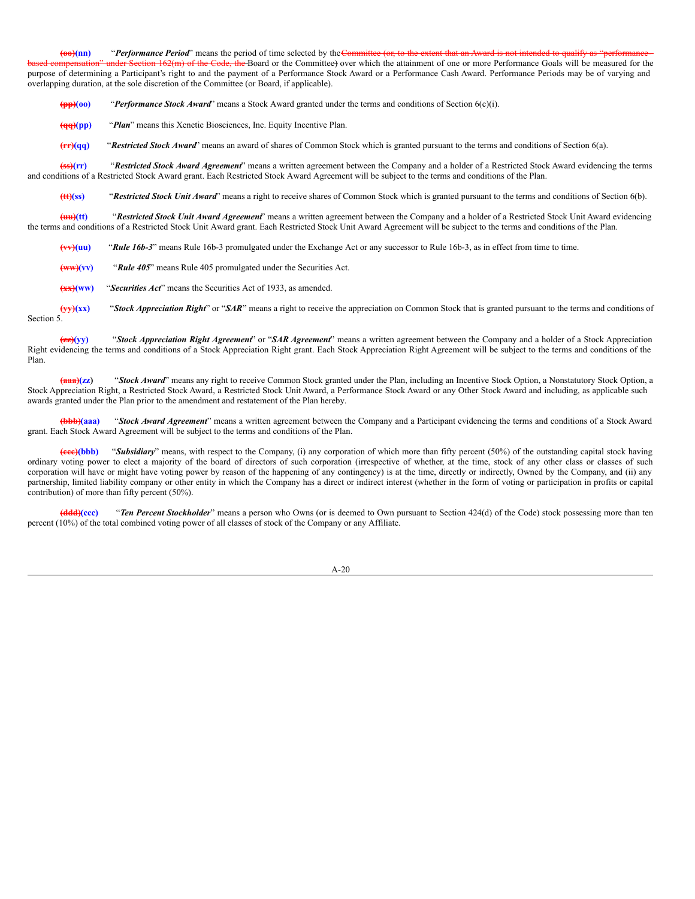**(oo)(nn)** "*Performance Period*" means the period of time selected by the Committee (or, to the extent to the extent of that and that an Award is not intended to that an Award is not intended to quality as "performanceof the Code, the Board or the Committee) over which the attainment of one or more Performance Goals will be measured for the purpose of determining a Participant's right to and the payment of a Performance Stock Award or a Performance Cash Award. Performance Periods may be of varying and overlapping duration, at the sole discretion of the Committee (or Board, if applicable).

**(pp)(oo)** "*Performance Stock Award*" means a Stock Award granted under the terms and conditions of Section 6(c)(i).

**(qq)(pp)** "*Plan*" means this Xenetic Biosciences, Inc. Equity Incentive Plan.

**(rr)(qq)** "*Restricted Stock Award*" means an award of shares of Common Stock which is granted pursuant to the terms and conditions of Section 6(a).

**(ss)(rr)** "*Restricted Stock Award Agreement*" means a written agreement between the Company and a holder of a Restricted Stock Award evidencing the terms and conditions of a Restricted Stock Award grant. Each Restricted Stock Award Agreement will be subject to the terms and conditions of the Plan.

**(tt)(ss)** "*Restricted Stock Unit Award*" means a right to receive shares of Common Stock which is granted pursuant to the terms and conditions of Section 6(b).

**(uu)(tt)** "*Restricted Stock Unit Award Agreement*" means a written agreement between the Company and a holder of a Restricted Stock Unit Award evidencing the terms and conditions of a Restricted Stock Unit Award grant. Each Restricted Stock Unit Award Agreement will be subject to the terms and conditions of the Plan.

**(vv)(uu)** "*Rule 16b-3*" means Rule 16b-3 promulgated under the Exchange Act or any successor to Rule 16b-3, as in effect from time to time.

**(ww)(vv)** "*Rule 405*" means Rule 405 promulgated under the Securities Act.

**(xx)(ww)** "*Securities Act*" means the Securities Act of 1933, as amended.

**(yy)(xx)** "*Stock Appreciation Right*" or "*SAR*" means a right to receive the appreciation on Common Stock that is granted pursuant to the terms and conditions of Section 5.

**(zz)(yy)** "*Stock Appreciation Right Agreement*" or "*SAR Agreement*" means a written agreement between the Company and a holder of a Stock Appreciation Right evidencing the terms and conditions of a Stock Appreciation Right grant. Each Stock Appreciation Right Agreement will be subject to the terms and conditions of the Plan.

**(aaa)(zz)** "*Stock Award*" means any right to receive Common Stock granted under the Plan, including an Incentive Stock Option, a Nonstatutory Stock Option, a Stock Appreciation Right, a Restricted Stock Award, a Restricted Stock Unit Award, a Performance Stock Award or any Other Stock Award and including, as applicable such awards granted under the Plan prior to the amendment and restatement of the Plan hereby.

**(bbb)(aaa)** "*Stock Award Agreement*" means a written agreement between the Company and a Participant evidencing the terms and conditions of a Stock Award grant. Each Stock Award Agreement will be subject to the terms and conditions of the Plan.

**(ccc)(bbb)** "*Subsidiary*" means, with respect to the Company, (i) any corporation of which more than fifty percent (50%) of the outstanding capital stock having ordinary voting power to elect a majority of the board of directors of such corporation (irrespective of whether, at the time, stock of any other class or classes of such corporation will have or might have voting power by reason of the happening of any contingency) is at the time, directly or indirectly, Owned by the Company, and (ii) any partnership, limited liability company or other entity in which the Company has a direct or indirect interest (whether in the form of voting or participation in profits or capital contribution) of more than fifty percent (50%).

**(ddd)(ccc)** "*Ten Percent Stockholder*" means a person who Owns (or is deemed to Own pursuant to Section 424(d) of the Code) stock possessing more than ten percent (10%) of the total combined voting power of all classes of stock of the Company or any Affiliate.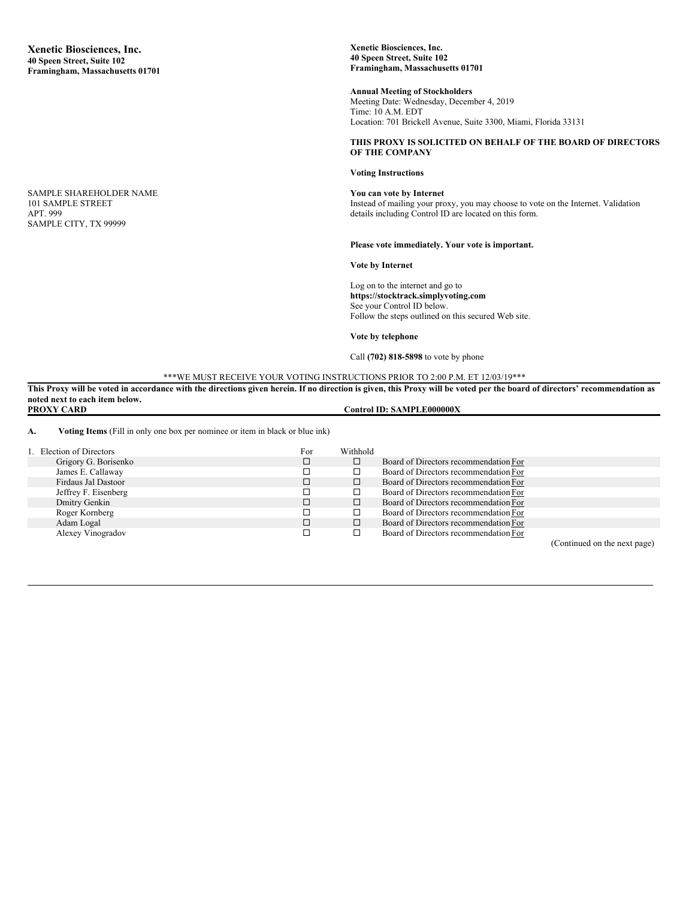SAMPLE SHAREHOLDER NAME 101 SAMPLE STREET APT. 999 SAMPLE CITY, TX 99999

**Xenetic Biosciences, Inc. 40 Speen Street, Suite 102 Framingham, Massachusetts 01701**

**Annual Meeting of Stockholders** Meeting Date: Wednesday, December 4, 2019 Time: 10 A.M. EDT Location: 701 Brickell Avenue, Suite 3300, Miami, Florida 33131

### **THIS PROXY IS SOLICITED ON BEHALF OF THE BOARD OF DIRECTORS OF THE COMPANY**

#### **Voting Instructions**

**You can vote by Internet** Instead of mailing your proxy, you may choose to vote on the Internet. Validation details including Control ID are located on this form.

#### **Please vote immediately. Your vote is important.**

**Vote by Internet**

Log on to the internet and go to **https://stocktrack.simplyvoting.com** See your Control ID below. Follow the steps outlined on this secured Web site.

**Vote by telephone**

Call **(702) 818-5898** to vote by phone

\*\*\*WE MUST RECEIVE YOUR VOTING INSTRUCTIONS PRIOR TO 2:00 P.M. ET 12/03/19\*\*\*

This Proxy will be voted in accordance with the directions given herein. If no direction is given, this Proxy will be voted per the board of directors' recommendation as **noted next to each item below.**  $\textbf{Control ID: SAMPLE000000X}$ 

**A. Voting Items** (Fill in only one box per nominee or item in black or blue ink)

| 1. Election of Directors | For | Withhold |                                       |                              |
|--------------------------|-----|----------|---------------------------------------|------------------------------|
| Grigory G. Borisenko     |     |          | Board of Directors recommendation For |                              |
| James E. Callaway        |     |          | Board of Directors recommendation For |                              |
| Firdaus Jal Dastoor      |     |          | Board of Directors recommendation For |                              |
| Jeffrey F. Eisenberg     |     |          | Board of Directors recommendation For |                              |
| Dmitry Genkin            |     |          | Board of Directors recommendation For |                              |
| Roger Kornberg           |     |          | Board of Directors recommendation For |                              |
| Adam Logal               |     |          | Board of Directors recommendation For |                              |
| Alexey Vinogradov        |     |          | Board of Directors recommendation For |                              |
|                          |     |          |                                       | (Continued on the next nage) |

(Continued on the next page)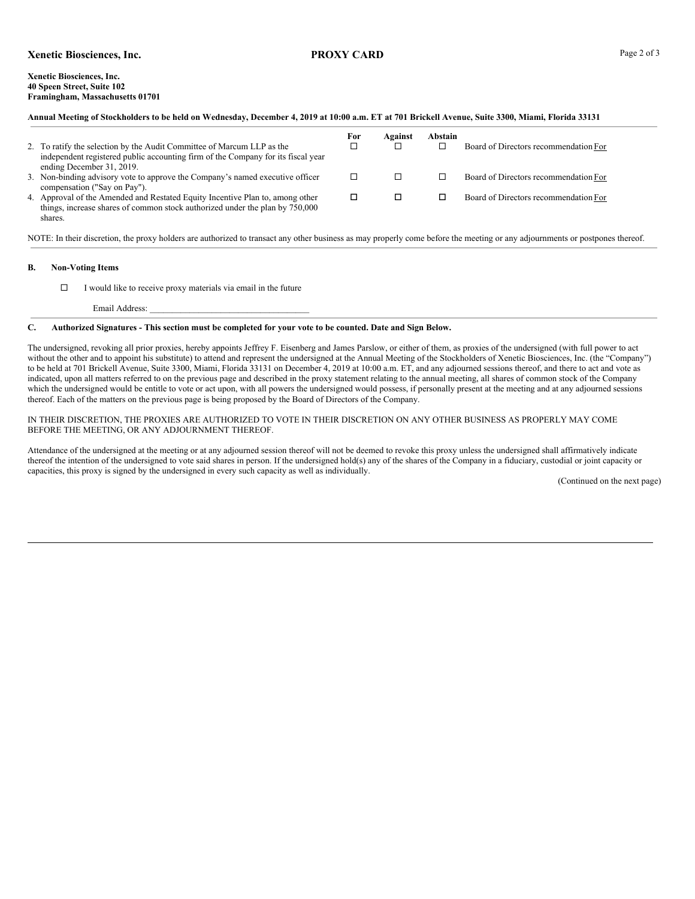# **Xenetic Biosciences, Inc. PROXY CARD** Page 2 of 3

#### **Xenetic Biosciences, Inc. 40 Speen Street, Suite 102 Framingham, Massachusetts 01701**

| Annual Meeting of Stockholders to be held on Wednesday, December 4, 2019 at 10:00 a.m. ET at 701 Brickell Avenue, Suite 3300, Miami, Florida 33131 |                                                                                  |     |         |         |                                       |  |  |
|----------------------------------------------------------------------------------------------------------------------------------------------------|----------------------------------------------------------------------------------|-----|---------|---------|---------------------------------------|--|--|
|                                                                                                                                                    |                                                                                  | For | Against | Abstain |                                       |  |  |
|                                                                                                                                                    | 2. To ratify the selection by the Audit Committee of Marcum LLP as the           |     | □       |         | Board of Directors recommendation For |  |  |
|                                                                                                                                                    | independent registered public accounting firm of the Company for its fiscal year |     |         |         |                                       |  |  |
|                                                                                                                                                    | ending December 31, 2019.                                                        |     |         |         |                                       |  |  |
|                                                                                                                                                    | 3. Non-binding advisory vote to approve the Company's named executive officer    |     | □       |         | Board of Directors recommendation For |  |  |
|                                                                                                                                                    | compensation ("Say on Pay").                                                     |     |         |         |                                       |  |  |
|                                                                                                                                                    | 4. Approval of the Amended and Restated Equity Incentive Plan to, among other    |     | □       |         | Board of Directors recommendation For |  |  |
|                                                                                                                                                    | things, increase shares of common stock authorized under the plan by 750,000     |     |         |         |                                       |  |  |

NOTE: In their discretion, the proxy holders are authorized to transact any other business as may properly come before the meeting or any adjournments or postpones thereof.

# **B. Non-Voting Items**

shares.

 $\square$  I would like to receive proxy materials via email in the future

Email Address:

## C. Authorized Signatures - This section must be completed for your vote to be counted. Date and Sign Below.

The undersigned, revoking all prior proxies, hereby appoints Jeffrey F. Eisenberg and James Parslow, or either of them, as proxies of the undersigned (with full power to act without the other and to appoint his substitute) to attend and represent the undersigned at the Annual Meeting of the Stockholders of Xenetic Biosciences, Inc. (the "Company") to be held at 701 Brickell Avenue, Suite 3300, Miami, Florida 33131 on December 4, 2019 at 10:00 a.m. ET, and any adjourned sessions thereof, and there to act and vote as indicated, upon all matters referred to on the previous page and described in the proxy statement relating to the annual meeting, all shares of common stock of the Company which the undersigned would be entitle to vote or act upon, with all powers the undersigned would possess, if personally present at the meeting and at any adjourned sessions thereof. Each of the matters on the previous page is being proposed by the Board of Directors of the Company.

### IN THEIR DISCRETION, THE PROXIES ARE AUTHORIZED TO VOTE IN THEIR DISCRETION ON ANY OTHER BUSINESS AS PROPERLY MAY COME BEFORE THE MEETING, OR ANY ADJOURNMENT THEREOF.

Attendance of the undersigned at the meeting or at any adjourned session thereof will not be deemed to revoke this proxy unless the undersigned shall affirmatively indicate thereof the intention of the undersigned to vote said shares in person. If the undersigned hold(s) any of the shares of the Company in a fiduciary, custodial or joint capacity or capacities, this proxy is signed by the undersigned in every such capacity as well as individually.

(Continued on the next page)